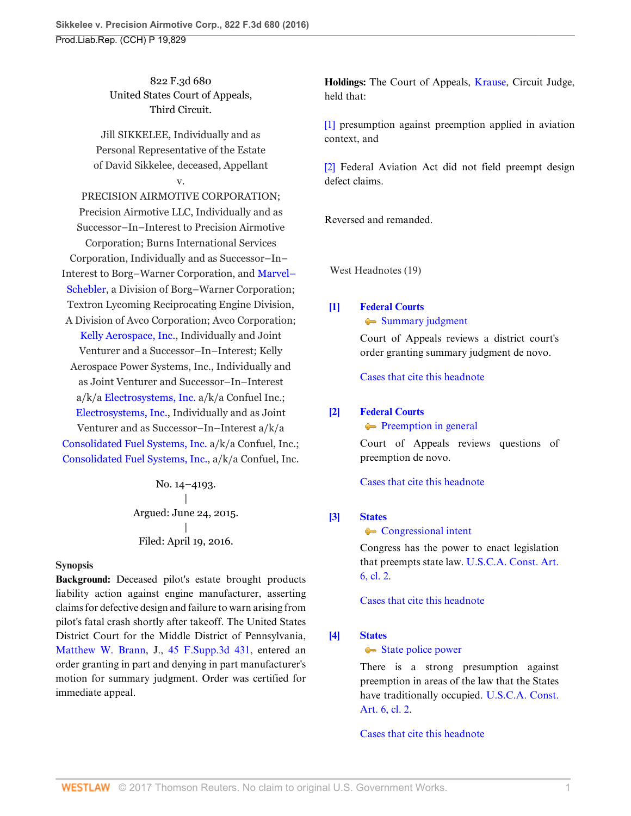822 F.3d 680 United States Court of Appeals, Third Circuit.

Jill SIKKELEE, Individually and as Personal Representative of the Estate of David Sikkelee, deceased, Appellant v.

PRECISION AIRMOTIVE CORPORATION; Precision Airmotive LLC, Individually and as Successor–In–Interest to Precision Airmotive Corporation; Burns International Services Corporation, Individually and as Successor–In– Interest to Borg–Warner Corporation, and [Marvel–](http://www.westlaw.com/Search/Results.html?query=advanced%3a+OAID(5044880219)&saveJuris=False&contentType=BUSINESS-INVESTIGATOR&startIndex=1&contextData=(sc.Default)&categoryPageUrl=Home%2fCompanyInvestigator&originationContext=document&vr=3.0&rs=cblt1.0&transitionType=DocumentItem) [Schebler,](http://www.westlaw.com/Search/Results.html?query=advanced%3a+OAID(5044880219)&saveJuris=False&contentType=BUSINESS-INVESTIGATOR&startIndex=1&contextData=(sc.Default)&categoryPageUrl=Home%2fCompanyInvestigator&originationContext=document&vr=3.0&rs=cblt1.0&transitionType=DocumentItem) a Division of Borg–Warner Corporation; Textron Lycoming Reciprocating Engine Division, A Division of Avco Corporation; Avco Corporation; [Kelly Aerospace, Inc.](http://www.westlaw.com/Search/Results.html?query=advanced%3a+OAID(4297397435)&saveJuris=False&contentType=BUSINESS-INVESTIGATOR&startIndex=1&contextData=(sc.Default)&categoryPageUrl=Home%2fCompanyInvestigator&originationContext=document&vr=3.0&rs=cblt1.0&transitionType=DocumentItem), Individually and Joint Venturer and a Successor–In–Interest; Kelly Aerospace Power Systems, Inc., Individually and as Joint Venturer and Successor–In–Interest a/k/a [Electrosystems, Inc.](http://www.westlaw.com/Search/Results.html?query=advanced%3a+OAID(4297397435)&saveJuris=False&contentType=BUSINESS-INVESTIGATOR&startIndex=1&contextData=(sc.Default)&categoryPageUrl=Home%2fCompanyInvestigator&originationContext=document&vr=3.0&rs=cblt1.0&transitionType=DocumentItem) a/k/a Confuel Inc.; [Electrosystems, Inc.,](http://www.westlaw.com/Search/Results.html?query=advanced%3a+OAID(4297397435)&saveJuris=False&contentType=BUSINESS-INVESTIGATOR&startIndex=1&contextData=(sc.Default)&categoryPageUrl=Home%2fCompanyInvestigator&originationContext=document&vr=3.0&rs=cblt1.0&transitionType=DocumentItem) Individually and as Joint Venturer and as Successor–In–Interest a/k/a [Consolidated Fuel Systems, Inc.](http://www.westlaw.com/Search/Results.html?query=advanced%3a+OAID(5002010396)&saveJuris=False&contentType=BUSINESS-INVESTIGATOR&startIndex=1&contextData=(sc.Default)&categoryPageUrl=Home%2fCompanyInvestigator&originationContext=document&vr=3.0&rs=cblt1.0&transitionType=DocumentItem) a/k/a Confuel, Inc.; [Consolidated Fuel Systems, Inc.](http://www.westlaw.com/Search/Results.html?query=advanced%3a+OAID(5002010396)&saveJuris=False&contentType=BUSINESS-INVESTIGATOR&startIndex=1&contextData=(sc.Default)&categoryPageUrl=Home%2fCompanyInvestigator&originationContext=document&vr=3.0&rs=cblt1.0&transitionType=DocumentItem), a/k/a Confuel, Inc.

> No. 14–4193. | Argued: June 24, 2015. | Filed: April 19, 2016.

#### **Synopsis**

**Background:** Deceased pilot's estate brought products liability action against engine manufacturer, asserting claims for defective design and failure to warn arising from pilot's fatal crash shortly after takeoff. The United States District Court for the Middle District of Pennsylvania, [Matthew W. Brann](http://www.westlaw.com/Link/Document/FullText?findType=h&pubNum=176284&cite=0231281701&originatingDoc=I3ec47967064211e6b4bafa136b480ad2&refType=RQ&originationContext=document&vr=3.0&rs=cblt1.0&transitionType=DocumentItem&contextData=(sc.Search)), J., [45 F.Supp.3d 431,](http://www.westlaw.com/Link/Document/FullText?findType=Y&serNum=2034316153&pubNum=0007903&originatingDoc=I3ec47967064211e6b4bafa136b480ad2&refType=RP&originationContext=document&vr=3.0&rs=cblt1.0&transitionType=DocumentItem&contextData=(sc.Search)) entered an order granting in part and denying in part manufacturer's motion for summary judgment. Order was certified for immediate appeal.

**Holdings:** The Court of Appeals, [Krause](http://www.westlaw.com/Link/Document/FullText?findType=h&pubNum=176284&cite=0486828401&originatingDoc=I3ec47967064211e6b4bafa136b480ad2&refType=RQ&originationContext=document&vr=3.0&rs=cblt1.0&transitionType=DocumentItem&contextData=(sc.Search)), Circuit Judge, held that:

[\[1\]](#page-1-0) presumption against preemption applied in aviation context, and

[\[2\]](#page-2-0) Federal Aviation Act did not field preempt design defect claims.

Reversed and remanded.

West Headnotes (19)

## <span id="page-0-0"></span>**[\[1\]](#page-5-0) [Federal Courts](http://www.westlaw.com/Browse/Home/KeyNumber/170B/View.html?docGuid=I3ec47967064211e6b4bafa136b480ad2&originationContext=document&vr=3.0&rs=cblt1.0&transitionType=DocumentItem&contextData=(sc.Search))**

• [Summary judgment](http://www.westlaw.com/Browse/Home/KeyNumber/170Bk3604(4)/View.html?docGuid=I3ec47967064211e6b4bafa136b480ad2&originationContext=document&vr=3.0&rs=cblt1.0&transitionType=DocumentItem&contextData=(sc.Search))

Court of Appeals reviews a district court's order granting summary judgment de novo.

[Cases that cite this headnote](http://www.westlaw.com/Link/RelatedInformation/DocHeadnoteLink?docGuid=I3ec47967064211e6b4bafa136b480ad2&headnoteId=203869232100120160902003243&originationContext=document&vr=3.0&rs=cblt1.0&transitionType=CitingReferences&contextData=(sc.Search))

### <span id="page-0-1"></span>**[\[2\]](#page-5-1) [Federal Courts](http://www.westlaw.com/Browse/Home/KeyNumber/170B/View.html?docGuid=I3ec47967064211e6b4bafa136b480ad2&originationContext=document&vr=3.0&rs=cblt1.0&transitionType=DocumentItem&contextData=(sc.Search))**

**[Preemption in general](http://www.westlaw.com/Browse/Home/KeyNumber/170Bk3580/View.html?docGuid=I3ec47967064211e6b4bafa136b480ad2&originationContext=document&vr=3.0&rs=cblt1.0&transitionType=DocumentItem&contextData=(sc.Search))** 

Court of Appeals reviews questions of preemption de novo.

[Cases that cite this headnote](http://www.westlaw.com/Link/RelatedInformation/DocHeadnoteLink?docGuid=I3ec47967064211e6b4bafa136b480ad2&headnoteId=203869232100220160902003243&originationContext=document&vr=3.0&rs=cblt1.0&transitionType=CitingReferences&contextData=(sc.Search))

### <span id="page-0-2"></span>**[\[3\]](#page-5-2) [States](http://www.westlaw.com/Browse/Home/KeyNumber/360/View.html?docGuid=I3ec47967064211e6b4bafa136b480ad2&originationContext=document&vr=3.0&rs=cblt1.0&transitionType=DocumentItem&contextData=(sc.Search))**

**[Congressional intent](http://www.westlaw.com/Browse/Home/KeyNumber/360k18.11/View.html?docGuid=I3ec47967064211e6b4bafa136b480ad2&originationContext=document&vr=3.0&rs=cblt1.0&transitionType=DocumentItem&contextData=(sc.Search))** 

Congress has the power to enact legislation that preempts state law. [U.S.C.A. Const. Art.](http://www.westlaw.com/Link/Document/FullText?findType=L&pubNum=1000583&cite=USCOARTVICL2&originatingDoc=I3ec47967064211e6b4bafa136b480ad2&refType=LQ&originationContext=document&vr=3.0&rs=cblt1.0&transitionType=DocumentItem&contextData=(sc.Search)) [6, cl. 2](http://www.westlaw.com/Link/Document/FullText?findType=L&pubNum=1000583&cite=USCOARTVICL2&originatingDoc=I3ec47967064211e6b4bafa136b480ad2&refType=LQ&originationContext=document&vr=3.0&rs=cblt1.0&transitionType=DocumentItem&contextData=(sc.Search)).

[Cases that cite this headnote](http://www.westlaw.com/Link/RelatedInformation/DocHeadnoteLink?docGuid=I3ec47967064211e6b4bafa136b480ad2&headnoteId=203869232100320160902003243&originationContext=document&vr=3.0&rs=cblt1.0&transitionType=CitingReferences&contextData=(sc.Search))

### <span id="page-0-3"></span>**[\[4\]](#page-5-3) [States](http://www.westlaw.com/Browse/Home/KeyNumber/360/View.html?docGuid=I3ec47967064211e6b4bafa136b480ad2&originationContext=document&vr=3.0&rs=cblt1.0&transitionType=DocumentItem&contextData=(sc.Search))**

#### [State police power](http://www.westlaw.com/Browse/Home/KeyNumber/360k18.13/View.html?docGuid=I3ec47967064211e6b4bafa136b480ad2&originationContext=document&vr=3.0&rs=cblt1.0&transitionType=DocumentItem&contextData=(sc.Search))

There is a strong presumption against preemption in areas of the law that the States have traditionally occupied. [U.S.C.A. Const.](http://www.westlaw.com/Link/Document/FullText?findType=L&pubNum=1000583&cite=USCOARTVICL2&originatingDoc=I3ec47967064211e6b4bafa136b480ad2&refType=LQ&originationContext=document&vr=3.0&rs=cblt1.0&transitionType=DocumentItem&contextData=(sc.Search)) [Art. 6, cl. 2](http://www.westlaw.com/Link/Document/FullText?findType=L&pubNum=1000583&cite=USCOARTVICL2&originatingDoc=I3ec47967064211e6b4bafa136b480ad2&refType=LQ&originationContext=document&vr=3.0&rs=cblt1.0&transitionType=DocumentItem&contextData=(sc.Search)).

[Cases that cite this headnote](http://www.westlaw.com/Link/RelatedInformation/DocHeadnoteLink?docGuid=I3ec47967064211e6b4bafa136b480ad2&headnoteId=203869232100420160902003243&originationContext=document&vr=3.0&rs=cblt1.0&transitionType=CitingReferences&contextData=(sc.Search))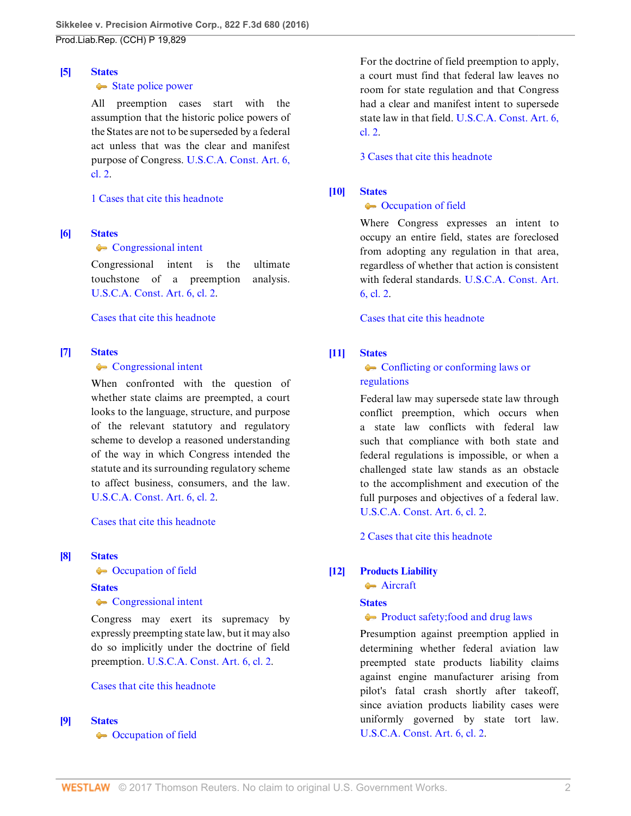#### <span id="page-1-1"></span>**[\[5\]](#page-5-4) [States](http://www.westlaw.com/Browse/Home/KeyNumber/360/View.html?docGuid=I3ec47967064211e6b4bafa136b480ad2&originationContext=document&vr=3.0&rs=cblt1.0&transitionType=DocumentItem&contextData=(sc.Search))**

#### [State police power](http://www.westlaw.com/Browse/Home/KeyNumber/360k18.13/View.html?docGuid=I3ec47967064211e6b4bafa136b480ad2&originationContext=document&vr=3.0&rs=cblt1.0&transitionType=DocumentItem&contextData=(sc.Search))

All preemption cases start with the assumption that the historic police powers of the States are not to be superseded by a federal act unless that was the clear and manifest purpose of Congress. [U.S.C.A. Const. Art. 6,](http://www.westlaw.com/Link/Document/FullText?findType=L&pubNum=1000583&cite=USCOARTVICL2&originatingDoc=I3ec47967064211e6b4bafa136b480ad2&refType=LQ&originationContext=document&vr=3.0&rs=cblt1.0&transitionType=DocumentItem&contextData=(sc.Search)) [cl. 2.](http://www.westlaw.com/Link/Document/FullText?findType=L&pubNum=1000583&cite=USCOARTVICL2&originatingDoc=I3ec47967064211e6b4bafa136b480ad2&refType=LQ&originationContext=document&vr=3.0&rs=cblt1.0&transitionType=DocumentItem&contextData=(sc.Search))

## [1 Cases that cite this headnote](http://www.westlaw.com/Link/RelatedInformation/DocHeadnoteLink?docGuid=I3ec47967064211e6b4bafa136b480ad2&headnoteId=203869232100520160902003243&originationContext=document&vr=3.0&rs=cblt1.0&transitionType=CitingReferences&contextData=(sc.Search))

### <span id="page-1-2"></span>**[\[6\]](#page-5-5) [States](http://www.westlaw.com/Browse/Home/KeyNumber/360/View.html?docGuid=I3ec47967064211e6b4bafa136b480ad2&originationContext=document&vr=3.0&rs=cblt1.0&transitionType=DocumentItem&contextData=(sc.Search))**

### **[Congressional intent](http://www.westlaw.com/Browse/Home/KeyNumber/360k18.11/View.html?docGuid=I3ec47967064211e6b4bafa136b480ad2&originationContext=document&vr=3.0&rs=cblt1.0&transitionType=DocumentItem&contextData=(sc.Search))**

Congressional intent is the ultimate touchstone of a preemption analysis. [U.S.C.A. Const. Art. 6, cl. 2.](http://www.westlaw.com/Link/Document/FullText?findType=L&pubNum=1000583&cite=USCOARTVICL2&originatingDoc=I3ec47967064211e6b4bafa136b480ad2&refType=LQ&originationContext=document&vr=3.0&rs=cblt1.0&transitionType=DocumentItem&contextData=(sc.Search))

[Cases that cite this headnote](http://www.westlaw.com/Link/RelatedInformation/DocHeadnoteLink?docGuid=I3ec47967064211e6b4bafa136b480ad2&headnoteId=203869232100620160902003243&originationContext=document&vr=3.0&rs=cblt1.0&transitionType=CitingReferences&contextData=(sc.Search))

## <span id="page-1-3"></span>**[\[7\]](#page-5-6) [States](http://www.westlaw.com/Browse/Home/KeyNumber/360/View.html?docGuid=I3ec47967064211e6b4bafa136b480ad2&originationContext=document&vr=3.0&rs=cblt1.0&transitionType=DocumentItem&contextData=(sc.Search))**

### • [Congressional intent](http://www.westlaw.com/Browse/Home/KeyNumber/360k18.11/View.html?docGuid=I3ec47967064211e6b4bafa136b480ad2&originationContext=document&vr=3.0&rs=cblt1.0&transitionType=DocumentItem&contextData=(sc.Search))

When confronted with the question of whether state claims are preempted, a court looks to the language, structure, and purpose of the relevant statutory and regulatory scheme to develop a reasoned understanding of the way in which Congress intended the statute and its surrounding regulatory scheme to affect business, consumers, and the law. [U.S.C.A. Const. Art. 6, cl. 2.](http://www.westlaw.com/Link/Document/FullText?findType=L&pubNum=1000583&cite=USCOARTVICL2&originatingDoc=I3ec47967064211e6b4bafa136b480ad2&refType=LQ&originationContext=document&vr=3.0&rs=cblt1.0&transitionType=DocumentItem&contextData=(sc.Search))

## [Cases that cite this headnote](http://www.westlaw.com/Link/RelatedInformation/DocHeadnoteLink?docGuid=I3ec47967064211e6b4bafa136b480ad2&headnoteId=203869232100720160902003243&originationContext=document&vr=3.0&rs=cblt1.0&transitionType=CitingReferences&contextData=(sc.Search))

### <span id="page-1-4"></span>**[\[8\]](#page-6-0) [States](http://www.westlaw.com/Browse/Home/KeyNumber/360/View.html?docGuid=I3ec47967064211e6b4bafa136b480ad2&originationContext=document&vr=3.0&rs=cblt1.0&transitionType=DocumentItem&contextData=(sc.Search))**

• [Occupation of field](http://www.westlaw.com/Browse/Home/KeyNumber/360k18.7/View.html?docGuid=I3ec47967064211e6b4bafa136b480ad2&originationContext=document&vr=3.0&rs=cblt1.0&transitionType=DocumentItem&contextData=(sc.Search))

### **[States](http://www.westlaw.com/Browse/Home/KeyNumber/360/View.html?docGuid=I3ec47967064211e6b4bafa136b480ad2&originationContext=document&vr=3.0&rs=cblt1.0&transitionType=DocumentItem&contextData=(sc.Search))**

## **[Congressional intent](http://www.westlaw.com/Browse/Home/KeyNumber/360k18.11/View.html?docGuid=I3ec47967064211e6b4bafa136b480ad2&originationContext=document&vr=3.0&rs=cblt1.0&transitionType=DocumentItem&contextData=(sc.Search))**

Congress may exert its supremacy by expressly preempting state law, but it may also do so implicitly under the doctrine of field preemption. [U.S.C.A. Const. Art. 6, cl. 2.](http://www.westlaw.com/Link/Document/FullText?findType=L&pubNum=1000583&cite=USCOARTVICL2&originatingDoc=I3ec47967064211e6b4bafa136b480ad2&refType=LQ&originationContext=document&vr=3.0&rs=cblt1.0&transitionType=DocumentItem&contextData=(sc.Search))

## [Cases that cite this headnote](http://www.westlaw.com/Link/RelatedInformation/DocHeadnoteLink?docGuid=I3ec47967064211e6b4bafa136b480ad2&headnoteId=203869232100820160902003243&originationContext=document&vr=3.0&rs=cblt1.0&transitionType=CitingReferences&contextData=(sc.Search))

## <span id="page-1-5"></span>**[\[9\]](#page-6-1) [States](http://www.westlaw.com/Browse/Home/KeyNumber/360/View.html?docGuid=I3ec47967064211e6b4bafa136b480ad2&originationContext=document&vr=3.0&rs=cblt1.0&transitionType=DocumentItem&contextData=(sc.Search))**

**Compation of field** 

For the doctrine of field preemption to apply, a court must find that federal law leaves no room for state regulation and that Congress had a clear and manifest intent to supersede state law in that field. [U.S.C.A. Const. Art. 6,](http://www.westlaw.com/Link/Document/FullText?findType=L&pubNum=1000583&cite=USCOARTVICL2&originatingDoc=I3ec47967064211e6b4bafa136b480ad2&refType=LQ&originationContext=document&vr=3.0&rs=cblt1.0&transitionType=DocumentItem&contextData=(sc.Search)) [cl. 2.](http://www.westlaw.com/Link/Document/FullText?findType=L&pubNum=1000583&cite=USCOARTVICL2&originatingDoc=I3ec47967064211e6b4bafa136b480ad2&refType=LQ&originationContext=document&vr=3.0&rs=cblt1.0&transitionType=DocumentItem&contextData=(sc.Search))

[3 Cases that cite this headnote](http://www.westlaw.com/Link/RelatedInformation/DocHeadnoteLink?docGuid=I3ec47967064211e6b4bafa136b480ad2&headnoteId=203869232100920160902003243&originationContext=document&vr=3.0&rs=cblt1.0&transitionType=CitingReferences&contextData=(sc.Search))

# <span id="page-1-6"></span>**[\[10\]](#page-6-2) [States](http://www.westlaw.com/Browse/Home/KeyNumber/360/View.html?docGuid=I3ec47967064211e6b4bafa136b480ad2&originationContext=document&vr=3.0&rs=cblt1.0&transitionType=DocumentItem&contextData=(sc.Search))**

# • [Occupation of field](http://www.westlaw.com/Browse/Home/KeyNumber/360k18.7/View.html?docGuid=I3ec47967064211e6b4bafa136b480ad2&originationContext=document&vr=3.0&rs=cblt1.0&transitionType=DocumentItem&contextData=(sc.Search))

Where Congress expresses an intent to occupy an entire field, states are foreclosed from adopting any regulation in that area, regardless of whether that action is consistent with federal standards. [U.S.C.A. Const. Art.](http://www.westlaw.com/Link/Document/FullText?findType=L&pubNum=1000583&cite=USCOARTVICL2&originatingDoc=I3ec47967064211e6b4bafa136b480ad2&refType=LQ&originationContext=document&vr=3.0&rs=cblt1.0&transitionType=DocumentItem&contextData=(sc.Search)) [6, cl. 2](http://www.westlaw.com/Link/Document/FullText?findType=L&pubNum=1000583&cite=USCOARTVICL2&originatingDoc=I3ec47967064211e6b4bafa136b480ad2&refType=LQ&originationContext=document&vr=3.0&rs=cblt1.0&transitionType=DocumentItem&contextData=(sc.Search)).

[Cases that cite this headnote](http://www.westlaw.com/Link/RelatedInformation/DocHeadnoteLink?docGuid=I3ec47967064211e6b4bafa136b480ad2&headnoteId=203869232101020160902003243&originationContext=document&vr=3.0&rs=cblt1.0&transitionType=CitingReferences&contextData=(sc.Search))

## <span id="page-1-7"></span>**[\[11\]](#page-6-3) [States](http://www.westlaw.com/Browse/Home/KeyNumber/360/View.html?docGuid=I3ec47967064211e6b4bafa136b480ad2&originationContext=document&vr=3.0&rs=cblt1.0&transitionType=DocumentItem&contextData=(sc.Search))**

## $\leftarrow$  [Conflicting or conforming laws or](http://www.westlaw.com/Browse/Home/KeyNumber/360k18.5/View.html?docGuid=I3ec47967064211e6b4bafa136b480ad2&originationContext=document&vr=3.0&rs=cblt1.0&transitionType=DocumentItem&contextData=(sc.Search)) [regulations](http://www.westlaw.com/Browse/Home/KeyNumber/360k18.5/View.html?docGuid=I3ec47967064211e6b4bafa136b480ad2&originationContext=document&vr=3.0&rs=cblt1.0&transitionType=DocumentItem&contextData=(sc.Search))

Federal law may supersede state law through conflict preemption, which occurs when a state law conflicts with federal law such that compliance with both state and federal regulations is impossible, or when a challenged state law stands as an obstacle to the accomplishment and execution of the full purposes and objectives of a federal law. [U.S.C.A. Const. Art. 6, cl. 2.](http://www.westlaw.com/Link/Document/FullText?findType=L&pubNum=1000583&cite=USCOARTVICL2&originatingDoc=I3ec47967064211e6b4bafa136b480ad2&refType=LQ&originationContext=document&vr=3.0&rs=cblt1.0&transitionType=DocumentItem&contextData=(sc.Search))

[2 Cases that cite this headnote](http://www.westlaw.com/Link/RelatedInformation/DocHeadnoteLink?docGuid=I3ec47967064211e6b4bafa136b480ad2&headnoteId=203869232101120160902003243&originationContext=document&vr=3.0&rs=cblt1.0&transitionType=CitingReferences&contextData=(sc.Search))

## <span id="page-1-0"></span>**[\[12\]](#page-8-0) [Products Liability](http://www.westlaw.com/Browse/Home/KeyNumber/313A/View.html?docGuid=I3ec47967064211e6b4bafa136b480ad2&originationContext=document&vr=3.0&rs=cblt1.0&transitionType=DocumentItem&contextData=(sc.Search))**

**[Aircraft](http://www.westlaw.com/Browse/Home/KeyNumber/313Ak200/View.html?docGuid=I3ec47967064211e6b4bafa136b480ad2&originationContext=document&vr=3.0&rs=cblt1.0&transitionType=DocumentItem&contextData=(sc.Search))** 

### **[States](http://www.westlaw.com/Browse/Home/KeyNumber/360/View.html?docGuid=I3ec47967064211e6b4bafa136b480ad2&originationContext=document&vr=3.0&rs=cblt1.0&transitionType=DocumentItem&contextData=(sc.Search))**

## [Product safety; food and drug laws](http://www.westlaw.com/Browse/Home/KeyNumber/360k18.65/View.html?docGuid=I3ec47967064211e6b4bafa136b480ad2&originationContext=document&vr=3.0&rs=cblt1.0&transitionType=DocumentItem&contextData=(sc.Search))

Presumption against preemption applied in determining whether federal aviation law preempted state products liability claims against engine manufacturer arising from pilot's fatal crash shortly after takeoff, since aviation products liability cases were uniformly governed by state tort law. [U.S.C.A. Const. Art. 6, cl. 2.](http://www.westlaw.com/Link/Document/FullText?findType=L&pubNum=1000583&cite=USCOARTVICL2&originatingDoc=I3ec47967064211e6b4bafa136b480ad2&refType=LQ&originationContext=document&vr=3.0&rs=cblt1.0&transitionType=DocumentItem&contextData=(sc.Search))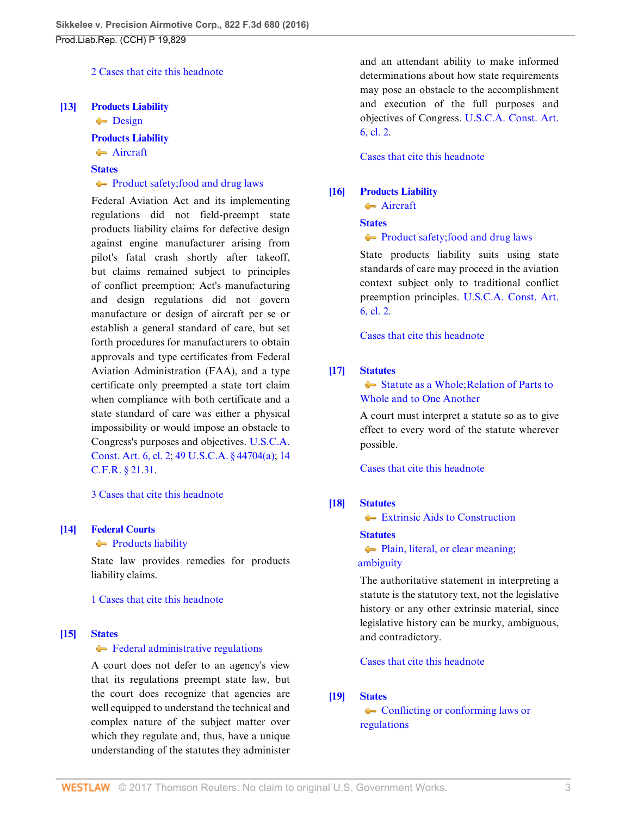## [2 Cases that cite this headnote](http://www.westlaw.com/Link/RelatedInformation/DocHeadnoteLink?docGuid=I3ec47967064211e6b4bafa136b480ad2&headnoteId=203869232101220160902003243&originationContext=document&vr=3.0&rs=cblt1.0&transitionType=CitingReferences&contextData=(sc.Search))

#### <span id="page-2-0"></span>**[\[13\]](#page-9-0) [Products Liability](http://www.westlaw.com/Browse/Home/KeyNumber/313A/View.html?docGuid=I3ec47967064211e6b4bafa136b480ad2&originationContext=document&vr=3.0&rs=cblt1.0&transitionType=DocumentItem&contextData=(sc.Search))**

 $\rightarrow$  [Design](http://www.westlaw.com/Browse/Home/KeyNumber/313Ak126/View.html?docGuid=I3ec47967064211e6b4bafa136b480ad2&originationContext=document&vr=3.0&rs=cblt1.0&transitionType=DocumentItem&contextData=(sc.Search))

## **[Products Liability](http://www.westlaw.com/Browse/Home/KeyNumber/313A/View.html?docGuid=I3ec47967064211e6b4bafa136b480ad2&originationContext=document&vr=3.0&rs=cblt1.0&transitionType=DocumentItem&contextData=(sc.Search))**

# **[Aircraft](http://www.westlaw.com/Browse/Home/KeyNumber/313Ak200/View.html?docGuid=I3ec47967064211e6b4bafa136b480ad2&originationContext=document&vr=3.0&rs=cblt1.0&transitionType=DocumentItem&contextData=(sc.Search))**

## **[States](http://www.westlaw.com/Browse/Home/KeyNumber/360/View.html?docGuid=I3ec47967064211e6b4bafa136b480ad2&originationContext=document&vr=3.0&rs=cblt1.0&transitionType=DocumentItem&contextData=(sc.Search))**

#### [Product safety; food and drug laws](http://www.westlaw.com/Browse/Home/KeyNumber/360k18.65/View.html?docGuid=I3ec47967064211e6b4bafa136b480ad2&originationContext=document&vr=3.0&rs=cblt1.0&transitionType=DocumentItem&contextData=(sc.Search))

Federal Aviation Act and its implementing regulations did not field-preempt state products liability claims for defective design against engine manufacturer arising from pilot's fatal crash shortly after takeoff, but claims remained subject to principles of conflict preemption; Act's manufacturing and design regulations did not govern manufacture or design of aircraft per se or establish a general standard of care, but set forth procedures for manufacturers to obtain approvals and type certificates from Federal Aviation Administration (FAA), and a type certificate only preempted a state tort claim when compliance with both certificate and a state standard of care was either a physical impossibility or would impose an obstacle to Congress's purposes and objectives. [U.S.C.A.](http://www.westlaw.com/Link/Document/FullText?findType=L&pubNum=1000583&cite=USCOARTVICL2&originatingDoc=I3ec47967064211e6b4bafa136b480ad2&refType=LQ&originationContext=document&vr=3.0&rs=cblt1.0&transitionType=DocumentItem&contextData=(sc.Search)) [Const. Art. 6, cl. 2](http://www.westlaw.com/Link/Document/FullText?findType=L&pubNum=1000583&cite=USCOARTVICL2&originatingDoc=I3ec47967064211e6b4bafa136b480ad2&refType=LQ&originationContext=document&vr=3.0&rs=cblt1.0&transitionType=DocumentItem&contextData=(sc.Search)); [49 U.S.C.A. § 44704\(a\);](http://www.westlaw.com/Link/Document/FullText?findType=L&pubNum=1000546&cite=49USCAS44704&originatingDoc=I3ec47967064211e6b4bafa136b480ad2&refType=RB&originationContext=document&vr=3.0&rs=cblt1.0&transitionType=DocumentItem&contextData=(sc.Search)#co_pp_8b3b0000958a4) [14](http://www.westlaw.com/Link/Document/FullText?findType=L&pubNum=1000547&cite=14CFRS21.31&originatingDoc=I3ec47967064211e6b4bafa136b480ad2&refType=LQ&originationContext=document&vr=3.0&rs=cblt1.0&transitionType=DocumentItem&contextData=(sc.Search)) [C.F.R. § 21.31.](http://www.westlaw.com/Link/Document/FullText?findType=L&pubNum=1000547&cite=14CFRS21.31&originatingDoc=I3ec47967064211e6b4bafa136b480ad2&refType=LQ&originationContext=document&vr=3.0&rs=cblt1.0&transitionType=DocumentItem&contextData=(sc.Search))

#### [3 Cases that cite this headnote](http://www.westlaw.com/Link/RelatedInformation/DocHeadnoteLink?docGuid=I3ec47967064211e6b4bafa136b480ad2&headnoteId=203869232101320160902003243&originationContext=document&vr=3.0&rs=cblt1.0&transitionType=CitingReferences&contextData=(sc.Search))

### <span id="page-2-1"></span>**[\[14\]](#page-9-1) [Federal Courts](http://www.westlaw.com/Browse/Home/KeyNumber/170B/View.html?docGuid=I3ec47967064211e6b4bafa136b480ad2&originationContext=document&vr=3.0&rs=cblt1.0&transitionType=DocumentItem&contextData=(sc.Search))**

#### **[Products liability](http://www.westlaw.com/Browse/Home/KeyNumber/170Bk3067(3)/View.html?docGuid=I3ec47967064211e6b4bafa136b480ad2&originationContext=document&vr=3.0&rs=cblt1.0&transitionType=DocumentItem&contextData=(sc.Search))**

State law provides remedies for products liability claims.

#### [1 Cases that cite this headnote](http://www.westlaw.com/Link/RelatedInformation/DocHeadnoteLink?docGuid=I3ec47967064211e6b4bafa136b480ad2&headnoteId=203869232101420160902003243&originationContext=document&vr=3.0&rs=cblt1.0&transitionType=CitingReferences&contextData=(sc.Search))

#### <span id="page-2-2"></span>**[\[15\]](#page-10-0) [States](http://www.westlaw.com/Browse/Home/KeyNumber/360/View.html?docGuid=I3ec47967064211e6b4bafa136b480ad2&originationContext=document&vr=3.0&rs=cblt1.0&transitionType=DocumentItem&contextData=(sc.Search))**

### G [Federal administrative regulations](http://www.westlaw.com/Browse/Home/KeyNumber/360k18.9/View.html?docGuid=I3ec47967064211e6b4bafa136b480ad2&originationContext=document&vr=3.0&rs=cblt1.0&transitionType=DocumentItem&contextData=(sc.Search))

A court does not defer to an agency's view that its regulations preempt state law, but the court does recognize that agencies are well equipped to understand the technical and complex nature of the subject matter over which they regulate and, thus, have a unique understanding of the statutes they administer and an attendant ability to make informed determinations about how state requirements may pose an obstacle to the accomplishment and execution of the full purposes and objectives of Congress. [U.S.C.A. Const. Art.](http://www.westlaw.com/Link/Document/FullText?findType=L&pubNum=1000583&cite=USCOARTVICL2&originatingDoc=I3ec47967064211e6b4bafa136b480ad2&refType=LQ&originationContext=document&vr=3.0&rs=cblt1.0&transitionType=DocumentItem&contextData=(sc.Search)) [6, cl. 2](http://www.westlaw.com/Link/Document/FullText?findType=L&pubNum=1000583&cite=USCOARTVICL2&originatingDoc=I3ec47967064211e6b4bafa136b480ad2&refType=LQ&originationContext=document&vr=3.0&rs=cblt1.0&transitionType=DocumentItem&contextData=(sc.Search)).

#### [Cases that cite this headnote](http://www.westlaw.com/Link/RelatedInformation/DocHeadnoteLink?docGuid=I3ec47967064211e6b4bafa136b480ad2&headnoteId=203869232101520160902003243&originationContext=document&vr=3.0&rs=cblt1.0&transitionType=CitingReferences&contextData=(sc.Search))

#### <span id="page-2-3"></span>**[\[16\]](#page-11-0) [Products Liability](http://www.westlaw.com/Browse/Home/KeyNumber/313A/View.html?docGuid=I3ec47967064211e6b4bafa136b480ad2&originationContext=document&vr=3.0&rs=cblt1.0&transitionType=DocumentItem&contextData=(sc.Search))**

**[Aircraft](http://www.westlaw.com/Browse/Home/KeyNumber/313Ak200/View.html?docGuid=I3ec47967064211e6b4bafa136b480ad2&originationContext=document&vr=3.0&rs=cblt1.0&transitionType=DocumentItem&contextData=(sc.Search))** 

#### **[States](http://www.westlaw.com/Browse/Home/KeyNumber/360/View.html?docGuid=I3ec47967064211e6b4bafa136b480ad2&originationContext=document&vr=3.0&rs=cblt1.0&transitionType=DocumentItem&contextData=(sc.Search))**

[Product safety; food and drug laws](http://www.westlaw.com/Browse/Home/KeyNumber/360k18.65/View.html?docGuid=I3ec47967064211e6b4bafa136b480ad2&originationContext=document&vr=3.0&rs=cblt1.0&transitionType=DocumentItem&contextData=(sc.Search))

State products liability suits using state standards of care may proceed in the aviation context subject only to traditional conflict preemption principles. [U.S.C.A. Const. Art.](http://www.westlaw.com/Link/Document/FullText?findType=L&pubNum=1000583&cite=USCOARTVICL2&originatingDoc=I3ec47967064211e6b4bafa136b480ad2&refType=LQ&originationContext=document&vr=3.0&rs=cblt1.0&transitionType=DocumentItem&contextData=(sc.Search)) [6, cl. 2](http://www.westlaw.com/Link/Document/FullText?findType=L&pubNum=1000583&cite=USCOARTVICL2&originatingDoc=I3ec47967064211e6b4bafa136b480ad2&refType=LQ&originationContext=document&vr=3.0&rs=cblt1.0&transitionType=DocumentItem&contextData=(sc.Search)).

[Cases that cite this headnote](http://www.westlaw.com/Link/RelatedInformation/DocHeadnoteLink?docGuid=I3ec47967064211e6b4bafa136b480ad2&headnoteId=203869232101620160902003243&originationContext=document&vr=3.0&rs=cblt1.0&transitionType=CitingReferences&contextData=(sc.Search))

#### <span id="page-2-4"></span>**[\[17\]](#page-12-0) [Statutes](http://www.westlaw.com/Browse/Home/KeyNumber/361/View.html?docGuid=I3ec47967064211e6b4bafa136b480ad2&originationContext=document&vr=3.0&rs=cblt1.0&transitionType=DocumentItem&contextData=(sc.Search))**

Statute as a Whole: Relation of Parts to [Whole and to One Another](http://www.westlaw.com/Browse/Home/KeyNumber/361III(E)/View.html?docGuid=I3ec47967064211e6b4bafa136b480ad2&originationContext=document&vr=3.0&rs=cblt1.0&transitionType=DocumentItem&contextData=(sc.Search))

A court must interpret a statute so as to give effect to every word of the statute wherever possible.

[Cases that cite this headnote](http://www.westlaw.com/Link/RelatedInformation/DocHeadnoteLink?docGuid=I3ec47967064211e6b4bafa136b480ad2&headnoteId=203869232101720160902003243&originationContext=document&vr=3.0&rs=cblt1.0&transitionType=CitingReferences&contextData=(sc.Search))

## <span id="page-2-5"></span>**[\[18\]](#page-12-1) [Statutes](http://www.westlaw.com/Browse/Home/KeyNumber/361/View.html?docGuid=I3ec47967064211e6b4bafa136b480ad2&originationContext=document&vr=3.0&rs=cblt1.0&transitionType=DocumentItem&contextData=(sc.Search))**

**■** [Extrinsic Aids to Construction](http://www.westlaw.com/Browse/Home/KeyNumber/361III(F)/View.html?docGuid=I3ec47967064211e6b4bafa136b480ad2&originationContext=document&vr=3.0&rs=cblt1.0&transitionType=DocumentItem&contextData=(sc.Search))

#### **[Statutes](http://www.westlaw.com/Browse/Home/KeyNumber/361/View.html?docGuid=I3ec47967064211e6b4bafa136b480ad2&originationContext=document&vr=3.0&rs=cblt1.0&transitionType=DocumentItem&contextData=(sc.Search))**

[Plain, literal, or clear meaning;](http://www.westlaw.com/Browse/Home/KeyNumber/361k1242/View.html?docGuid=I3ec47967064211e6b4bafa136b480ad2&originationContext=document&vr=3.0&rs=cblt1.0&transitionType=DocumentItem&contextData=(sc.Search))   [ambiguity](http://www.westlaw.com/Browse/Home/KeyNumber/361k1242/View.html?docGuid=I3ec47967064211e6b4bafa136b480ad2&originationContext=document&vr=3.0&rs=cblt1.0&transitionType=DocumentItem&contextData=(sc.Search))

The authoritative statement in interpreting a statute is the statutory text, not the legislative history or any other extrinsic material, since legislative history can be murky, ambiguous, and contradictory.

[Cases that cite this headnote](http://www.westlaw.com/Link/RelatedInformation/DocHeadnoteLink?docGuid=I3ec47967064211e6b4bafa136b480ad2&headnoteId=203869232101820160902003243&originationContext=document&vr=3.0&rs=cblt1.0&transitionType=CitingReferences&contextData=(sc.Search))

### <span id="page-2-6"></span>**[\[19\]](#page-16-0) [States](http://www.westlaw.com/Browse/Home/KeyNumber/360/View.html?docGuid=I3ec47967064211e6b4bafa136b480ad2&originationContext=document&vr=3.0&rs=cblt1.0&transitionType=DocumentItem&contextData=(sc.Search))**

• [Conflicting or conforming laws or](http://www.westlaw.com/Browse/Home/KeyNumber/360k18.5/View.html?docGuid=I3ec47967064211e6b4bafa136b480ad2&originationContext=document&vr=3.0&rs=cblt1.0&transitionType=DocumentItem&contextData=(sc.Search)) [regulations](http://www.westlaw.com/Browse/Home/KeyNumber/360k18.5/View.html?docGuid=I3ec47967064211e6b4bafa136b480ad2&originationContext=document&vr=3.0&rs=cblt1.0&transitionType=DocumentItem&contextData=(sc.Search))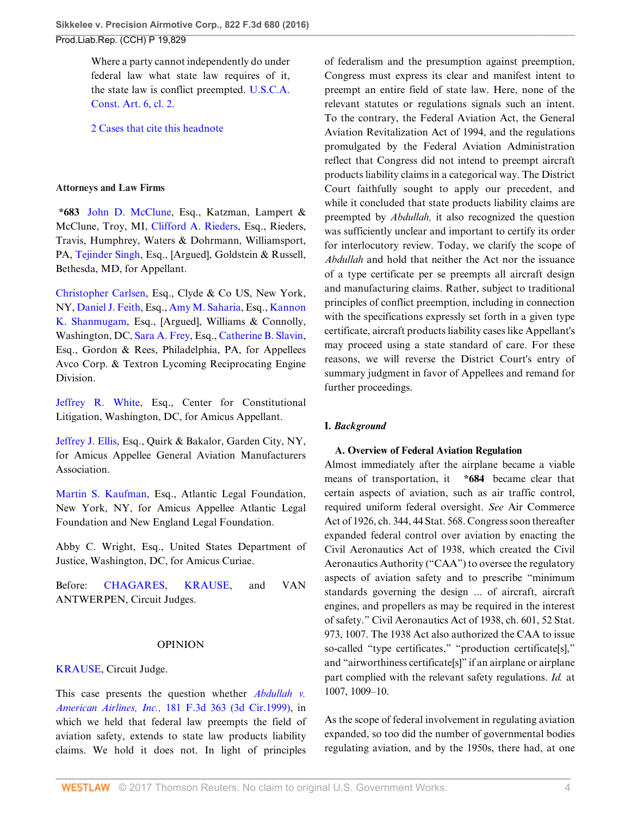Where a party cannot independently do under federal law what state law requires of it, the state law is conflict preempted. [U.S.C.A.](http://www.westlaw.com/Link/Document/FullText?findType=L&pubNum=1000583&cite=USCOARTVICL2&originatingDoc=I3ec47967064211e6b4bafa136b480ad2&refType=LQ&originationContext=document&vr=3.0&rs=cblt1.0&transitionType=DocumentItem&contextData=(sc.Search)) [Const. Art. 6, cl. 2.](http://www.westlaw.com/Link/Document/FullText?findType=L&pubNum=1000583&cite=USCOARTVICL2&originatingDoc=I3ec47967064211e6b4bafa136b480ad2&refType=LQ&originationContext=document&vr=3.0&rs=cblt1.0&transitionType=DocumentItem&contextData=(sc.Search))

[2 Cases that cite this headnote](http://www.westlaw.com/Link/RelatedInformation/DocHeadnoteLink?docGuid=I3ec47967064211e6b4bafa136b480ad2&headnoteId=203869232101920160902003243&originationContext=document&vr=3.0&rs=cblt1.0&transitionType=CitingReferences&contextData=(sc.Search))

## **Attorneys and Law Firms**

**\*683** [John D. McClune](http://www.westlaw.com/Link/Document/FullText?findType=h&pubNum=176284&cite=0250418501&originatingDoc=I3ec47967064211e6b4bafa136b480ad2&refType=RQ&originationContext=document&vr=3.0&rs=cblt1.0&transitionType=DocumentItem&contextData=(sc.Search)), Esq., Katzman, Lampert & McClune, Troy, MI, [Clifford A. Rieders,](http://www.westlaw.com/Link/Document/FullText?findType=h&pubNum=176284&cite=0162052201&originatingDoc=I3ec47967064211e6b4bafa136b480ad2&refType=RQ&originationContext=document&vr=3.0&rs=cblt1.0&transitionType=DocumentItem&contextData=(sc.Search)) Esq., Rieders, Travis, Humphrey, Waters & Dohrmann, Williamsport, PA, [Tejinder Singh,](http://www.westlaw.com/Link/Document/FullText?findType=h&pubNum=176284&cite=0383605701&originatingDoc=I3ec47967064211e6b4bafa136b480ad2&refType=RQ&originationContext=document&vr=3.0&rs=cblt1.0&transitionType=DocumentItem&contextData=(sc.Search)) Esq., [Argued], Goldstein & Russell, Bethesda, MD, for Appellant.

[Christopher Carlsen](http://www.westlaw.com/Link/Document/FullText?findType=h&pubNum=176284&cite=0167250901&originatingDoc=I3ec47967064211e6b4bafa136b480ad2&refType=RQ&originationContext=document&vr=3.0&rs=cblt1.0&transitionType=DocumentItem&contextData=(sc.Search)), Esq., Clyde & Co US, New York, NY, [Daniel J. Feith](http://www.westlaw.com/Link/Document/FullText?findType=h&pubNum=176284&cite=0488752499&originatingDoc=I3ec47967064211e6b4bafa136b480ad2&refType=RQ&originationContext=document&vr=3.0&rs=cblt1.0&transitionType=DocumentItem&contextData=(sc.Search)), Esq., [Amy M. Saharia,](http://www.westlaw.com/Link/Document/FullText?findType=h&pubNum=176284&cite=0405642101&originatingDoc=I3ec47967064211e6b4bafa136b480ad2&refType=RQ&originationContext=document&vr=3.0&rs=cblt1.0&transitionType=DocumentItem&contextData=(sc.Search)) Esq., [Kannon](http://www.westlaw.com/Link/Document/FullText?findType=h&pubNum=176284&cite=0319471701&originatingDoc=I3ec47967064211e6b4bafa136b480ad2&refType=RQ&originationContext=document&vr=3.0&rs=cblt1.0&transitionType=DocumentItem&contextData=(sc.Search)) [K. Shanmugam,](http://www.westlaw.com/Link/Document/FullText?findType=h&pubNum=176284&cite=0319471701&originatingDoc=I3ec47967064211e6b4bafa136b480ad2&refType=RQ&originationContext=document&vr=3.0&rs=cblt1.0&transitionType=DocumentItem&contextData=(sc.Search)) Esq., [Argued], Williams & Connolly, Washington, DC, [Sara A. Frey](http://www.westlaw.com/Link/Document/FullText?findType=h&pubNum=176284&cite=0308526501&originatingDoc=I3ec47967064211e6b4bafa136b480ad2&refType=RQ&originationContext=document&vr=3.0&rs=cblt1.0&transitionType=DocumentItem&contextData=(sc.Search)), Esq., [Catherine B. Slavin](http://www.westlaw.com/Link/Document/FullText?findType=h&pubNum=176284&cite=0335572101&originatingDoc=I3ec47967064211e6b4bafa136b480ad2&refType=RQ&originationContext=document&vr=3.0&rs=cblt1.0&transitionType=DocumentItem&contextData=(sc.Search)), Esq., Gordon & Rees, Philadelphia, PA, for Appellees Avco Corp. & Textron Lycoming Reciprocating Engine Division.

[Jeffrey R. White,](http://www.westlaw.com/Link/Document/FullText?findType=h&pubNum=176284&cite=0168411101&originatingDoc=I3ec47967064211e6b4bafa136b480ad2&refType=RQ&originationContext=document&vr=3.0&rs=cblt1.0&transitionType=DocumentItem&contextData=(sc.Search)) Esq., Center for Constitutional Litigation, Washington, DC, for Amicus Appellant.

[Jeffrey J. Ellis](http://www.westlaw.com/Link/Document/FullText?findType=h&pubNum=176284&cite=0108238801&originatingDoc=I3ec47967064211e6b4bafa136b480ad2&refType=RQ&originationContext=document&vr=3.0&rs=cblt1.0&transitionType=DocumentItem&contextData=(sc.Search)), Esq., Quirk & Bakalor, Garden City, NY, for Amicus Appellee General Aviation Manufacturers Association.

[Martin S. Kaufman,](http://www.westlaw.com/Link/Document/FullText?findType=h&pubNum=176284&cite=0285800901&originatingDoc=I3ec47967064211e6b4bafa136b480ad2&refType=RQ&originationContext=document&vr=3.0&rs=cblt1.0&transitionType=DocumentItem&contextData=(sc.Search)) Esq., Atlantic Legal Foundation, New York, NY, for Amicus Appellee Atlantic Legal Foundation and New England Legal Foundation.

Abby C. Wright, Esq., United States Department of Justice, Washington, DC, for Amicus Curiae.

Before: [CHAGARES,](http://www.westlaw.com/Link/Document/FullText?findType=h&pubNum=176284&cite=0102421001&originatingDoc=I3ec47967064211e6b4bafa136b480ad2&refType=RQ&originationContext=document&vr=3.0&rs=cblt1.0&transitionType=DocumentItem&contextData=(sc.Search)) [KRAUSE,](http://www.westlaw.com/Link/Document/FullText?findType=h&pubNum=176284&cite=0486828401&originatingDoc=I3ec47967064211e6b4bafa136b480ad2&refType=RQ&originationContext=document&vr=3.0&rs=cblt1.0&transitionType=DocumentItem&contextData=(sc.Search)) and VAN ANTWERPEN, Circuit Judges.

## OPINION

## [KRAUSE](http://www.westlaw.com/Link/Document/FullText?findType=h&pubNum=176284&cite=0486828401&originatingDoc=I3ec47967064211e6b4bafa136b480ad2&refType=RQ&originationContext=document&vr=3.0&rs=cblt1.0&transitionType=DocumentItem&contextData=(sc.Search)), Circuit Judge.

This case presents the question whether *[Abdullah v.](http://www.westlaw.com/Link/Document/FullText?findType=Y&serNum=1999148854&pubNum=0000506&originatingDoc=I3ec47967064211e6b4bafa136b480ad2&refType=RP&originationContext=document&vr=3.0&rs=cblt1.0&transitionType=DocumentItem&contextData=(sc.Search)) American Airlines, Inc.,* [181 F.3d 363 \(3d Cir.1999\),](http://www.westlaw.com/Link/Document/FullText?findType=Y&serNum=1999148854&pubNum=0000506&originatingDoc=I3ec47967064211e6b4bafa136b480ad2&refType=RP&originationContext=document&vr=3.0&rs=cblt1.0&transitionType=DocumentItem&contextData=(sc.Search)) in which we held that federal law preempts the field of aviation safety, extends to state law products liability claims. We hold it does not. In light of principles

of federalism and the presumption against preemption, Congress must express its clear and manifest intent to preempt an entire field of state law. Here, none of the relevant statutes or regulations signals such an intent. To the contrary, the Federal Aviation Act, the General Aviation Revitalization Act of 1994, and the regulations promulgated by the Federal Aviation Administration reflect that Congress did not intend to preempt aircraft products liability claims in a categorical way. The District Court faithfully sought to apply our precedent, and while it concluded that state products liability claims are preempted by *Abdullah,* it also recognized the question was sufficiently unclear and important to certify its order for interlocutory review. Today, we clarify the scope of *Abdullah* and hold that neither the Act nor the issuance of a type certificate per se preempts all aircraft design and manufacturing claims. Rather, subject to traditional principles of conflict preemption, including in connection with the specifications expressly set forth in a given type certificate, aircraft products liability cases like Appellant's may proceed using a state standard of care. For these reasons, we will reverse the District Court's entry of summary judgment in favor of Appellees and remand for further proceedings.

## **I.** *Background*

### **A. Overview of Federal Aviation Regulation**

Almost immediately after the airplane became a viable means of transportation, it **\*684** became clear that certain aspects of aviation, such as air traffic control, required uniform federal oversight. *See* Air Commerce Act of 1926, ch. 344, 44 Stat. 568. Congress soon thereafter expanded federal control over aviation by enacting the Civil Aeronautics Act of 1938, which created the Civil Aeronautics Authority ("CAA") to oversee the regulatory aspects of aviation safety and to prescribe "minimum standards governing the design ... of aircraft, aircraft engines, and propellers as may be required in the interest of safety." Civil Aeronautics Act of 1938, ch. 601, 52 Stat. 973, 1007. The 1938 Act also authorized the CAA to issue so-called "type certificates," "production certificate[s]," and "airworthiness certificate[s]" if an airplane or airplane part complied with the relevant safety regulations. *Id.* at 1007, 1009–10.

As the scope of federal involvement in regulating aviation expanded, so too did the number of governmental bodies regulating aviation, and by the 1950s, there had, at one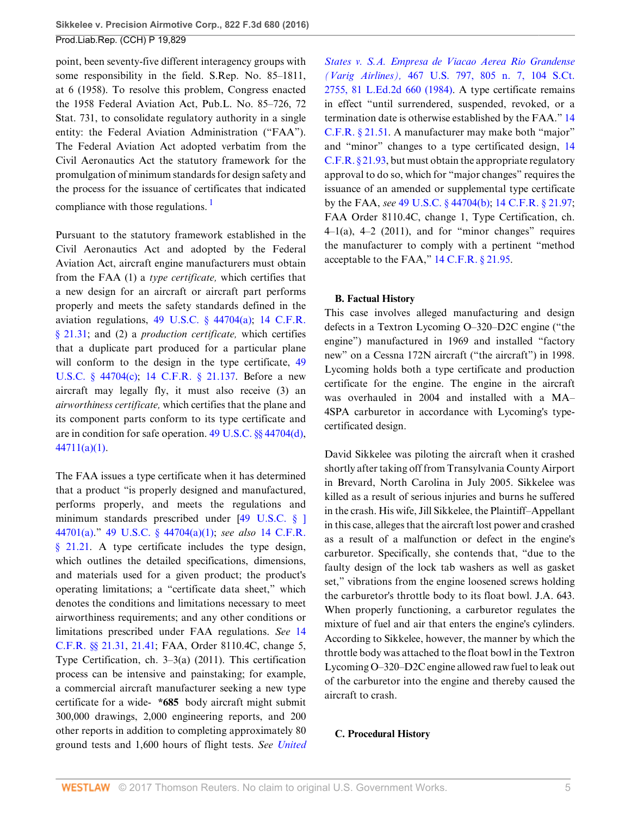point, been seventy-five different interagency groups with some responsibility in the field. S.Rep. No. 85–1811, at 6 (1958). To resolve this problem, Congress enacted the 1958 Federal Aviation Act, Pub.L. No. 85–726, 72 Stat. 731, to consolidate regulatory authority in a single entity: the Federal Aviation Administration ("FAA"). The Federal Aviation Act adopted verbatim from the Civil Aeronautics Act the statutory framework for the promulgation of minimum standards for design safety and the process for the issuance of certificates that indicated compliance with those regulations.  $\frac{1}{1}$  $\frac{1}{1}$  $\frac{1}{1}$ 

<span id="page-4-0"></span>Pursuant to the statutory framework established in the Civil Aeronautics Act and adopted by the Federal Aviation Act, aircraft engine manufacturers must obtain from the FAA (1) a *type certificate,* which certifies that a new design for an aircraft or aircraft part performs properly and meets the safety standards defined in the aviation regulations, [49 U.S.C. § 44704\(a\)](http://www.westlaw.com/Link/Document/FullText?findType=L&pubNum=1000546&cite=49USCAS44704&originatingDoc=I3ec47967064211e6b4bafa136b480ad2&refType=RB&originationContext=document&vr=3.0&rs=cblt1.0&transitionType=DocumentItem&contextData=(sc.Search)#co_pp_8b3b0000958a4); [14 C.F.R.](http://www.westlaw.com/Link/Document/FullText?findType=L&pubNum=1000547&cite=14CFRS21.31&originatingDoc=I3ec47967064211e6b4bafa136b480ad2&refType=LQ&originationContext=document&vr=3.0&rs=cblt1.0&transitionType=DocumentItem&contextData=(sc.Search)) [§ 21.31;](http://www.westlaw.com/Link/Document/FullText?findType=L&pubNum=1000547&cite=14CFRS21.31&originatingDoc=I3ec47967064211e6b4bafa136b480ad2&refType=LQ&originationContext=document&vr=3.0&rs=cblt1.0&transitionType=DocumentItem&contextData=(sc.Search)) and (2) a *production certificate,* which certifies that a duplicate part produced for a particular plane will conform to the design in the type certificate, [49](http://www.westlaw.com/Link/Document/FullText?findType=L&pubNum=1000546&cite=49USCAS44704&originatingDoc=I3ec47967064211e6b4bafa136b480ad2&refType=RB&originationContext=document&vr=3.0&rs=cblt1.0&transitionType=DocumentItem&contextData=(sc.Search)#co_pp_4b24000003ba5) [U.S.C. § 44704\(c\)](http://www.westlaw.com/Link/Document/FullText?findType=L&pubNum=1000546&cite=49USCAS44704&originatingDoc=I3ec47967064211e6b4bafa136b480ad2&refType=RB&originationContext=document&vr=3.0&rs=cblt1.0&transitionType=DocumentItem&contextData=(sc.Search)#co_pp_4b24000003ba5); [14 C.F.R. § 21.137](http://www.westlaw.com/Link/Document/FullText?findType=L&pubNum=1000547&cite=14CFRS21.137&originatingDoc=I3ec47967064211e6b4bafa136b480ad2&refType=LQ&originationContext=document&vr=3.0&rs=cblt1.0&transitionType=DocumentItem&contextData=(sc.Search)). Before a new aircraft may legally fly, it must also receive (3) an *airworthiness certificate,* which certifies that the plane and its component parts conform to its type certificate and are in condition for safe operation. [49 U.S.C. §§ 44704\(d\)](http://www.westlaw.com/Link/Document/FullText?findType=L&pubNum=1000546&cite=49USCAS44704&originatingDoc=I3ec47967064211e6b4bafa136b480ad2&refType=RB&originationContext=document&vr=3.0&rs=cblt1.0&transitionType=DocumentItem&contextData=(sc.Search)#co_pp_5ba1000067d06), [44711\(a\)\(1\)](http://www.westlaw.com/Link/Document/FullText?findType=L&pubNum=1000546&cite=49USCAS44711&originatingDoc=I3ec47967064211e6b4bafa136b480ad2&refType=RB&originationContext=document&vr=3.0&rs=cblt1.0&transitionType=DocumentItem&contextData=(sc.Search)#co_pp_7b9b000044381).

The FAA issues a type certificate when it has determined that a product "is properly designed and manufactured, performs properly, and meets the regulations and minimum standards prescribed under [[49 U.S.C. § \]](http://www.westlaw.com/Link/Document/FullText?findType=L&pubNum=1000546&cite=49USCAS44701&originatingDoc=I3ec47967064211e6b4bafa136b480ad2&refType=RB&originationContext=document&vr=3.0&rs=cblt1.0&transitionType=DocumentItem&contextData=(sc.Search)#co_pp_8b3b0000958a4) [44701\(a\).](http://www.westlaw.com/Link/Document/FullText?findType=L&pubNum=1000546&cite=49USCAS44701&originatingDoc=I3ec47967064211e6b4bafa136b480ad2&refType=RB&originationContext=document&vr=3.0&rs=cblt1.0&transitionType=DocumentItem&contextData=(sc.Search)#co_pp_8b3b0000958a4)" [49 U.S.C. § 44704\(a\)\(1\);](http://www.westlaw.com/Link/Document/FullText?findType=L&pubNum=1000546&cite=49USCAS44704&originatingDoc=I3ec47967064211e6b4bafa136b480ad2&refType=RB&originationContext=document&vr=3.0&rs=cblt1.0&transitionType=DocumentItem&contextData=(sc.Search)#co_pp_7b9b000044381) *see also* [14 C.F.R.](http://www.westlaw.com/Link/Document/FullText?findType=L&pubNum=1000547&cite=14CFRS21.21&originatingDoc=I3ec47967064211e6b4bafa136b480ad2&refType=LQ&originationContext=document&vr=3.0&rs=cblt1.0&transitionType=DocumentItem&contextData=(sc.Search)) [§ 21.21.](http://www.westlaw.com/Link/Document/FullText?findType=L&pubNum=1000547&cite=14CFRS21.21&originatingDoc=I3ec47967064211e6b4bafa136b480ad2&refType=LQ&originationContext=document&vr=3.0&rs=cblt1.0&transitionType=DocumentItem&contextData=(sc.Search)) A type certificate includes the type design, which outlines the detailed specifications, dimensions, and materials used for a given product; the product's operating limitations; a "certificate data sheet," which denotes the conditions and limitations necessary to meet airworthiness requirements; and any other conditions or limitations prescribed under FAA regulations. *See* [14](http://www.westlaw.com/Link/Document/FullText?findType=L&pubNum=1000547&cite=14CFRS21.31&originatingDoc=I3ec47967064211e6b4bafa136b480ad2&refType=LQ&originationContext=document&vr=3.0&rs=cblt1.0&transitionType=DocumentItem&contextData=(sc.Search)) [C.F.R. §§ 21.31](http://www.westlaw.com/Link/Document/FullText?findType=L&pubNum=1000547&cite=14CFRS21.31&originatingDoc=I3ec47967064211e6b4bafa136b480ad2&refType=LQ&originationContext=document&vr=3.0&rs=cblt1.0&transitionType=DocumentItem&contextData=(sc.Search)), [21.41;](http://www.westlaw.com/Link/Document/FullText?findType=L&pubNum=1000547&cite=14CFRS21.41&originatingDoc=I3ec47967064211e6b4bafa136b480ad2&refType=LQ&originationContext=document&vr=3.0&rs=cblt1.0&transitionType=DocumentItem&contextData=(sc.Search)) FAA, Order 8110.4C, change 5, Type Certification, ch. 3–3(a) (2011). This certification process can be intensive and painstaking; for example, a commercial aircraft manufacturer seeking a new type certificate for a wide- **\*685** body aircraft might submit 300,000 drawings, 2,000 engineering reports, and 200 other reports in addition to completing approximately 80 ground tests and 1,600 hours of flight tests. *See [United](http://www.westlaw.com/Link/Document/FullText?findType=Y&serNum=1984129788&pubNum=0000708&originatingDoc=I3ec47967064211e6b4bafa136b480ad2&refType=RP&originationContext=document&vr=3.0&rs=cblt1.0&transitionType=DocumentItem&contextData=(sc.Search))* *[States v. S.A. Empresa de Viacao Aerea Rio Grandense](http://www.westlaw.com/Link/Document/FullText?findType=Y&serNum=1984129788&pubNum=0000708&originatingDoc=I3ec47967064211e6b4bafa136b480ad2&refType=RP&originationContext=document&vr=3.0&rs=cblt1.0&transitionType=DocumentItem&contextData=(sc.Search)) (Varig Airlines),* [467 U.S. 797, 805 n. 7, 104 S.Ct.](http://www.westlaw.com/Link/Document/FullText?findType=Y&serNum=1984129788&pubNum=0000708&originatingDoc=I3ec47967064211e6b4bafa136b480ad2&refType=RP&originationContext=document&vr=3.0&rs=cblt1.0&transitionType=DocumentItem&contextData=(sc.Search)) [2755, 81 L.Ed.2d 660 \(1984\)](http://www.westlaw.com/Link/Document/FullText?findType=Y&serNum=1984129788&pubNum=0000708&originatingDoc=I3ec47967064211e6b4bafa136b480ad2&refType=RP&originationContext=document&vr=3.0&rs=cblt1.0&transitionType=DocumentItem&contextData=(sc.Search)). A type certificate remains in effect "until surrendered, suspended, revoked, or a termination date is otherwise established by the FAA." [14](http://www.westlaw.com/Link/Document/FullText?findType=L&pubNum=1000547&cite=14CFRS21.51&originatingDoc=I3ec47967064211e6b4bafa136b480ad2&refType=LQ&originationContext=document&vr=3.0&rs=cblt1.0&transitionType=DocumentItem&contextData=(sc.Search)) [C.F.R. § 21.51.](http://www.westlaw.com/Link/Document/FullText?findType=L&pubNum=1000547&cite=14CFRS21.51&originatingDoc=I3ec47967064211e6b4bafa136b480ad2&refType=LQ&originationContext=document&vr=3.0&rs=cblt1.0&transitionType=DocumentItem&contextData=(sc.Search)) A manufacturer may make both "major" and "minor" changes to a type certificated design, [14](http://www.westlaw.com/Link/Document/FullText?findType=L&pubNum=1000547&cite=14CFRS21.93&originatingDoc=I3ec47967064211e6b4bafa136b480ad2&refType=LQ&originationContext=document&vr=3.0&rs=cblt1.0&transitionType=DocumentItem&contextData=(sc.Search)) [C.F.R. § 21.93,](http://www.westlaw.com/Link/Document/FullText?findType=L&pubNum=1000547&cite=14CFRS21.93&originatingDoc=I3ec47967064211e6b4bafa136b480ad2&refType=LQ&originationContext=document&vr=3.0&rs=cblt1.0&transitionType=DocumentItem&contextData=(sc.Search)) but must obtain the appropriate regulatory approval to do so, which for "major changes" requires the issuance of an amended or supplemental type certificate by the FAA, *see* [49 U.S.C. § 44704\(b\)](http://www.westlaw.com/Link/Document/FullText?findType=L&pubNum=1000546&cite=49USCAS44704&originatingDoc=I3ec47967064211e6b4bafa136b480ad2&refType=RB&originationContext=document&vr=3.0&rs=cblt1.0&transitionType=DocumentItem&contextData=(sc.Search)#co_pp_a83b000018c76); [14 C.F.R. § 21.97](http://www.westlaw.com/Link/Document/FullText?findType=L&pubNum=1000547&cite=14CFRS21.97&originatingDoc=I3ec47967064211e6b4bafa136b480ad2&refType=LQ&originationContext=document&vr=3.0&rs=cblt1.0&transitionType=DocumentItem&contextData=(sc.Search)); FAA Order 8110.4C, change 1, Type Certification, ch.  $4-1(a)$ ,  $4-2$  (2011), and for "minor changes" requires the manufacturer to comply with a pertinent "method acceptable to the FAA," [14 C.F.R. § 21.95](http://www.westlaw.com/Link/Document/FullText?findType=L&pubNum=1000547&cite=14CFRS21.95&originatingDoc=I3ec47967064211e6b4bafa136b480ad2&refType=LQ&originationContext=document&vr=3.0&rs=cblt1.0&transitionType=DocumentItem&contextData=(sc.Search)).

## **B. Factual History**

This case involves alleged manufacturing and design defects in a Textron Lycoming O–320–D2C engine ("the engine") manufactured in 1969 and installed "factory new" on a Cessna 172N aircraft ("the aircraft") in 1998. Lycoming holds both a type certificate and production certificate for the engine. The engine in the aircraft was overhauled in 2004 and installed with a MA– 4SPA carburetor in accordance with Lycoming's typecertificated design.

David Sikkelee was piloting the aircraft when it crashed shortly after taking off from Transylvania County Airport in Brevard, North Carolina in July 2005. Sikkelee was killed as a result of serious injuries and burns he suffered in the crash. His wife, Jill Sikkelee, the Plaintiff–Appellant in this case, alleges that the aircraft lost power and crashed as a result of a malfunction or defect in the engine's carburetor. Specifically, she contends that, "due to the faulty design of the lock tab washers as well as gasket set," vibrations from the engine loosened screws holding the carburetor's throttle body to its float bowl. J.A. 643. When properly functioning, a carburetor regulates the mixture of fuel and air that enters the engine's cylinders. According to Sikkelee, however, the manner by which the throttle body was attached to the float bowl in the Textron Lycoming O–320–D2C engine allowed raw fuel to leak out of the carburetor into the engine and thereby caused the aircraft to crash.

## **C. Procedural History**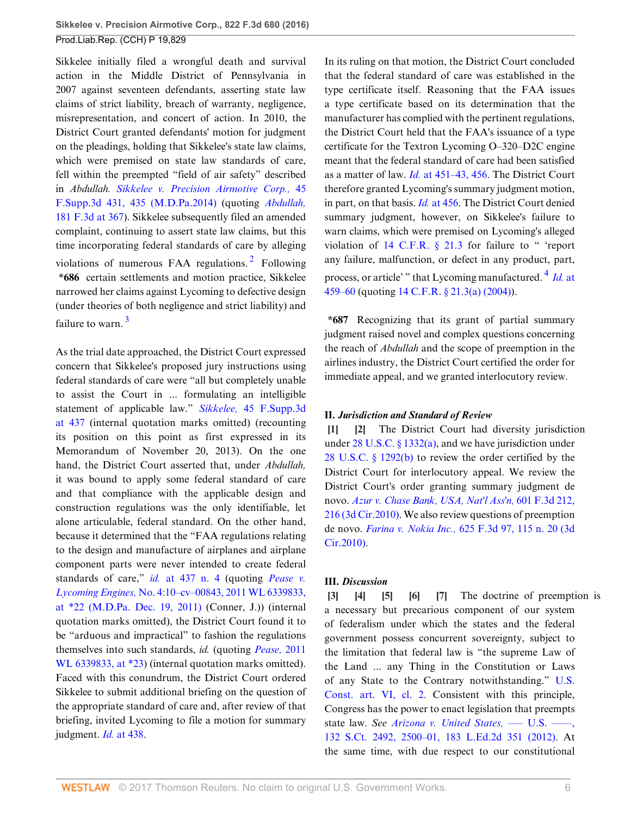Sikkelee initially filed a wrongful death and survival action in the Middle District of Pennsylvania in 2007 against seventeen defendants, asserting state law claims of strict liability, breach of warranty, negligence, misrepresentation, and concert of action. In 2010, the District Court granted defendants' motion for judgment on the pleadings, holding that Sikkelee's state law claims, which were premised on state law standards of care, fell within the preempted "field of air safety" described in *Abdullah. [Sikkelee v. Precision Airmotive Corp.,](http://www.westlaw.com/Link/Document/FullText?findType=Y&serNum=2034316153&pubNum=0007903&originatingDoc=I3ec47967064211e6b4bafa136b480ad2&refType=RP&fi=co_pp_sp_7903_435&originationContext=document&vr=3.0&rs=cblt1.0&transitionType=DocumentItem&contextData=(sc.Search)#co_pp_sp_7903_435)* 45 [F.Supp.3d 431, 435 \(M.D.Pa.2014\)](http://www.westlaw.com/Link/Document/FullText?findType=Y&serNum=2034316153&pubNum=0007903&originatingDoc=I3ec47967064211e6b4bafa136b480ad2&refType=RP&fi=co_pp_sp_7903_435&originationContext=document&vr=3.0&rs=cblt1.0&transitionType=DocumentItem&contextData=(sc.Search)#co_pp_sp_7903_435) (quoting *[Abdullah,](http://www.westlaw.com/Link/Document/FullText?findType=Y&serNum=1999148854&pubNum=0000506&originatingDoc=I3ec47967064211e6b4bafa136b480ad2&refType=RP&fi=co_pp_sp_506_367&originationContext=document&vr=3.0&rs=cblt1.0&transitionType=DocumentItem&contextData=(sc.Search)#co_pp_sp_506_367)* [181 F.3d at 367](http://www.westlaw.com/Link/Document/FullText?findType=Y&serNum=1999148854&pubNum=0000506&originatingDoc=I3ec47967064211e6b4bafa136b480ad2&refType=RP&fi=co_pp_sp_506_367&originationContext=document&vr=3.0&rs=cblt1.0&transitionType=DocumentItem&contextData=(sc.Search)#co_pp_sp_506_367)). Sikkelee subsequently filed an amended complaint, continuing to assert state law claims, but this time incorporating federal standards of care by alleging violations of numerous FAA regulations.<sup>[2](#page-20-1)</sup> Following **\*686** certain settlements and motion practice, Sikkelee narrowed her claims against Lycoming to defective design (under theories of both negligence and strict liability) and failure to warn.<sup>[3](#page-20-2)</sup>

<span id="page-5-8"></span>As the trial date approached, the District Court expressed concern that Sikkelee's proposed jury instructions using federal standards of care were "all but completely unable to assist the Court in ... formulating an intelligible statement of applicable law." *Sikkelee,* [45 F.Supp.3d](http://www.westlaw.com/Link/Document/FullText?findType=Y&serNum=2034316153&pubNum=0007903&originatingDoc=I3ec47967064211e6b4bafa136b480ad2&refType=RP&fi=co_pp_sp_7903_437&originationContext=document&vr=3.0&rs=cblt1.0&transitionType=DocumentItem&contextData=(sc.Search)#co_pp_sp_7903_437) [at 437](http://www.westlaw.com/Link/Document/FullText?findType=Y&serNum=2034316153&pubNum=0007903&originatingDoc=I3ec47967064211e6b4bafa136b480ad2&refType=RP&fi=co_pp_sp_7903_437&originationContext=document&vr=3.0&rs=cblt1.0&transitionType=DocumentItem&contextData=(sc.Search)#co_pp_sp_7903_437) (internal quotation marks omitted) (recounting its position on this point as first expressed in its Memorandum of November 20, 2013). On the one hand, the District Court asserted that, under *Abdullah,* it was bound to apply some federal standard of care and that compliance with the applicable design and construction regulations was the only identifiable, let alone articulable, federal standard. On the other hand, because it determined that the "FAA regulations relating to the design and manufacture of airplanes and airplane component parts were never intended to create federal standards of care," *id.* [at 437 n. 4](http://www.westlaw.com/Link/Document/FullText?findType=Y&serNum=2034316153&pubNum=0007903&originatingDoc=I3ec47967064211e6b4bafa136b480ad2&refType=RP&fi=co_pp_sp_7903_437&originationContext=document&vr=3.0&rs=cblt1.0&transitionType=DocumentItem&contextData=(sc.Search)#co_pp_sp_7903_437) (quoting *[Pease v.](http://www.westlaw.com/Link/Document/FullText?findType=Y&serNum=2026709812&pubNum=0000999&originatingDoc=I3ec47967064211e6b4bafa136b480ad2&refType=RP&originationContext=document&vr=3.0&rs=cblt1.0&transitionType=DocumentItem&contextData=(sc.Search)) Lycoming Engines,* [No. 4:10–cv–00843, 2011 WL 6339833,](http://www.westlaw.com/Link/Document/FullText?findType=Y&serNum=2026709812&pubNum=0000999&originatingDoc=I3ec47967064211e6b4bafa136b480ad2&refType=RP&originationContext=document&vr=3.0&rs=cblt1.0&transitionType=DocumentItem&contextData=(sc.Search)) [at \\*22 \(M.D.Pa. Dec. 19, 2011\)](http://www.westlaw.com/Link/Document/FullText?findType=Y&serNum=2026709812&pubNum=0000999&originatingDoc=I3ec47967064211e6b4bafa136b480ad2&refType=RP&originationContext=document&vr=3.0&rs=cblt1.0&transitionType=DocumentItem&contextData=(sc.Search)) (Conner, J.)) (internal quotation marks omitted), the District Court found it to be "arduous and impractical" to fashion the regulations themselves into such standards, *id.* (quoting *[Pease,](http://www.westlaw.com/Link/Document/FullText?findType=Y&serNum=2026709812&pubNum=0000999&originatingDoc=I3ec47967064211e6b4bafa136b480ad2&refType=RP&originationContext=document&vr=3.0&rs=cblt1.0&transitionType=DocumentItem&contextData=(sc.Search))* 2011 [WL 6339833, at \\*23](http://www.westlaw.com/Link/Document/FullText?findType=Y&serNum=2026709812&pubNum=0000999&originatingDoc=I3ec47967064211e6b4bafa136b480ad2&refType=RP&originationContext=document&vr=3.0&rs=cblt1.0&transitionType=DocumentItem&contextData=(sc.Search))) (internal quotation marks omitted). Faced with this conundrum, the District Court ordered Sikkelee to submit additional briefing on the question of the appropriate standard of care and, after review of that briefing, invited Lycoming to file a motion for summary judgment. *Id.* [at 438](http://www.westlaw.com/Link/Document/FullText?findType=Y&serNum=2034316153&pubNum=0007903&originatingDoc=I3ec47967064211e6b4bafa136b480ad2&refType=RP&fi=co_pp_sp_7903_438&originationContext=document&vr=3.0&rs=cblt1.0&transitionType=DocumentItem&contextData=(sc.Search)#co_pp_sp_7903_438).

In its ruling on that motion, the District Court concluded that the federal standard of care was established in the type certificate itself. Reasoning that the FAA issues a type certificate based on its determination that the manufacturer has complied with the pertinent regulations, the District Court held that the FAA's issuance of a type certificate for the Textron Lycoming O–320–D2C engine meant that the federal standard of care had been satisfied as a matter of law. *Id.* [at 451–43, 456.](http://www.westlaw.com/Link/Document/FullText?findType=Y&serNum=2034316153&pubNum=0007903&originatingDoc=I3ec47967064211e6b4bafa136b480ad2&refType=RP&fi=co_pp_sp_7903_451&originationContext=document&vr=3.0&rs=cblt1.0&transitionType=DocumentItem&contextData=(sc.Search)#co_pp_sp_7903_451) The District Court therefore granted Lycoming's summary judgment motion, in part, on that basis. *Id.* [at 456.](http://www.westlaw.com/Link/Document/FullText?findType=Y&serNum=2034316153&pubNum=0007903&originatingDoc=I3ec47967064211e6b4bafa136b480ad2&refType=RP&fi=co_pp_sp_7903_456&originationContext=document&vr=3.0&rs=cblt1.0&transitionType=DocumentItem&contextData=(sc.Search)#co_pp_sp_7903_456) The District Court denied summary judgment, however, on Sikkelee's failure to warn claims, which were premised on Lycoming's alleged violation of [14 C.F.R. § 21.3](http://www.westlaw.com/Link/Document/FullText?findType=L&pubNum=1000547&cite=14CFRS21.3&originatingDoc=I3ec47967064211e6b4bafa136b480ad2&refType=LQ&originationContext=document&vr=3.0&rs=cblt1.0&transitionType=DocumentItem&contextData=(sc.Search)) for failure to " 'report any failure, malfunction, or defect in any product, part, process, or article' " that Lycoming manufactured. [4](#page-20-3) *[Id.](http://www.westlaw.com/Link/Document/FullText?findType=Y&serNum=2034316153&pubNum=0007903&originatingDoc=I3ec47967064211e6b4bafa136b480ad2&refType=RP&fi=co_pp_sp_7903_459&originationContext=document&vr=3.0&rs=cblt1.0&transitionType=DocumentItem&contextData=(sc.Search)#co_pp_sp_7903_459)* at [459–60](http://www.westlaw.com/Link/Document/FullText?findType=Y&serNum=2034316153&pubNum=0007903&originatingDoc=I3ec47967064211e6b4bafa136b480ad2&refType=RP&fi=co_pp_sp_7903_459&originationContext=document&vr=3.0&rs=cblt1.0&transitionType=DocumentItem&contextData=(sc.Search)#co_pp_sp_7903_459) (quoting [14 C.F.R. § 21.3\(a\) \(2004\)](http://www.westlaw.com/Link/Document/FullText?findType=L&pubNum=1000547&cite=14CFRS21.3&originatingDoc=I3ec47967064211e6b4bafa136b480ad2&refType=RB&originationContext=document&vr=3.0&rs=cblt1.0&transitionType=DocumentItem&contextData=(sc.Search)#co_pp_8b3b0000958a4)).

<span id="page-5-9"></span><span id="page-5-7"></span>**\*687** Recognizing that its grant of partial summary judgment raised novel and complex questions concerning the reach of *Abdullah* and the scope of preemption in the airlines industry, the District Court certified the order for immediate appeal, and we granted interlocutory review.

### **II.** *Jurisdiction and Standard of Review*

<span id="page-5-1"></span><span id="page-5-0"></span>**[\[1](#page-0-0)] [\[2](#page-0-1)]** The District Court had diversity jurisdiction under [28 U.S.C. § 1332\(a\)](http://www.westlaw.com/Link/Document/FullText?findType=L&pubNum=1000546&cite=28USCAS1332&originatingDoc=I3ec47967064211e6b4bafa136b480ad2&refType=RB&originationContext=document&vr=3.0&rs=cblt1.0&transitionType=DocumentItem&contextData=(sc.Search)#co_pp_8b3b0000958a4), and we have jurisdiction under [28 U.S.C. § 1292\(b\)](http://www.westlaw.com/Link/Document/FullText?findType=L&pubNum=1000546&cite=28USCAS1292&originatingDoc=I3ec47967064211e6b4bafa136b480ad2&refType=RB&originationContext=document&vr=3.0&rs=cblt1.0&transitionType=DocumentItem&contextData=(sc.Search)#co_pp_a83b000018c76) to review the order certified by the District Court for interlocutory appeal. We review the District Court's order granting summary judgment de novo. *[Azur v. Chase Bank, USA, Nat'l Ass'n,](http://www.westlaw.com/Link/Document/FullText?findType=Y&serNum=2021663421&pubNum=0000506&originatingDoc=I3ec47967064211e6b4bafa136b480ad2&refType=RP&fi=co_pp_sp_506_216&originationContext=document&vr=3.0&rs=cblt1.0&transitionType=DocumentItem&contextData=(sc.Search)#co_pp_sp_506_216)* 601 F.3d 212, [216 \(3d Cir.2010\)](http://www.westlaw.com/Link/Document/FullText?findType=Y&serNum=2021663421&pubNum=0000506&originatingDoc=I3ec47967064211e6b4bafa136b480ad2&refType=RP&fi=co_pp_sp_506_216&originationContext=document&vr=3.0&rs=cblt1.0&transitionType=DocumentItem&contextData=(sc.Search)#co_pp_sp_506_216). We also review questions of preemption de novo. *Farina v. Nokia Inc.,* [625 F.3d 97, 115 n. 20 \(3d](http://www.westlaw.com/Link/Document/FullText?findType=Y&serNum=2023448865&pubNum=0000506&originatingDoc=I3ec47967064211e6b4bafa136b480ad2&refType=RP&fi=co_pp_sp_506_115&originationContext=document&vr=3.0&rs=cblt1.0&transitionType=DocumentItem&contextData=(sc.Search)#co_pp_sp_506_115) [Cir.2010\).](http://www.westlaw.com/Link/Document/FullText?findType=Y&serNum=2023448865&pubNum=0000506&originatingDoc=I3ec47967064211e6b4bafa136b480ad2&refType=RP&fi=co_pp_sp_506_115&originationContext=document&vr=3.0&rs=cblt1.0&transitionType=DocumentItem&contextData=(sc.Search)#co_pp_sp_506_115)

### **III.** *Discussion*

<span id="page-5-6"></span><span id="page-5-5"></span><span id="page-5-4"></span><span id="page-5-3"></span><span id="page-5-2"></span>**[\[3](#page-0-2)] [\[4](#page-0-3)] [\[5](#page-1-1)] [\[6\]](#page-1-2) [\[7](#page-1-3)]** The doctrine of preemption is a necessary but precarious component of our system of federalism under which the states and the federal government possess concurrent sovereignty, subject to the limitation that federal law is "the supreme Law of the Land ... any Thing in the Constitution or Laws of any State to the Contrary notwithstanding." [U.S.](http://www.westlaw.com/Link/Document/FullText?findType=L&pubNum=1000583&cite=USCOARTVICL2&originatingDoc=I3ec47967064211e6b4bafa136b480ad2&refType=LQ&originationContext=document&vr=3.0&rs=cblt1.0&transitionType=DocumentItem&contextData=(sc.Search)) [Const. art. VI, cl. 2](http://www.westlaw.com/Link/Document/FullText?findType=L&pubNum=1000583&cite=USCOARTVICL2&originatingDoc=I3ec47967064211e6b4bafa136b480ad2&refType=LQ&originationContext=document&vr=3.0&rs=cblt1.0&transitionType=DocumentItem&contextData=(sc.Search)). Consistent with this principle, Congress has the power to enact legislation that preempts state law. *See Arizona v. United States*, — U.S. —–, [132 S.Ct. 2492, 2500–01, 183 L.Ed.2d 351 \(2012\)](http://www.westlaw.com/Link/Document/FullText?findType=Y&serNum=2027964008&pubNum=0000708&originatingDoc=I3ec47967064211e6b4bafa136b480ad2&refType=RP&fi=co_pp_sp_708_2500&originationContext=document&vr=3.0&rs=cblt1.0&transitionType=DocumentItem&contextData=(sc.Search)#co_pp_sp_708_2500). At the same time, with due respect to our constitutional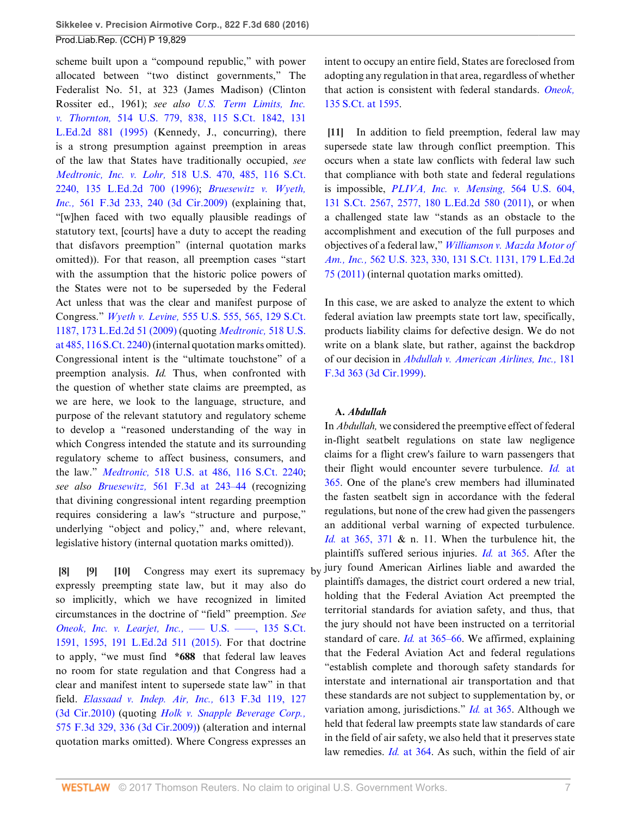scheme built upon a "compound republic," with power allocated between "two distinct governments," The Federalist No. 51, at 323 (James Madison) (Clinton Rossiter ed., 1961); *see also [U.S. Term Limits, Inc.](http://www.westlaw.com/Link/Document/FullText?findType=Y&serNum=1995112805&pubNum=0000708&originatingDoc=I3ec47967064211e6b4bafa136b480ad2&refType=RP&originationContext=document&vr=3.0&rs=cblt1.0&transitionType=DocumentItem&contextData=(sc.Search)) v. Thornton,* [514 U.S. 779, 838, 115 S.Ct. 1842, 131](http://www.westlaw.com/Link/Document/FullText?findType=Y&serNum=1995112805&pubNum=0000708&originatingDoc=I3ec47967064211e6b4bafa136b480ad2&refType=RP&originationContext=document&vr=3.0&rs=cblt1.0&transitionType=DocumentItem&contextData=(sc.Search)) [L.Ed.2d 881 \(1995\)](http://www.westlaw.com/Link/Document/FullText?findType=Y&serNum=1995112805&pubNum=0000708&originatingDoc=I3ec47967064211e6b4bafa136b480ad2&refType=RP&originationContext=document&vr=3.0&rs=cblt1.0&transitionType=DocumentItem&contextData=(sc.Search)) (Kennedy, J., concurring), there is a strong presumption against preemption in areas of the law that States have traditionally occupied, *see Medtronic, Inc. v. Lohr,* [518 U.S. 470, 485, 116 S.Ct.](http://www.westlaw.com/Link/Document/FullText?findType=Y&serNum=1996141769&pubNum=0000708&originatingDoc=I3ec47967064211e6b4bafa136b480ad2&refType=RP&originationContext=document&vr=3.0&rs=cblt1.0&transitionType=DocumentItem&contextData=(sc.Search)) [2240, 135 L.Ed.2d 700 \(1996\)](http://www.westlaw.com/Link/Document/FullText?findType=Y&serNum=1996141769&pubNum=0000708&originatingDoc=I3ec47967064211e6b4bafa136b480ad2&refType=RP&originationContext=document&vr=3.0&rs=cblt1.0&transitionType=DocumentItem&contextData=(sc.Search)); *[Bruesewitz v. Wyeth,](http://www.westlaw.com/Link/Document/FullText?findType=Y&serNum=2018485639&pubNum=0000506&originatingDoc=I3ec47967064211e6b4bafa136b480ad2&refType=RP&fi=co_pp_sp_506_240&originationContext=document&vr=3.0&rs=cblt1.0&transitionType=DocumentItem&contextData=(sc.Search)#co_pp_sp_506_240) Inc.,* [561 F.3d 233, 240 \(3d Cir.2009\)](http://www.westlaw.com/Link/Document/FullText?findType=Y&serNum=2018485639&pubNum=0000506&originatingDoc=I3ec47967064211e6b4bafa136b480ad2&refType=RP&fi=co_pp_sp_506_240&originationContext=document&vr=3.0&rs=cblt1.0&transitionType=DocumentItem&contextData=(sc.Search)#co_pp_sp_506_240) (explaining that, "[w]hen faced with two equally plausible readings of statutory text, [courts] have a duty to accept the reading that disfavors preemption" (internal quotation marks omitted)). For that reason, all preemption cases "start with the assumption that the historic police powers of the States were not to be superseded by the Federal Act unless that was the clear and manifest purpose of Congress." *Wyeth v. Levine,* [555 U.S. 555, 565, 129 S.Ct.](http://www.westlaw.com/Link/Document/FullText?findType=Y&serNum=2018265400&pubNum=0000708&originatingDoc=I3ec47967064211e6b4bafa136b480ad2&refType=RP&originationContext=document&vr=3.0&rs=cblt1.0&transitionType=DocumentItem&contextData=(sc.Search)) [1187, 173 L.Ed.2d 51 \(2009\)](http://www.westlaw.com/Link/Document/FullText?findType=Y&serNum=2018265400&pubNum=0000708&originatingDoc=I3ec47967064211e6b4bafa136b480ad2&refType=RP&originationContext=document&vr=3.0&rs=cblt1.0&transitionType=DocumentItem&contextData=(sc.Search)) (quoting *[Medtronic,](http://www.westlaw.com/Link/Document/FullText?findType=Y&serNum=1996141769&pubNum=0000708&originatingDoc=I3ec47967064211e6b4bafa136b480ad2&refType=RP&originationContext=document&vr=3.0&rs=cblt1.0&transitionType=DocumentItem&contextData=(sc.Search))* 518 U.S. [at 485, 116 S.Ct. 2240](http://www.westlaw.com/Link/Document/FullText?findType=Y&serNum=1996141769&pubNum=0000708&originatingDoc=I3ec47967064211e6b4bafa136b480ad2&refType=RP&originationContext=document&vr=3.0&rs=cblt1.0&transitionType=DocumentItem&contextData=(sc.Search))) (internal quotation marks omitted). Congressional intent is the "ultimate touchstone" of a preemption analysis. *Id.* Thus, when confronted with the question of whether state claims are preempted, as we are here, we look to the language, structure, and purpose of the relevant statutory and regulatory scheme to develop a "reasoned understanding of the way in which Congress intended the statute and its surrounding regulatory scheme to affect business, consumers, and the law." *Medtronic,* [518 U.S. at 486, 116 S.Ct. 2240](http://www.westlaw.com/Link/Document/FullText?findType=Y&serNum=1996141769&pubNum=0000708&originatingDoc=I3ec47967064211e6b4bafa136b480ad2&refType=RP&originationContext=document&vr=3.0&rs=cblt1.0&transitionType=DocumentItem&contextData=(sc.Search)); *see also Bruesewitz,* [561 F.3d at 243–44](http://www.westlaw.com/Link/Document/FullText?findType=Y&serNum=2018485639&pubNum=0000506&originatingDoc=I3ec47967064211e6b4bafa136b480ad2&refType=RP&fi=co_pp_sp_506_243&originationContext=document&vr=3.0&rs=cblt1.0&transitionType=DocumentItem&contextData=(sc.Search)#co_pp_sp_506_243) (recognizing that divining congressional intent regarding preemption requires considering a law's "structure and purpose," underlying "object and policy," and, where relevant, legislative history (internal quotation marks omitted)).

<span id="page-6-2"></span><span id="page-6-1"></span><span id="page-6-0"></span>**[\[8](#page-1-4)] [\[9](#page-1-5)] [\[10](#page-1-6)]** Congress may exert its supremacy by expressly preempting state law, but it may also do so implicitly, which we have recognized in limited circumstances in the doctrine of "field" preemption. *See [Oneok, Inc. v. Learjet, Inc.,](http://www.westlaw.com/Link/Document/FullText?findType=Y&serNum=2035821439&pubNum=0000708&originatingDoc=I3ec47967064211e6b4bafa136b480ad2&refType=RP&fi=co_pp_sp_708_1595&originationContext=document&vr=3.0&rs=cblt1.0&transitionType=DocumentItem&contextData=(sc.Search)#co_pp_sp_708_1595) –– U.S. ––, 135 S.Ct.* [1591, 1595, 191 L.Ed.2d 511 \(2015\).](http://www.westlaw.com/Link/Document/FullText?findType=Y&serNum=2035821439&pubNum=0000708&originatingDoc=I3ec47967064211e6b4bafa136b480ad2&refType=RP&fi=co_pp_sp_708_1595&originationContext=document&vr=3.0&rs=cblt1.0&transitionType=DocumentItem&contextData=(sc.Search)#co_pp_sp_708_1595) For that doctrine to apply, "we must find **\*688** that federal law leaves no room for state regulation and that Congress had a clear and manifest intent to supersede state law" in that field. *[Elassaad v. Indep. Air, Inc.,](http://www.westlaw.com/Link/Document/FullText?findType=Y&serNum=2022462912&pubNum=0000506&originatingDoc=I3ec47967064211e6b4bafa136b480ad2&refType=RP&fi=co_pp_sp_506_127&originationContext=document&vr=3.0&rs=cblt1.0&transitionType=DocumentItem&contextData=(sc.Search)#co_pp_sp_506_127)* 613 F.3d 119, 127 [\(3d Cir.2010\)](http://www.westlaw.com/Link/Document/FullText?findType=Y&serNum=2022462912&pubNum=0000506&originatingDoc=I3ec47967064211e6b4bafa136b480ad2&refType=RP&fi=co_pp_sp_506_127&originationContext=document&vr=3.0&rs=cblt1.0&transitionType=DocumentItem&contextData=(sc.Search)#co_pp_sp_506_127) (quoting *[Holk v. Snapple Beverage Corp.,](http://www.westlaw.com/Link/Document/FullText?findType=Y&serNum=2019589147&pubNum=0000506&originatingDoc=I3ec47967064211e6b4bafa136b480ad2&refType=RP&fi=co_pp_sp_506_336&originationContext=document&vr=3.0&rs=cblt1.0&transitionType=DocumentItem&contextData=(sc.Search)#co_pp_sp_506_336)* [575 F.3d 329, 336 \(3d Cir.2009\)\)](http://www.westlaw.com/Link/Document/FullText?findType=Y&serNum=2019589147&pubNum=0000506&originatingDoc=I3ec47967064211e6b4bafa136b480ad2&refType=RP&fi=co_pp_sp_506_336&originationContext=document&vr=3.0&rs=cblt1.0&transitionType=DocumentItem&contextData=(sc.Search)#co_pp_sp_506_336) (alteration and internal quotation marks omitted). Where Congress expresses an

intent to occupy an entire field, States are foreclosed from adopting any regulation in that area, regardless of whether that action is consistent with federal standards. *[Oneok,](http://www.westlaw.com/Link/Document/FullText?findType=Y&serNum=2035821439&pubNum=0000708&originatingDoc=I3ec47967064211e6b4bafa136b480ad2&refType=RP&fi=co_pp_sp_708_1595&originationContext=document&vr=3.0&rs=cblt1.0&transitionType=DocumentItem&contextData=(sc.Search)#co_pp_sp_708_1595)* [135 S.Ct. at 1595](http://www.westlaw.com/Link/Document/FullText?findType=Y&serNum=2035821439&pubNum=0000708&originatingDoc=I3ec47967064211e6b4bafa136b480ad2&refType=RP&fi=co_pp_sp_708_1595&originationContext=document&vr=3.0&rs=cblt1.0&transitionType=DocumentItem&contextData=(sc.Search)#co_pp_sp_708_1595).

<span id="page-6-3"></span>**[\[11](#page-1-7)]** In addition to field preemption, federal law may supersede state law through conflict preemption. This occurs when a state law conflicts with federal law such that compliance with both state and federal regulations is impossible, *[PLIVA, Inc. v. Mensing,](http://www.westlaw.com/Link/Document/FullText?findType=Y&serNum=2025536613&pubNum=0000708&originatingDoc=I3ec47967064211e6b4bafa136b480ad2&refType=RP&fi=co_pp_sp_708_2577&originationContext=document&vr=3.0&rs=cblt1.0&transitionType=DocumentItem&contextData=(sc.Search)#co_pp_sp_708_2577)* 564 U.S. 604, [131 S.Ct. 2567, 2577, 180 L.Ed.2d 580 \(2011\),](http://www.westlaw.com/Link/Document/FullText?findType=Y&serNum=2025536613&pubNum=0000708&originatingDoc=I3ec47967064211e6b4bafa136b480ad2&refType=RP&fi=co_pp_sp_708_2577&originationContext=document&vr=3.0&rs=cblt1.0&transitionType=DocumentItem&contextData=(sc.Search)#co_pp_sp_708_2577) or when a challenged state law "stands as an obstacle to the accomplishment and execution of the full purposes and objectives of a federal law," *[Williamson v. Mazda Motor of](http://www.westlaw.com/Link/Document/FullText?findType=Y&serNum=2024648878&pubNum=0000708&originatingDoc=I3ec47967064211e6b4bafa136b480ad2&refType=RP&originationContext=document&vr=3.0&rs=cblt1.0&transitionType=DocumentItem&contextData=(sc.Search)) Am., Inc.,* [562 U.S. 323, 330, 131 S.Ct. 1131, 179 L.Ed.2d](http://www.westlaw.com/Link/Document/FullText?findType=Y&serNum=2024648878&pubNum=0000708&originatingDoc=I3ec47967064211e6b4bafa136b480ad2&refType=RP&originationContext=document&vr=3.0&rs=cblt1.0&transitionType=DocumentItem&contextData=(sc.Search)) [75 \(2011\)](http://www.westlaw.com/Link/Document/FullText?findType=Y&serNum=2024648878&pubNum=0000708&originatingDoc=I3ec47967064211e6b4bafa136b480ad2&refType=RP&originationContext=document&vr=3.0&rs=cblt1.0&transitionType=DocumentItem&contextData=(sc.Search)) (internal quotation marks omitted).

In this case, we are asked to analyze the extent to which federal aviation law preempts state tort law, specifically, products liability claims for defective design. We do not write on a blank slate, but rather, against the backdrop of our decision in *[Abdullah v. American Airlines, Inc.,](http://www.westlaw.com/Link/Document/FullText?findType=Y&serNum=1999148854&pubNum=0000506&originatingDoc=I3ec47967064211e6b4bafa136b480ad2&refType=RP&originationContext=document&vr=3.0&rs=cblt1.0&transitionType=DocumentItem&contextData=(sc.Search))* 181 [F.3d 363 \(3d Cir.1999\)](http://www.westlaw.com/Link/Document/FullText?findType=Y&serNum=1999148854&pubNum=0000506&originatingDoc=I3ec47967064211e6b4bafa136b480ad2&refType=RP&originationContext=document&vr=3.0&rs=cblt1.0&transitionType=DocumentItem&contextData=(sc.Search)).

### **A.** *Abdullah*

In *Abdullah,* we considered the preemptive effect of federal in-flight seatbelt regulations on state law negligence claims for a flight crew's failure to warn passengers that their flight would encounter severe turbulence. *Id.* [at](http://www.westlaw.com/Link/Document/FullText?findType=Y&serNum=1999148854&pubNum=0000506&originatingDoc=I3ec47967064211e6b4bafa136b480ad2&refType=RP&fi=co_pp_sp_506_365&originationContext=document&vr=3.0&rs=cblt1.0&transitionType=DocumentItem&contextData=(sc.Search)#co_pp_sp_506_365) [365](http://www.westlaw.com/Link/Document/FullText?findType=Y&serNum=1999148854&pubNum=0000506&originatingDoc=I3ec47967064211e6b4bafa136b480ad2&refType=RP&fi=co_pp_sp_506_365&originationContext=document&vr=3.0&rs=cblt1.0&transitionType=DocumentItem&contextData=(sc.Search)#co_pp_sp_506_365). One of the plane's crew members had illuminated the fasten seatbelt sign in accordance with the federal regulations, but none of the crew had given the passengers an additional verbal warning of expected turbulence. *Id.* [at 365, 371](http://www.westlaw.com/Link/Document/FullText?findType=Y&serNum=1999148854&pubNum=0000506&originatingDoc=I3ec47967064211e6b4bafa136b480ad2&refType=RP&fi=co_pp_sp_506_365&originationContext=document&vr=3.0&rs=cblt1.0&transitionType=DocumentItem&contextData=(sc.Search)#co_pp_sp_506_365) & n. 11. When the turbulence hit, the plaintiffs suffered serious injuries. *Id.* [at 365](http://www.westlaw.com/Link/Document/FullText?findType=Y&serNum=1999148854&pubNum=0000506&originatingDoc=I3ec47967064211e6b4bafa136b480ad2&refType=RP&fi=co_pp_sp_506_365&originationContext=document&vr=3.0&rs=cblt1.0&transitionType=DocumentItem&contextData=(sc.Search)#co_pp_sp_506_365). After the jury found American Airlines liable and awarded the plaintiffs damages, the district court ordered a new trial, holding that the Federal Aviation Act preempted the territorial standards for aviation safety, and thus, that the jury should not have been instructed on a territorial standard of care. *Id.* [at 365–66](http://www.westlaw.com/Link/Document/FullText?findType=Y&serNum=1999148854&pubNum=0000506&originatingDoc=I3ec47967064211e6b4bafa136b480ad2&refType=RP&fi=co_pp_sp_506_365&originationContext=document&vr=3.0&rs=cblt1.0&transitionType=DocumentItem&contextData=(sc.Search)#co_pp_sp_506_365). We affirmed, explaining that the Federal Aviation Act and federal regulations "establish complete and thorough safety standards for interstate and international air transportation and that these standards are not subject to supplementation by, or variation among, jurisdictions." *Id.* [at 365](http://www.westlaw.com/Link/Document/FullText?findType=Y&serNum=1999148854&pubNum=0000506&originatingDoc=I3ec47967064211e6b4bafa136b480ad2&refType=RP&fi=co_pp_sp_506_365&originationContext=document&vr=3.0&rs=cblt1.0&transitionType=DocumentItem&contextData=(sc.Search)#co_pp_sp_506_365). Although we held that federal law preempts state law standards of care in the field of air safety, we also held that it preserves state law remedies. *Id.* [at 364](http://www.westlaw.com/Link/Document/FullText?findType=Y&serNum=1999148854&pubNum=0000506&originatingDoc=I3ec47967064211e6b4bafa136b480ad2&refType=RP&fi=co_pp_sp_506_364&originationContext=document&vr=3.0&rs=cblt1.0&transitionType=DocumentItem&contextData=(sc.Search)#co_pp_sp_506_364). As such, within the field of air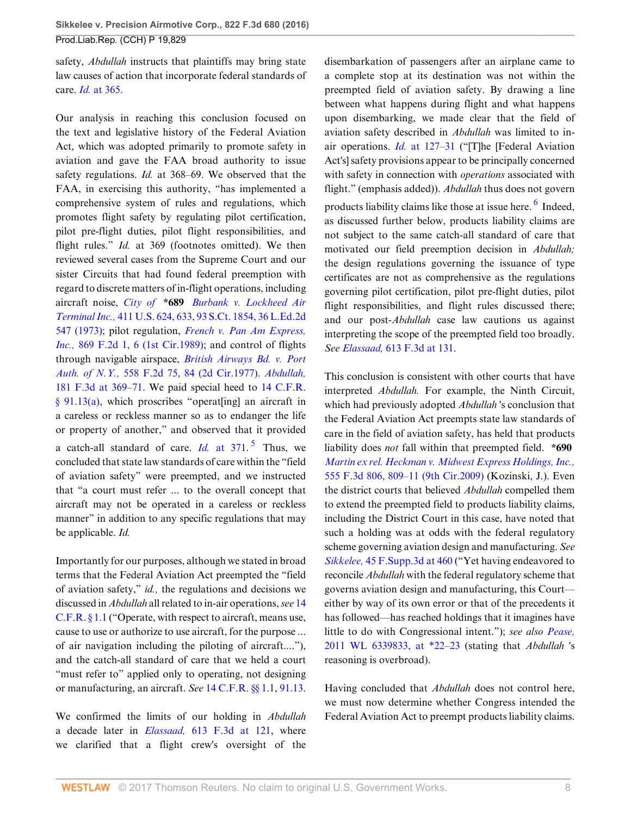safety, *Abdullah* instructs that plaintiffs may bring state law causes of action that incorporate federal standards of care. *Id.* [at 365.](http://www.westlaw.com/Link/Document/FullText?findType=Y&serNum=1999148854&pubNum=0000506&originatingDoc=I3ec47967064211e6b4bafa136b480ad2&refType=RP&fi=co_pp_sp_506_365&originationContext=document&vr=3.0&rs=cblt1.0&transitionType=DocumentItem&contextData=(sc.Search)#co_pp_sp_506_365)

Our analysis in reaching this conclusion focused on the text and legislative history of the Federal Aviation Act, which was adopted primarily to promote safety in aviation and gave the FAA broad authority to issue safety regulations. *Id.* at 368–69. We observed that the FAA, in exercising this authority, "has implemented a comprehensive system of rules and regulations, which promotes flight safety by regulating pilot certification, pilot pre-flight duties, pilot flight responsibilities, and flight rules." *Id.* at 369 (footnotes omitted). We then reviewed several cases from the Supreme Court and our sister Circuits that had found federal preemption with regard to discrete matters of in-flight operations, including aircraft noise, *City of* **\*689** *[Burbank v. Lockheed Air](http://www.westlaw.com/Link/Document/FullText?findType=Y&serNum=1973126394&pubNum=0000708&originatingDoc=I3ec47967064211e6b4bafa136b480ad2&refType=RP&originationContext=document&vr=3.0&rs=cblt1.0&transitionType=DocumentItem&contextData=(sc.Search)) Terminal Inc.,* [411 U.S. 624, 633, 93 S.Ct. 1854, 36 L.Ed.2d](http://www.westlaw.com/Link/Document/FullText?findType=Y&serNum=1973126394&pubNum=0000708&originatingDoc=I3ec47967064211e6b4bafa136b480ad2&refType=RP&originationContext=document&vr=3.0&rs=cblt1.0&transitionType=DocumentItem&contextData=(sc.Search)) [547 \(1973\)](http://www.westlaw.com/Link/Document/FullText?findType=Y&serNum=1973126394&pubNum=0000708&originatingDoc=I3ec47967064211e6b4bafa136b480ad2&refType=RP&originationContext=document&vr=3.0&rs=cblt1.0&transitionType=DocumentItem&contextData=(sc.Search)); pilot regulation, *[French v. Pan Am Express,](http://www.westlaw.com/Link/Document/FullText?findType=Y&serNum=1989028470&pubNum=0000350&originatingDoc=I3ec47967064211e6b4bafa136b480ad2&refType=RP&fi=co_pp_sp_350_6&originationContext=document&vr=3.0&rs=cblt1.0&transitionType=DocumentItem&contextData=(sc.Search)#co_pp_sp_350_6) Inc.,* [869 F.2d 1, 6 \(1st Cir.1989\)](http://www.westlaw.com/Link/Document/FullText?findType=Y&serNum=1989028470&pubNum=0000350&originatingDoc=I3ec47967064211e6b4bafa136b480ad2&refType=RP&fi=co_pp_sp_350_6&originationContext=document&vr=3.0&rs=cblt1.0&transitionType=DocumentItem&contextData=(sc.Search)#co_pp_sp_350_6); and control of flights through navigable airspace, *[British Airways Bd. v. Port](http://www.westlaw.com/Link/Document/FullText?findType=Y&serNum=1977122865&pubNum=0000350&originatingDoc=I3ec47967064211e6b4bafa136b480ad2&refType=RP&fi=co_pp_sp_350_84&originationContext=document&vr=3.0&rs=cblt1.0&transitionType=DocumentItem&contextData=(sc.Search)#co_pp_sp_350_84) Auth. of N.Y.,* [558 F.2d 75, 84 \(2d Cir.1977\)](http://www.westlaw.com/Link/Document/FullText?findType=Y&serNum=1977122865&pubNum=0000350&originatingDoc=I3ec47967064211e6b4bafa136b480ad2&refType=RP&fi=co_pp_sp_350_84&originationContext=document&vr=3.0&rs=cblt1.0&transitionType=DocumentItem&contextData=(sc.Search)#co_pp_sp_350_84). *[Abdullah,](http://www.westlaw.com/Link/Document/FullText?findType=Y&serNum=1999148854&pubNum=0000506&originatingDoc=I3ec47967064211e6b4bafa136b480ad2&refType=RP&fi=co_pp_sp_506_369&originationContext=document&vr=3.0&rs=cblt1.0&transitionType=DocumentItem&contextData=(sc.Search)#co_pp_sp_506_369)* [181 F.3d at 369–71](http://www.westlaw.com/Link/Document/FullText?findType=Y&serNum=1999148854&pubNum=0000506&originatingDoc=I3ec47967064211e6b4bafa136b480ad2&refType=RP&fi=co_pp_sp_506_369&originationContext=document&vr=3.0&rs=cblt1.0&transitionType=DocumentItem&contextData=(sc.Search)#co_pp_sp_506_369). We paid special heed to [14 C.F.R.](http://www.westlaw.com/Link/Document/FullText?findType=L&pubNum=1000547&cite=14CFRS91.13&originatingDoc=I3ec47967064211e6b4bafa136b480ad2&refType=RB&originationContext=document&vr=3.0&rs=cblt1.0&transitionType=DocumentItem&contextData=(sc.Search)#co_pp_8b3b0000958a4) [§ 91.13\(a\),](http://www.westlaw.com/Link/Document/FullText?findType=L&pubNum=1000547&cite=14CFRS91.13&originatingDoc=I3ec47967064211e6b4bafa136b480ad2&refType=RB&originationContext=document&vr=3.0&rs=cblt1.0&transitionType=DocumentItem&contextData=(sc.Search)#co_pp_8b3b0000958a4) which proscribes "operat[ing] an aircraft in a careless or reckless manner so as to endanger the life or property of another," and observed that it provided a catch-all standard of care.  $Id$  at  $371$ .<sup>[5](#page-20-4)</sup> Thus, we concluded that state law standards of care within the "field of aviation safety" were preempted, and we instructed that "a court must refer ... to the overall concept that aircraft may not be operated in a careless or reckless manner" in addition to any specific regulations that may be applicable. *Id.*

Importantly for our purposes, although we stated in broad terms that the Federal Aviation Act preempted the "field of aviation safety," *id.,* the regulations and decisions we discussed in *Abdullah* all related to in-air operations, *see* [14](http://www.westlaw.com/Link/Document/FullText?findType=L&pubNum=1000547&cite=14CFRS1.1&originatingDoc=I3ec47967064211e6b4bafa136b480ad2&refType=LQ&originationContext=document&vr=3.0&rs=cblt1.0&transitionType=DocumentItem&contextData=(sc.Search)) [C.F.R. § 1.1](http://www.westlaw.com/Link/Document/FullText?findType=L&pubNum=1000547&cite=14CFRS1.1&originatingDoc=I3ec47967064211e6b4bafa136b480ad2&refType=LQ&originationContext=document&vr=3.0&rs=cblt1.0&transitionType=DocumentItem&contextData=(sc.Search)) ("Operate, with respect to aircraft, means use, cause to use or authorize to use aircraft, for the purpose ... of air navigation including the piloting of aircraft...."), and the catch-all standard of care that we held a court "must refer to" applied only to operating, not designing or manufacturing, an aircraft. *See* [14 C.F.R. §§ 1.1,](http://www.westlaw.com/Link/Document/FullText?findType=L&pubNum=1000547&cite=14CFRS1.1&originatingDoc=I3ec47967064211e6b4bafa136b480ad2&refType=LQ&originationContext=document&vr=3.0&rs=cblt1.0&transitionType=DocumentItem&contextData=(sc.Search)) [91.13](http://www.westlaw.com/Link/Document/FullText?findType=L&pubNum=1000547&cite=14CFRS91.13&originatingDoc=I3ec47967064211e6b4bafa136b480ad2&refType=LQ&originationContext=document&vr=3.0&rs=cblt1.0&transitionType=DocumentItem&contextData=(sc.Search)).

We confirmed the limits of our holding in *Abdullah* a decade later in *Elassaad,* [613 F.3d at 121,](http://www.westlaw.com/Link/Document/FullText?findType=Y&serNum=2022462912&pubNum=0000506&originatingDoc=I3ec47967064211e6b4bafa136b480ad2&refType=RP&fi=co_pp_sp_506_121&originationContext=document&vr=3.0&rs=cblt1.0&transitionType=DocumentItem&contextData=(sc.Search)#co_pp_sp_506_121) where we clarified that a flight crew's oversight of the <span id="page-7-1"></span>disembarkation of passengers after an airplane came to a complete stop at its destination was not within the preempted field of aviation safety. By drawing a line between what happens during flight and what happens upon disembarking, we made clear that the field of aviation safety described in *Abdullah* was limited to inair operations. *Id.* [at 127–31](http://www.westlaw.com/Link/Document/FullText?findType=Y&serNum=2022462912&pubNum=0000506&originatingDoc=I3ec47967064211e6b4bafa136b480ad2&refType=RP&fi=co_pp_sp_506_127&originationContext=document&vr=3.0&rs=cblt1.0&transitionType=DocumentItem&contextData=(sc.Search)#co_pp_sp_506_127) ("[T]he [Federal Aviation Act's] safety provisions appear to be principally concerned with safety in connection with *operations* associated with flight." (emphasis added)). *Abdullah* thus does not govern products liability claims like those at issue here. <sup>[6](#page-20-5)</sup> Indeed, as discussed further below, products liability claims are not subject to the same catch-all standard of care that motivated our field preemption decision in *Abdullah;* the design regulations governing the issuance of type certificates are not as comprehensive as the regulations governing pilot certification, pilot pre-flight duties, pilot flight responsibilities, and flight rules discussed there; and our post-*Abdullah* case law cautions us against interpreting the scope of the preempted field too broadly. *See Elassaad,* [613 F.3d at 131](http://www.westlaw.com/Link/Document/FullText?findType=Y&serNum=2022462912&pubNum=0000506&originatingDoc=I3ec47967064211e6b4bafa136b480ad2&refType=RP&fi=co_pp_sp_506_131&originationContext=document&vr=3.0&rs=cblt1.0&transitionType=DocumentItem&contextData=(sc.Search)#co_pp_sp_506_131).

<span id="page-7-0"></span>This conclusion is consistent with other courts that have interpreted *Abdullah.* For example, the Ninth Circuit, which had previously adopted *Abdullah* 's conclusion that the Federal Aviation Act preempts state law standards of care in the field of aviation safety, has held that products liability does *not* fall within that preempted field. **\*690** *[Martin ex rel. Heckman v. Midwest Express Holdings, Inc.,](http://www.westlaw.com/Link/Document/FullText?findType=Y&serNum=2018104653&pubNum=0000506&originatingDoc=I3ec47967064211e6b4bafa136b480ad2&refType=RP&fi=co_pp_sp_506_809&originationContext=document&vr=3.0&rs=cblt1.0&transitionType=DocumentItem&contextData=(sc.Search)#co_pp_sp_506_809)* [555 F.3d 806, 809–11 \(9th Cir.2009\)](http://www.westlaw.com/Link/Document/FullText?findType=Y&serNum=2018104653&pubNum=0000506&originatingDoc=I3ec47967064211e6b4bafa136b480ad2&refType=RP&fi=co_pp_sp_506_809&originationContext=document&vr=3.0&rs=cblt1.0&transitionType=DocumentItem&contextData=(sc.Search)#co_pp_sp_506_809) (Kozinski, J.). Even the district courts that believed *Abdullah* compelled them to extend the preempted field to products liability claims, including the District Court in this case, have noted that such a holding was at odds with the federal regulatory scheme governing aviation design and manufacturing. *See Sikkelee,* [45 F.Supp.3d at 460](http://www.westlaw.com/Link/Document/FullText?findType=Y&serNum=2034316153&pubNum=0007903&originatingDoc=I3ec47967064211e6b4bafa136b480ad2&refType=RP&fi=co_pp_sp_7903_460&originationContext=document&vr=3.0&rs=cblt1.0&transitionType=DocumentItem&contextData=(sc.Search)#co_pp_sp_7903_460) ("Yet having endeavored to reconcile *Abdullah* with the federal regulatory scheme that governs aviation design and manufacturing, this Court either by way of its own error or that of the precedents it has followed—has reached holdings that it imagines have little to do with Congressional intent."); *see also [Pease,](http://www.westlaw.com/Link/Document/FullText?findType=Y&serNum=2026709812&pubNum=0000999&originatingDoc=I3ec47967064211e6b4bafa136b480ad2&refType=RP&originationContext=document&vr=3.0&rs=cblt1.0&transitionType=DocumentItem&contextData=(sc.Search))* [2011 WL 6339833, at \\*22–23](http://www.westlaw.com/Link/Document/FullText?findType=Y&serNum=2026709812&pubNum=0000999&originatingDoc=I3ec47967064211e6b4bafa136b480ad2&refType=RP&originationContext=document&vr=3.0&rs=cblt1.0&transitionType=DocumentItem&contextData=(sc.Search)) (stating that *Abdullah* 's reasoning is overbroad).

Having concluded that *Abdullah* does not control here, we must now determine whether Congress intended the Federal Aviation Act to preempt products liability claims.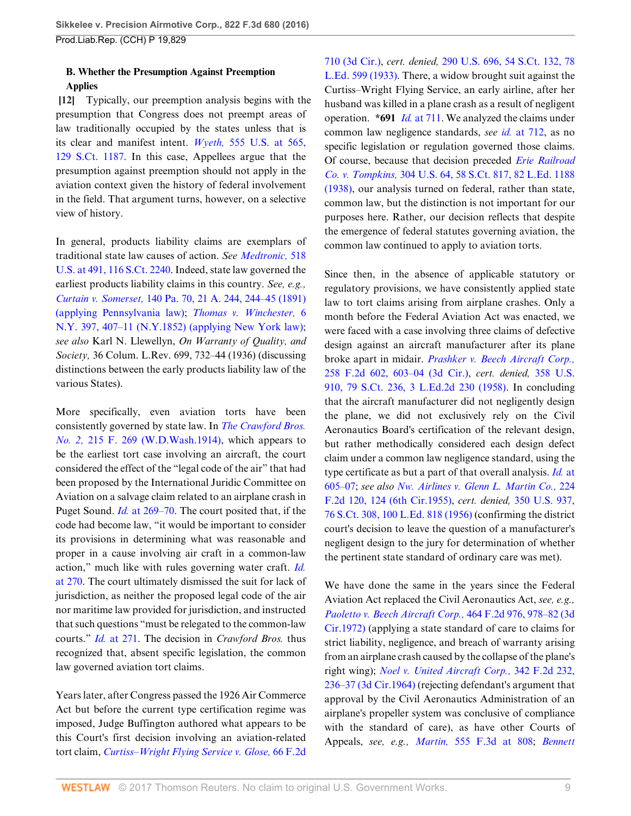# **B. Whether the Presumption Against Preemption Applies**

<span id="page-8-0"></span>**[\[12](#page-1-0)]** Typically, our preemption analysis begins with the presumption that Congress does not preempt areas of law traditionally occupied by the states unless that is its clear and manifest intent. *Wyeth,* [555 U.S. at 565,](http://www.westlaw.com/Link/Document/FullText?findType=Y&serNum=2018265400&pubNum=0000708&originatingDoc=I3ec47967064211e6b4bafa136b480ad2&refType=RP&originationContext=document&vr=3.0&rs=cblt1.0&transitionType=DocumentItem&contextData=(sc.Search)) [129 S.Ct. 1187](http://www.westlaw.com/Link/Document/FullText?findType=Y&serNum=2018265400&pubNum=0000708&originatingDoc=I3ec47967064211e6b4bafa136b480ad2&refType=RP&originationContext=document&vr=3.0&rs=cblt1.0&transitionType=DocumentItem&contextData=(sc.Search)). In this case, Appellees argue that the presumption against preemption should not apply in the aviation context given the history of federal involvement in the field. That argument turns, however, on a selective view of history.

In general, products liability claims are exemplars of traditional state law causes of action. *See [Medtronic,](http://www.westlaw.com/Link/Document/FullText?findType=Y&serNum=1996141769&pubNum=0000708&originatingDoc=I3ec47967064211e6b4bafa136b480ad2&refType=RP&originationContext=document&vr=3.0&rs=cblt1.0&transitionType=DocumentItem&contextData=(sc.Search))* 518 [U.S. at 491, 116 S.Ct. 2240](http://www.westlaw.com/Link/Document/FullText?findType=Y&serNum=1996141769&pubNum=0000708&originatingDoc=I3ec47967064211e6b4bafa136b480ad2&refType=RP&originationContext=document&vr=3.0&rs=cblt1.0&transitionType=DocumentItem&contextData=(sc.Search)). Indeed, state law governed the earliest products liability claims in this country. *See, e.g., Curtain v. Somerset,* [140 Pa. 70, 21 A. 244, 244–45 \(1891\)](http://www.westlaw.com/Link/Document/FullText?findType=Y&serNum=1891001734&pubNum=0000161&originatingDoc=I3ec47967064211e6b4bafa136b480ad2&refType=RP&originationContext=document&vr=3.0&rs=cblt1.0&transitionType=DocumentItem&contextData=(sc.Search)) [\(applying Pennsylvania law\)](http://www.westlaw.com/Link/Document/FullText?findType=Y&serNum=1891001734&pubNum=0000161&originatingDoc=I3ec47967064211e6b4bafa136b480ad2&refType=RP&originationContext=document&vr=3.0&rs=cblt1.0&transitionType=DocumentItem&contextData=(sc.Search)); *[Thomas v. Winchester,](http://www.westlaw.com/Link/Document/FullText?findType=Y&serNum=1852008972&pubNum=0000596&originatingDoc=I3ec47967064211e6b4bafa136b480ad2&refType=RP&fi=co_pp_sp_596_407&originationContext=document&vr=3.0&rs=cblt1.0&transitionType=DocumentItem&contextData=(sc.Search)#co_pp_sp_596_407)* 6 [N.Y. 397, 407–11 \(N.Y.1852\) \(applying New York law\)](http://www.westlaw.com/Link/Document/FullText?findType=Y&serNum=1852008972&pubNum=0000596&originatingDoc=I3ec47967064211e6b4bafa136b480ad2&refType=RP&fi=co_pp_sp_596_407&originationContext=document&vr=3.0&rs=cblt1.0&transitionType=DocumentItem&contextData=(sc.Search)#co_pp_sp_596_407); *see also* Karl N. Llewellyn, *On Warranty of Quality, and Society,* 36 Colum. L.Rev. 699, 732–44 (1936) (discussing distinctions between the early products liability law of the various States).

More specifically, even aviation torts have been consistently governed by state law. In *[The Crawford Bros.](http://www.westlaw.com/Link/Document/FullText?findType=Y&serNum=1914102675&pubNum=0000348&originatingDoc=I3ec47967064211e6b4bafa136b480ad2&refType=RP&originationContext=document&vr=3.0&rs=cblt1.0&transitionType=DocumentItem&contextData=(sc.Search)) No. 2,* [215 F. 269 \(W.D.Wash.1914\),](http://www.westlaw.com/Link/Document/FullText?findType=Y&serNum=1914102675&pubNum=0000348&originatingDoc=I3ec47967064211e6b4bafa136b480ad2&refType=RP&originationContext=document&vr=3.0&rs=cblt1.0&transitionType=DocumentItem&contextData=(sc.Search)) which appears to be the earliest tort case involving an aircraft, the court considered the effect of the "legal code of the air" that had been proposed by the International Juridic Committee on Aviation on a salvage claim related to an airplane crash in Puget Sound. *Id.* [at 269–70](http://www.westlaw.com/Link/Document/FullText?findType=Y&serNum=1914102675&pubNum=0000348&originatingDoc=I3ec47967064211e6b4bafa136b480ad2&refType=RP&fi=co_pp_sp_348_269&originationContext=document&vr=3.0&rs=cblt1.0&transitionType=DocumentItem&contextData=(sc.Search)#co_pp_sp_348_269). The court posited that, if the code had become law, "it would be important to consider its provisions in determining what was reasonable and proper in a cause involving air craft in a common-law action," much like with rules governing water craft. *[Id.](http://www.westlaw.com/Link/Document/FullText?findType=Y&serNum=1914102675&pubNum=0000348&originatingDoc=I3ec47967064211e6b4bafa136b480ad2&refType=RP&fi=co_pp_sp_348_270&originationContext=document&vr=3.0&rs=cblt1.0&transitionType=DocumentItem&contextData=(sc.Search)#co_pp_sp_348_270)* [at 270.](http://www.westlaw.com/Link/Document/FullText?findType=Y&serNum=1914102675&pubNum=0000348&originatingDoc=I3ec47967064211e6b4bafa136b480ad2&refType=RP&fi=co_pp_sp_348_270&originationContext=document&vr=3.0&rs=cblt1.0&transitionType=DocumentItem&contextData=(sc.Search)#co_pp_sp_348_270) The court ultimately dismissed the suit for lack of jurisdiction, as neither the proposed legal code of the air nor maritime law provided for jurisdiction, and instructed that such questions "must be relegated to the common-law courts." *Id.* [at 271.](http://www.westlaw.com/Link/Document/FullText?findType=Y&serNum=1914102675&pubNum=0000348&originatingDoc=I3ec47967064211e6b4bafa136b480ad2&refType=RP&fi=co_pp_sp_348_271&originationContext=document&vr=3.0&rs=cblt1.0&transitionType=DocumentItem&contextData=(sc.Search)#co_pp_sp_348_271) The decision in *Crawford Bros.* thus recognized that, absent specific legislation, the common law governed aviation tort claims.

Years later, after Congress passed the 1926 Air Commerce Act but before the current type certification regime was imposed, Judge Buffington authored what appears to be this Court's first decision involving an aviation-related tort claim, *[Curtiss–Wright Flying Service v. Glose,](http://www.westlaw.com/Link/Document/FullText?findType=Y&serNum=1933129643&pubNum=0000350&originatingDoc=I3ec47967064211e6b4bafa136b480ad2&refType=RP&originationContext=document&vr=3.0&rs=cblt1.0&transitionType=DocumentItem&contextData=(sc.Search))* 66 F.2d [710 \(3d Cir.\),](http://www.westlaw.com/Link/Document/FullText?findType=Y&serNum=1933129643&pubNum=0000350&originatingDoc=I3ec47967064211e6b4bafa136b480ad2&refType=RP&originationContext=document&vr=3.0&rs=cblt1.0&transitionType=DocumentItem&contextData=(sc.Search)) *cert. denied,* [290 U.S. 696, 54 S.Ct. 132, 78](http://www.westlaw.com/Link/Document/FullText?findType=Y&serNum=1933202269&pubNum=0000708&originatingDoc=I3ec47967064211e6b4bafa136b480ad2&refType=RP&originationContext=document&vr=3.0&rs=cblt1.0&transitionType=DocumentItem&contextData=(sc.Search)) [L.Ed. 599 \(1933\)](http://www.westlaw.com/Link/Document/FullText?findType=Y&serNum=1933202269&pubNum=0000708&originatingDoc=I3ec47967064211e6b4bafa136b480ad2&refType=RP&originationContext=document&vr=3.0&rs=cblt1.0&transitionType=DocumentItem&contextData=(sc.Search)). There, a widow brought suit against the Curtiss–Wright Flying Service, an early airline, after her husband was killed in a plane crash as a result of negligent operation. **\*691** *Id.* [at 711](http://www.westlaw.com/Link/Document/FullText?findType=Y&serNum=1933129643&pubNum=0000350&originatingDoc=I3ec47967064211e6b4bafa136b480ad2&refType=RP&fi=co_pp_sp_350_711&originationContext=document&vr=3.0&rs=cblt1.0&transitionType=DocumentItem&contextData=(sc.Search)#co_pp_sp_350_711). We analyzed the claims under common law negligence standards, *see id.* [at 712,](http://www.westlaw.com/Link/Document/FullText?findType=Y&serNum=1933129643&pubNum=0000350&originatingDoc=I3ec47967064211e6b4bafa136b480ad2&refType=RP&fi=co_pp_sp_350_712&originationContext=document&vr=3.0&rs=cblt1.0&transitionType=DocumentItem&contextData=(sc.Search)#co_pp_sp_350_712) as no specific legislation or regulation governed those claims. Of course, because that decision preceded *[Erie Railroad](http://www.westlaw.com/Link/Document/FullText?findType=Y&serNum=1938121079&pubNum=0000708&originatingDoc=I3ec47967064211e6b4bafa136b480ad2&refType=RP&originationContext=document&vr=3.0&rs=cblt1.0&transitionType=DocumentItem&contextData=(sc.Search)) Co. v. Tompkins,* [304 U.S. 64, 58 S.Ct. 817, 82 L.Ed. 1188](http://www.westlaw.com/Link/Document/FullText?findType=Y&serNum=1938121079&pubNum=0000708&originatingDoc=I3ec47967064211e6b4bafa136b480ad2&refType=RP&originationContext=document&vr=3.0&rs=cblt1.0&transitionType=DocumentItem&contextData=(sc.Search)) [\(1938\),](http://www.westlaw.com/Link/Document/FullText?findType=Y&serNum=1938121079&pubNum=0000708&originatingDoc=I3ec47967064211e6b4bafa136b480ad2&refType=RP&originationContext=document&vr=3.0&rs=cblt1.0&transitionType=DocumentItem&contextData=(sc.Search)) our analysis turned on federal, rather than state, common law, but the distinction is not important for our purposes here. Rather, our decision reflects that despite the emergence of federal statutes governing aviation, the common law continued to apply to aviation torts.

Since then, in the absence of applicable statutory or regulatory provisions, we have consistently applied state law to tort claims arising from airplane crashes. Only a month before the Federal Aviation Act was enacted, we were faced with a case involving three claims of defective design against an aircraft manufacturer after its plane broke apart in midair. *[Prashker v. Beech Aircraft Corp.,](http://www.westlaw.com/Link/Document/FullText?findType=Y&serNum=1958103727&pubNum=0000350&originatingDoc=I3ec47967064211e6b4bafa136b480ad2&refType=RP&fi=co_pp_sp_350_603&originationContext=document&vr=3.0&rs=cblt1.0&transitionType=DocumentItem&contextData=(sc.Search)#co_pp_sp_350_603)* [258 F.2d 602, 603–04 \(3d Cir.\),](http://www.westlaw.com/Link/Document/FullText?findType=Y&serNum=1958103727&pubNum=0000350&originatingDoc=I3ec47967064211e6b4bafa136b480ad2&refType=RP&fi=co_pp_sp_350_603&originationContext=document&vr=3.0&rs=cblt1.0&transitionType=DocumentItem&contextData=(sc.Search)#co_pp_sp_350_603) *cert. denied,* [358 U.S.](http://www.westlaw.com/Link/Document/FullText?findType=Y&serNum=1958202911&pubNum=0000708&originatingDoc=I3ec47967064211e6b4bafa136b480ad2&refType=RP&originationContext=document&vr=3.0&rs=cblt1.0&transitionType=DocumentItem&contextData=(sc.Search)) [910, 79 S.Ct. 236, 3 L.Ed.2d 230 \(1958\)](http://www.westlaw.com/Link/Document/FullText?findType=Y&serNum=1958202911&pubNum=0000708&originatingDoc=I3ec47967064211e6b4bafa136b480ad2&refType=RP&originationContext=document&vr=3.0&rs=cblt1.0&transitionType=DocumentItem&contextData=(sc.Search)). In concluding that the aircraft manufacturer did not negligently design the plane, we did not exclusively rely on the Civil Aeronautics Board's certification of the relevant design, but rather methodically considered each design defect claim under a common law negligence standard, using the type certificate as but a part of that overall analysis. *[Id.](http://www.westlaw.com/Link/Document/FullText?findType=Y&serNum=1958103727&pubNum=0000350&originatingDoc=I3ec47967064211e6b4bafa136b480ad2&refType=RP&fi=co_pp_sp_350_605&originationContext=document&vr=3.0&rs=cblt1.0&transitionType=DocumentItem&contextData=(sc.Search)#co_pp_sp_350_605)* at [605–07](http://www.westlaw.com/Link/Document/FullText?findType=Y&serNum=1958103727&pubNum=0000350&originatingDoc=I3ec47967064211e6b4bafa136b480ad2&refType=RP&fi=co_pp_sp_350_605&originationContext=document&vr=3.0&rs=cblt1.0&transitionType=DocumentItem&contextData=(sc.Search)#co_pp_sp_350_605); *see also [Nw. Airlines v. Glenn L. Martin Co.,](http://www.westlaw.com/Link/Document/FullText?findType=Y&serNum=1955120014&pubNum=0000350&originatingDoc=I3ec47967064211e6b4bafa136b480ad2&refType=RP&fi=co_pp_sp_350_124&originationContext=document&vr=3.0&rs=cblt1.0&transitionType=DocumentItem&contextData=(sc.Search)#co_pp_sp_350_124)* 224 [F.2d 120, 124 \(6th Cir.1955\)](http://www.westlaw.com/Link/Document/FullText?findType=Y&serNum=1955120014&pubNum=0000350&originatingDoc=I3ec47967064211e6b4bafa136b480ad2&refType=RP&fi=co_pp_sp_350_124&originationContext=document&vr=3.0&rs=cblt1.0&transitionType=DocumentItem&contextData=(sc.Search)#co_pp_sp_350_124), *cert. denied,* [350 U.S. 937,](http://www.westlaw.com/Link/Document/FullText?findType=Y&serNum=1956207176&pubNum=0000708&originatingDoc=I3ec47967064211e6b4bafa136b480ad2&refType=RP&originationContext=document&vr=3.0&rs=cblt1.0&transitionType=DocumentItem&contextData=(sc.Search)) [76 S.Ct. 308, 100 L.Ed. 818 \(1956\)](http://www.westlaw.com/Link/Document/FullText?findType=Y&serNum=1956207176&pubNum=0000708&originatingDoc=I3ec47967064211e6b4bafa136b480ad2&refType=RP&originationContext=document&vr=3.0&rs=cblt1.0&transitionType=DocumentItem&contextData=(sc.Search)) (confirming the district court's decision to leave the question of a manufacturer's negligent design to the jury for determination of whether the pertinent state standard of ordinary care was met).

We have done the same in the years since the Federal Aviation Act replaced the Civil Aeronautics Act, *see, e.g., [Paoletto v. Beech Aircraft Corp.,](http://www.westlaw.com/Link/Document/FullText?findType=Y&serNum=1972111376&pubNum=0000350&originatingDoc=I3ec47967064211e6b4bafa136b480ad2&refType=RP&fi=co_pp_sp_350_978&originationContext=document&vr=3.0&rs=cblt1.0&transitionType=DocumentItem&contextData=(sc.Search)#co_pp_sp_350_978)* 464 F.2d 976, 978–82 (3d [Cir.1972\)](http://www.westlaw.com/Link/Document/FullText?findType=Y&serNum=1972111376&pubNum=0000350&originatingDoc=I3ec47967064211e6b4bafa136b480ad2&refType=RP&fi=co_pp_sp_350_978&originationContext=document&vr=3.0&rs=cblt1.0&transitionType=DocumentItem&contextData=(sc.Search)#co_pp_sp_350_978) (applying a state standard of care to claims for strict liability, negligence, and breach of warranty arising from an airplane crash caused by the collapse of the plane's right wing); *[Noel v. United Aircraft Corp.,](http://www.westlaw.com/Link/Document/FullText?findType=Y&serNum=1964116295&pubNum=0000350&originatingDoc=I3ec47967064211e6b4bafa136b480ad2&refType=RP&fi=co_pp_sp_350_236&originationContext=document&vr=3.0&rs=cblt1.0&transitionType=DocumentItem&contextData=(sc.Search)#co_pp_sp_350_236)* 342 F.2d 232, [236–37 \(3d Cir.1964\)](http://www.westlaw.com/Link/Document/FullText?findType=Y&serNum=1964116295&pubNum=0000350&originatingDoc=I3ec47967064211e6b4bafa136b480ad2&refType=RP&fi=co_pp_sp_350_236&originationContext=document&vr=3.0&rs=cblt1.0&transitionType=DocumentItem&contextData=(sc.Search)#co_pp_sp_350_236) (rejecting defendant's argument that approval by the Civil Aeronautics Administration of an airplane's propeller system was conclusive of compliance with the standard of care), as have other Courts of Appeals, *see, e.g., Martin,* [555 F.3d at 808](http://www.westlaw.com/Link/Document/FullText?findType=Y&serNum=2018104653&pubNum=0000506&originatingDoc=I3ec47967064211e6b4bafa136b480ad2&refType=RP&fi=co_pp_sp_506_808&originationContext=document&vr=3.0&rs=cblt1.0&transitionType=DocumentItem&contextData=(sc.Search)#co_pp_sp_506_808); *[Bennett](http://www.westlaw.com/Link/Document/FullText?findType=Y&serNum=2012108150&pubNum=0000506&originatingDoc=I3ec47967064211e6b4bafa136b480ad2&refType=RP&fi=co_pp_sp_506_908&originationContext=document&vr=3.0&rs=cblt1.0&transitionType=DocumentItem&contextData=(sc.Search)#co_pp_sp_506_908)*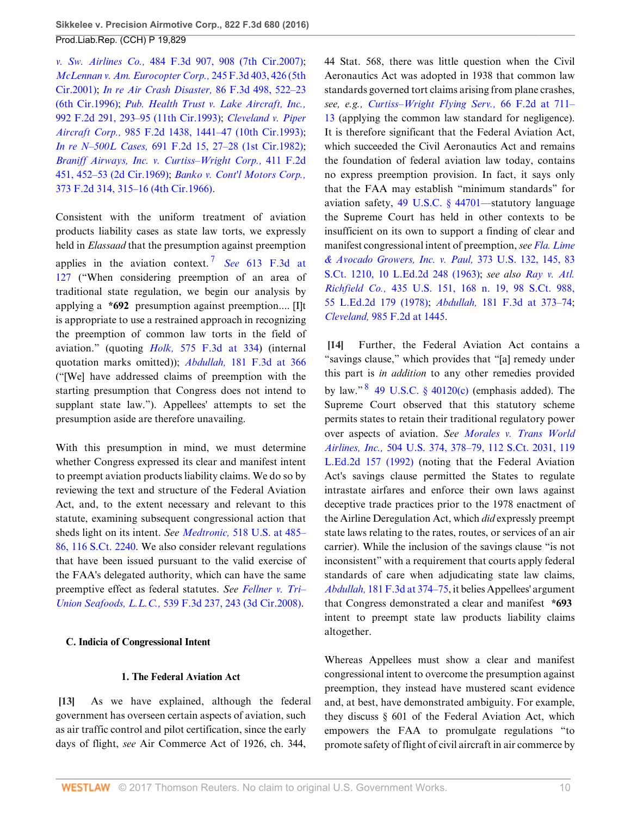*v. Sw. Airlines Co.,* [484 F.3d 907, 908 \(7th Cir.2007\)](http://www.westlaw.com/Link/Document/FullText?findType=Y&serNum=2012108150&pubNum=0000506&originatingDoc=I3ec47967064211e6b4bafa136b480ad2&refType=RP&fi=co_pp_sp_506_908&originationContext=document&vr=3.0&rs=cblt1.0&transitionType=DocumentItem&contextData=(sc.Search)#co_pp_sp_506_908); *[McLennan v. Am. Eurocopter Corp.,](http://www.westlaw.com/Link/Document/FullText?findType=Y&serNum=2001224510&pubNum=0000506&originatingDoc=I3ec47967064211e6b4bafa136b480ad2&refType=RP&fi=co_pp_sp_506_426&originationContext=document&vr=3.0&rs=cblt1.0&transitionType=DocumentItem&contextData=(sc.Search)#co_pp_sp_506_426)* 245 F.3d 403, 426 (5th [Cir.2001\);](http://www.westlaw.com/Link/Document/FullText?findType=Y&serNum=2001224510&pubNum=0000506&originatingDoc=I3ec47967064211e6b4bafa136b480ad2&refType=RP&fi=co_pp_sp_506_426&originationContext=document&vr=3.0&rs=cblt1.0&transitionType=DocumentItem&contextData=(sc.Search)#co_pp_sp_506_426) *[In re Air Crash Disaster,](http://www.westlaw.com/Link/Document/FullText?findType=Y&serNum=1996129755&pubNum=0000506&originatingDoc=I3ec47967064211e6b4bafa136b480ad2&refType=RP&fi=co_pp_sp_506_522&originationContext=document&vr=3.0&rs=cblt1.0&transitionType=DocumentItem&contextData=(sc.Search)#co_pp_sp_506_522)* 86 F.3d 498, 522–23 [\(6th Cir.1996\);](http://www.westlaw.com/Link/Document/FullText?findType=Y&serNum=1996129755&pubNum=0000506&originatingDoc=I3ec47967064211e6b4bafa136b480ad2&refType=RP&fi=co_pp_sp_506_522&originationContext=document&vr=3.0&rs=cblt1.0&transitionType=DocumentItem&contextData=(sc.Search)#co_pp_sp_506_522) *[Pub. Health Trust v. Lake Aircraft, Inc.,](http://www.westlaw.com/Link/Document/FullText?findType=Y&serNum=1993104649&pubNum=0000350&originatingDoc=I3ec47967064211e6b4bafa136b480ad2&refType=RP&fi=co_pp_sp_350_293&originationContext=document&vr=3.0&rs=cblt1.0&transitionType=DocumentItem&contextData=(sc.Search)#co_pp_sp_350_293)* [992 F.2d 291, 293–95 \(11th Cir.1993\)](http://www.westlaw.com/Link/Document/FullText?findType=Y&serNum=1993104649&pubNum=0000350&originatingDoc=I3ec47967064211e6b4bafa136b480ad2&refType=RP&fi=co_pp_sp_350_293&originationContext=document&vr=3.0&rs=cblt1.0&transitionType=DocumentItem&contextData=(sc.Search)#co_pp_sp_350_293); *[Cleveland v. Piper](http://www.westlaw.com/Link/Document/FullText?findType=Y&serNum=1993050954&pubNum=0000350&originatingDoc=I3ec47967064211e6b4bafa136b480ad2&refType=RP&fi=co_pp_sp_350_1441&originationContext=document&vr=3.0&rs=cblt1.0&transitionType=DocumentItem&contextData=(sc.Search)#co_pp_sp_350_1441) Aircraft Corp.,* [985 F.2d 1438, 1441–47 \(10th Cir.1993\)](http://www.westlaw.com/Link/Document/FullText?findType=Y&serNum=1993050954&pubNum=0000350&originatingDoc=I3ec47967064211e6b4bafa136b480ad2&refType=RP&fi=co_pp_sp_350_1441&originationContext=document&vr=3.0&rs=cblt1.0&transitionType=DocumentItem&contextData=(sc.Search)#co_pp_sp_350_1441); *In re N–500L Cases,* [691 F.2d 15, 27–28 \(1st Cir.1982\)](http://www.westlaw.com/Link/Document/FullText?findType=Y&serNum=1982143508&pubNum=0000350&originatingDoc=I3ec47967064211e6b4bafa136b480ad2&refType=RP&fi=co_pp_sp_350_27&originationContext=document&vr=3.0&rs=cblt1.0&transitionType=DocumentItem&contextData=(sc.Search)#co_pp_sp_350_27); *[Braniff Airways, Inc. v. Curtiss–Wright Corp.,](http://www.westlaw.com/Link/Document/FullText?findType=Y&serNum=1969118679&pubNum=0000350&originatingDoc=I3ec47967064211e6b4bafa136b480ad2&refType=RP&fi=co_pp_sp_350_452&originationContext=document&vr=3.0&rs=cblt1.0&transitionType=DocumentItem&contextData=(sc.Search)#co_pp_sp_350_452)* 411 F.2d [451, 452–53 \(2d Cir.1969\);](http://www.westlaw.com/Link/Document/FullText?findType=Y&serNum=1969118679&pubNum=0000350&originatingDoc=I3ec47967064211e6b4bafa136b480ad2&refType=RP&fi=co_pp_sp_350_452&originationContext=document&vr=3.0&rs=cblt1.0&transitionType=DocumentItem&contextData=(sc.Search)#co_pp_sp_350_452) *[Banko v. Cont'l Motors Corp.,](http://www.westlaw.com/Link/Document/FullText?findType=Y&serNum=1966123607&pubNum=0000350&originatingDoc=I3ec47967064211e6b4bafa136b480ad2&refType=RP&fi=co_pp_sp_350_315&originationContext=document&vr=3.0&rs=cblt1.0&transitionType=DocumentItem&contextData=(sc.Search)#co_pp_sp_350_315)* [373 F.2d 314, 315–16 \(4th Cir.1966\)](http://www.westlaw.com/Link/Document/FullText?findType=Y&serNum=1966123607&pubNum=0000350&originatingDoc=I3ec47967064211e6b4bafa136b480ad2&refType=RP&fi=co_pp_sp_350_315&originationContext=document&vr=3.0&rs=cblt1.0&transitionType=DocumentItem&contextData=(sc.Search)#co_pp_sp_350_315).

Consistent with the uniform treatment of aviation products liability cases as state law torts, we expressly held in *Elassaad* that the presumption against preemption applies in the aviation context. [7](#page-20-6) *See* [613 F.3d at](http://www.westlaw.com/Link/Document/FullText?findType=Y&serNum=2022462912&pubNum=0000506&originatingDoc=I3ec47967064211e6b4bafa136b480ad2&refType=RP&fi=co_pp_sp_506_127&originationContext=document&vr=3.0&rs=cblt1.0&transitionType=DocumentItem&contextData=(sc.Search)#co_pp_sp_506_127) [127](http://www.westlaw.com/Link/Document/FullText?findType=Y&serNum=2022462912&pubNum=0000506&originatingDoc=I3ec47967064211e6b4bafa136b480ad2&refType=RP&fi=co_pp_sp_506_127&originationContext=document&vr=3.0&rs=cblt1.0&transitionType=DocumentItem&contextData=(sc.Search)#co_pp_sp_506_127) ("When considering preemption of an area of traditional state regulation, we begin our analysis by applying a **\*692** presumption against preemption.... [I]t is appropriate to use a restrained approach in recognizing the preemption of common law torts in the field of aviation." (quoting *Holk,* [575 F.3d at 334](http://www.westlaw.com/Link/Document/FullText?findType=Y&serNum=2019589147&pubNum=0000506&originatingDoc=I3ec47967064211e6b4bafa136b480ad2&refType=RP&fi=co_pp_sp_506_334&originationContext=document&vr=3.0&rs=cblt1.0&transitionType=DocumentItem&contextData=(sc.Search)#co_pp_sp_506_334)) (internal quotation marks omitted)); *Abdullah,* [181 F.3d at 366](http://www.westlaw.com/Link/Document/FullText?findType=Y&serNum=1999148854&pubNum=0000506&originatingDoc=I3ec47967064211e6b4bafa136b480ad2&refType=RP&fi=co_pp_sp_506_366&originationContext=document&vr=3.0&rs=cblt1.0&transitionType=DocumentItem&contextData=(sc.Search)#co_pp_sp_506_366) ("[We] have addressed claims of preemption with the starting presumption that Congress does not intend to supplant state law."). Appellees' attempts to set the presumption aside are therefore unavailing.

With this presumption in mind, we must determine whether Congress expressed its clear and manifest intent to preempt aviation products liability claims. We do so by reviewing the text and structure of the Federal Aviation Act, and, to the extent necessary and relevant to this statute, examining subsequent congressional action that sheds light on its intent. *See Medtronic,* [518 U.S. at 485–](http://www.westlaw.com/Link/Document/FullText?findType=Y&serNum=1996141769&pubNum=0000708&originatingDoc=I3ec47967064211e6b4bafa136b480ad2&refType=RP&originationContext=document&vr=3.0&rs=cblt1.0&transitionType=DocumentItem&contextData=(sc.Search)) [86, 116 S.Ct. 2240.](http://www.westlaw.com/Link/Document/FullText?findType=Y&serNum=1996141769&pubNum=0000708&originatingDoc=I3ec47967064211e6b4bafa136b480ad2&refType=RP&originationContext=document&vr=3.0&rs=cblt1.0&transitionType=DocumentItem&contextData=(sc.Search)) We also consider relevant regulations that have been issued pursuant to the valid exercise of the FAA's delegated authority, which can have the same preemptive effect as federal statutes. *See [Fellner v. Tri–](http://www.westlaw.com/Link/Document/FullText?findType=Y&serNum=2016786120&pubNum=0000506&originatingDoc=I3ec47967064211e6b4bafa136b480ad2&refType=RP&fi=co_pp_sp_506_243&originationContext=document&vr=3.0&rs=cblt1.0&transitionType=DocumentItem&contextData=(sc.Search)#co_pp_sp_506_243) Union Seafoods, L.L.C.,* [539 F.3d 237, 243 \(3d Cir.2008\)](http://www.westlaw.com/Link/Document/FullText?findType=Y&serNum=2016786120&pubNum=0000506&originatingDoc=I3ec47967064211e6b4bafa136b480ad2&refType=RP&fi=co_pp_sp_506_243&originationContext=document&vr=3.0&rs=cblt1.0&transitionType=DocumentItem&contextData=(sc.Search)#co_pp_sp_506_243).

## **C. Indicia of Congressional Intent**

## **1. The Federal Aviation Act**

<span id="page-9-0"></span>**[\[13](#page-2-0)]** As we have explained, although the federal government has overseen certain aspects of aviation, such as air traffic control and pilot certification, since the early days of flight, *see* Air Commerce Act of 1926, ch. 344,

44 Stat. 568, there was little question when the Civil Aeronautics Act was adopted in 1938 that common law standards governed tort claims arising from plane crashes, *see, e.g., [Curtiss–Wright Flying Serv.,](http://www.westlaw.com/Link/Document/FullText?findType=Y&serNum=1933129643&pubNum=0000350&originatingDoc=I3ec47967064211e6b4bafa136b480ad2&refType=RP&fi=co_pp_sp_350_711&originationContext=document&vr=3.0&rs=cblt1.0&transitionType=DocumentItem&contextData=(sc.Search)#co_pp_sp_350_711)* 66 F.2d at 711– [13](http://www.westlaw.com/Link/Document/FullText?findType=Y&serNum=1933129643&pubNum=0000350&originatingDoc=I3ec47967064211e6b4bafa136b480ad2&refType=RP&fi=co_pp_sp_350_711&originationContext=document&vr=3.0&rs=cblt1.0&transitionType=DocumentItem&contextData=(sc.Search)#co_pp_sp_350_711) (applying the common law standard for negligence). It is therefore significant that the Federal Aviation Act, which succeeded the Civil Aeronautics Act and remains the foundation of federal aviation law today, contains no express preemption provision. In fact, it says only that the FAA may establish "minimum standards" for aviation safety, [49 U.S.C. § 44701—](http://www.westlaw.com/Link/Document/FullText?findType=L&pubNum=1000546&cite=49USCAS44701&originatingDoc=I3ec47967064211e6b4bafa136b480ad2&refType=LQ&originationContext=document&vr=3.0&rs=cblt1.0&transitionType=DocumentItem&contextData=(sc.Search))statutory language the Supreme Court has held in other contexts to be insufficient on its own to support a finding of clear and manifest congressional intent of preemption, *see [Fla. Lime](http://www.westlaw.com/Link/Document/FullText?findType=Y&serNum=1963125355&pubNum=0000708&originatingDoc=I3ec47967064211e6b4bafa136b480ad2&refType=RP&originationContext=document&vr=3.0&rs=cblt1.0&transitionType=DocumentItem&contextData=(sc.Search)) [& Avocado Growers, Inc. v. Paul,](http://www.westlaw.com/Link/Document/FullText?findType=Y&serNum=1963125355&pubNum=0000708&originatingDoc=I3ec47967064211e6b4bafa136b480ad2&refType=RP&originationContext=document&vr=3.0&rs=cblt1.0&transitionType=DocumentItem&contextData=(sc.Search))* 373 U.S. 132, 145, 83 [S.Ct. 1210, 10 L.Ed.2d 248 \(1963\);](http://www.westlaw.com/Link/Document/FullText?findType=Y&serNum=1963125355&pubNum=0000708&originatingDoc=I3ec47967064211e6b4bafa136b480ad2&refType=RP&originationContext=document&vr=3.0&rs=cblt1.0&transitionType=DocumentItem&contextData=(sc.Search)) *see also [Ray v. Atl.](http://www.westlaw.com/Link/Document/FullText?findType=Y&serNum=1978114197&pubNum=0000708&originatingDoc=I3ec47967064211e6b4bafa136b480ad2&refType=RP&originationContext=document&vr=3.0&rs=cblt1.0&transitionType=DocumentItem&contextData=(sc.Search)) Richfield Co.,* [435 U.S. 151, 168 n. 19, 98 S.Ct. 988,](http://www.westlaw.com/Link/Document/FullText?findType=Y&serNum=1978114197&pubNum=0000708&originatingDoc=I3ec47967064211e6b4bafa136b480ad2&refType=RP&originationContext=document&vr=3.0&rs=cblt1.0&transitionType=DocumentItem&contextData=(sc.Search)) [55 L.Ed.2d 179 \(1978\);](http://www.westlaw.com/Link/Document/FullText?findType=Y&serNum=1978114197&pubNum=0000708&originatingDoc=I3ec47967064211e6b4bafa136b480ad2&refType=RP&originationContext=document&vr=3.0&rs=cblt1.0&transitionType=DocumentItem&contextData=(sc.Search)) *Abdullah,* [181 F.3d at 373–74](http://www.westlaw.com/Link/Document/FullText?findType=Y&serNum=1999148854&pubNum=0000506&originatingDoc=I3ec47967064211e6b4bafa136b480ad2&refType=RP&fi=co_pp_sp_506_373&originationContext=document&vr=3.0&rs=cblt1.0&transitionType=DocumentItem&contextData=(sc.Search)#co_pp_sp_506_373); *Cleveland,* [985 F.2d at 1445.](http://www.westlaw.com/Link/Document/FullText?findType=Y&serNum=1993050954&pubNum=0000350&originatingDoc=I3ec47967064211e6b4bafa136b480ad2&refType=RP&fi=co_pp_sp_350_1445&originationContext=document&vr=3.0&rs=cblt1.0&transitionType=DocumentItem&contextData=(sc.Search)#co_pp_sp_350_1445)

<span id="page-9-3"></span><span id="page-9-2"></span><span id="page-9-1"></span>**[\[14](#page-2-1)]** Further, the Federal Aviation Act contains a "savings clause," which provides that "[a] remedy under this part is *in addition* to any other remedies provided by law."  $8\,$  $8\,$  49 U.S.C.  $\S$  40120(c) (emphasis added). The Supreme Court observed that this statutory scheme permits states to retain their traditional regulatory power over aspects of aviation. *See [Morales v. Trans World](http://www.westlaw.com/Link/Document/FullText?findType=Y&serNum=1992098589&pubNum=0000708&originatingDoc=I3ec47967064211e6b4bafa136b480ad2&refType=RP&originationContext=document&vr=3.0&rs=cblt1.0&transitionType=DocumentItem&contextData=(sc.Search)) Airlines, Inc.,* [504 U.S. 374, 378–79, 112 S.Ct. 2031, 119](http://www.westlaw.com/Link/Document/FullText?findType=Y&serNum=1992098589&pubNum=0000708&originatingDoc=I3ec47967064211e6b4bafa136b480ad2&refType=RP&originationContext=document&vr=3.0&rs=cblt1.0&transitionType=DocumentItem&contextData=(sc.Search)) [L.Ed.2d 157 \(1992\)](http://www.westlaw.com/Link/Document/FullText?findType=Y&serNum=1992098589&pubNum=0000708&originatingDoc=I3ec47967064211e6b4bafa136b480ad2&refType=RP&originationContext=document&vr=3.0&rs=cblt1.0&transitionType=DocumentItem&contextData=(sc.Search)) (noting that the Federal Aviation Act's savings clause permitted the States to regulate intrastate airfares and enforce their own laws against deceptive trade practices prior to the 1978 enactment of the Airline Deregulation Act, which *did* expressly preempt state laws relating to the rates, routes, or services of an air carrier). While the inclusion of the savings clause "is not inconsistent" with a requirement that courts apply federal standards of care when adjudicating state law claims, *Abdullah,* [181 F.3d at 374–75](http://www.westlaw.com/Link/Document/FullText?findType=Y&serNum=1999148854&pubNum=0000506&originatingDoc=I3ec47967064211e6b4bafa136b480ad2&refType=RP&fi=co_pp_sp_506_374&originationContext=document&vr=3.0&rs=cblt1.0&transitionType=DocumentItem&contextData=(sc.Search)#co_pp_sp_506_374), it belies Appellees' argument that Congress demonstrated a clear and manifest **\*693** intent to preempt state law products liability claims altogether.

Whereas Appellees must show a clear and manifest congressional intent to overcome the presumption against preemption, they instead have mustered scant evidence and, at best, have demonstrated ambiguity. For example, they discuss § 601 of the Federal Aviation Act, which empowers the FAA to promulgate regulations "to promote safety of flight of civil aircraft in air commerce by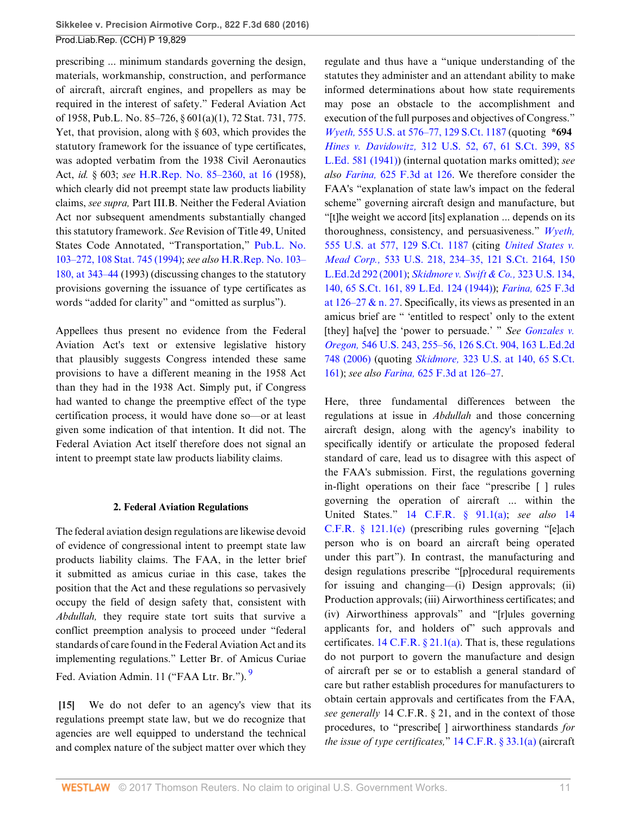prescribing ... minimum standards governing the design, materials, workmanship, construction, and performance of aircraft, aircraft engines, and propellers as may be required in the interest of safety." Federal Aviation Act of 1958, Pub.L. No. 85–726, § 601(a)(1), 72 Stat. 731, 775. Yet, that provision, along with § 603, which provides the statutory framework for the issuance of type certificates, was adopted verbatim from the 1938 Civil Aeronautics Act, *id.* § 603; *see* [H.R.Rep. No. 85–2360, at 16](http://www.westlaw.com/Link/Document/FullText?findType=Y&serNum=0100972534&pubNum=0100014&originatingDoc=I3ec47967064211e6b4bafa136b480ad2&refType=TV&originationContext=document&vr=3.0&rs=cblt1.0&transitionType=DocumentItem&contextData=(sc.Search)) (1958), which clearly did not preempt state law products liability claims, *see supra,* Part III.B. Neither the Federal Aviation Act nor subsequent amendments substantially changed this statutory framework. *See* Revision of Title 49, United States Code Annotated, "Transportation," [Pub.L. No.](http://www.westlaw.com/Link/Document/FullText?findType=l&pubNum=1077005&cite=UUID(I795103618A-E74D0EABEE1-1A41F6F2457)&originatingDoc=I3ec47967064211e6b4bafa136b480ad2&refType=SL&originationContext=document&vr=3.0&rs=cblt1.0&transitionType=DocumentItem&contextData=(sc.Search)) [103–272, 108 Stat. 745 \(1994\);](http://www.westlaw.com/Link/Document/FullText?findType=l&pubNum=1077005&cite=UUID(I795103618A-E74D0EABEE1-1A41F6F2457)&originatingDoc=I3ec47967064211e6b4bafa136b480ad2&refType=SL&originationContext=document&vr=3.0&rs=cblt1.0&transitionType=DocumentItem&contextData=(sc.Search)) *see also* [H.R.Rep. No. 103–](http://www.westlaw.com/Link/Document/FullText?findType=Y&serNum=0103027063&pubNum=0100014&originatingDoc=I3ec47967064211e6b4bafa136b480ad2&refType=TV&originationContext=document&vr=3.0&rs=cblt1.0&transitionType=DocumentItem&contextData=(sc.Search)) [180, at 343–44](http://www.westlaw.com/Link/Document/FullText?findType=Y&serNum=0103027063&pubNum=0100014&originatingDoc=I3ec47967064211e6b4bafa136b480ad2&refType=TV&originationContext=document&vr=3.0&rs=cblt1.0&transitionType=DocumentItem&contextData=(sc.Search)) (1993) (discussing changes to the statutory provisions governing the issuance of type certificates as words "added for clarity" and "omitted as surplus").

Appellees thus present no evidence from the Federal Aviation Act's text or extensive legislative history that plausibly suggests Congress intended these same provisions to have a different meaning in the 1958 Act than they had in the 1938 Act. Simply put, if Congress had wanted to change the preemptive effect of the type certification process, it would have done so—or at least given some indication of that intention. It did not. The Federal Aviation Act itself therefore does not signal an intent to preempt state law products liability claims.

### **2. Federal Aviation Regulations**

The federal aviation design regulations are likewise devoid of evidence of congressional intent to preempt state law products liability claims. The FAA, in the letter brief it submitted as amicus curiae in this case, takes the position that the Act and these regulations so pervasively occupy the field of design safety that, consistent with *Abdullah,* they require state tort suits that survive a conflict preemption analysis to proceed under "federal standards of care found in the Federal Aviation Act and its implementing regulations." Letter Br. of Amicus Curiae Fed. Aviation Admin. 11 ("FAA Ltr. Br."). [9](#page-20-8)

<span id="page-10-1"></span><span id="page-10-0"></span>**[\[15](#page-2-2)]** We do not defer to an agency's view that its regulations preempt state law, but we do recognize that agencies are well equipped to understand the technical and complex nature of the subject matter over which they

regulate and thus have a "unique understanding of the statutes they administer and an attendant ability to make informed determinations about how state requirements may pose an obstacle to the accomplishment and execution of the full purposes and objectives of Congress." *Wyeth,* [555 U.S. at 576–77, 129 S.Ct. 1187](http://www.westlaw.com/Link/Document/FullText?findType=Y&serNum=2018265400&pubNum=0000708&originatingDoc=I3ec47967064211e6b4bafa136b480ad2&refType=RP&originationContext=document&vr=3.0&rs=cblt1.0&transitionType=DocumentItem&contextData=(sc.Search)) (quoting **\*694** *Hines v. Davidowitz,* [312 U.S. 52, 67, 61 S.Ct. 399, 85](http://www.westlaw.com/Link/Document/FullText?findType=Y&serNum=1941120966&pubNum=0000708&originatingDoc=I3ec47967064211e6b4bafa136b480ad2&refType=RP&originationContext=document&vr=3.0&rs=cblt1.0&transitionType=DocumentItem&contextData=(sc.Search)) [L.Ed. 581 \(1941\)\)](http://www.westlaw.com/Link/Document/FullText?findType=Y&serNum=1941120966&pubNum=0000708&originatingDoc=I3ec47967064211e6b4bafa136b480ad2&refType=RP&originationContext=document&vr=3.0&rs=cblt1.0&transitionType=DocumentItem&contextData=(sc.Search)) (internal quotation marks omitted); *see also Farina,* [625 F.3d at 126.](http://www.westlaw.com/Link/Document/FullText?findType=Y&serNum=2023448865&pubNum=0000506&originatingDoc=I3ec47967064211e6b4bafa136b480ad2&refType=RP&fi=co_pp_sp_506_126&originationContext=document&vr=3.0&rs=cblt1.0&transitionType=DocumentItem&contextData=(sc.Search)#co_pp_sp_506_126) We therefore consider the FAA's "explanation of state law's impact on the federal scheme" governing aircraft design and manufacture, but "[t]he weight we accord [its] explanation ... depends on its thoroughness, consistency, and persuasiveness." *[Wyeth,](http://www.westlaw.com/Link/Document/FullText?findType=Y&serNum=2018265400&pubNum=0000708&originatingDoc=I3ec47967064211e6b4bafa136b480ad2&refType=RP&originationContext=document&vr=3.0&rs=cblt1.0&transitionType=DocumentItem&contextData=(sc.Search))* [555 U.S. at 577, 129 S.Ct. 1187](http://www.westlaw.com/Link/Document/FullText?findType=Y&serNum=2018265400&pubNum=0000708&originatingDoc=I3ec47967064211e6b4bafa136b480ad2&refType=RP&originationContext=document&vr=3.0&rs=cblt1.0&transitionType=DocumentItem&contextData=(sc.Search)) (citing *[United States v.](http://www.westlaw.com/Link/Document/FullText?findType=Y&serNum=2001518724&pubNum=0000708&originatingDoc=I3ec47967064211e6b4bafa136b480ad2&refType=RP&originationContext=document&vr=3.0&rs=cblt1.0&transitionType=DocumentItem&contextData=(sc.Search)) Mead Corp.,* [533 U.S. 218, 234–35, 121 S.Ct. 2164, 150](http://www.westlaw.com/Link/Document/FullText?findType=Y&serNum=2001518724&pubNum=0000708&originatingDoc=I3ec47967064211e6b4bafa136b480ad2&refType=RP&originationContext=document&vr=3.0&rs=cblt1.0&transitionType=DocumentItem&contextData=(sc.Search)) [L.Ed.2d 292 \(2001\)](http://www.westlaw.com/Link/Document/FullText?findType=Y&serNum=2001518724&pubNum=0000708&originatingDoc=I3ec47967064211e6b4bafa136b480ad2&refType=RP&originationContext=document&vr=3.0&rs=cblt1.0&transitionType=DocumentItem&contextData=(sc.Search)); *[Skidmore v. Swift & Co.,](http://www.westlaw.com/Link/Document/FullText?findType=Y&serNum=1944117044&pubNum=0000708&originatingDoc=I3ec47967064211e6b4bafa136b480ad2&refType=RP&originationContext=document&vr=3.0&rs=cblt1.0&transitionType=DocumentItem&contextData=(sc.Search))* 323 U.S. 134, [140, 65 S.Ct. 161, 89 L.Ed. 124 \(1944\)](http://www.westlaw.com/Link/Document/FullText?findType=Y&serNum=1944117044&pubNum=0000708&originatingDoc=I3ec47967064211e6b4bafa136b480ad2&refType=RP&originationContext=document&vr=3.0&rs=cblt1.0&transitionType=DocumentItem&contextData=(sc.Search))); *Farina,* [625 F.3d](http://www.westlaw.com/Link/Document/FullText?findType=Y&serNum=2023448865&pubNum=0000506&originatingDoc=I3ec47967064211e6b4bafa136b480ad2&refType=RP&fi=co_pp_sp_506_126&originationContext=document&vr=3.0&rs=cblt1.0&transitionType=DocumentItem&contextData=(sc.Search)#co_pp_sp_506_126) at  $126-27$  & n. 27. Specifically, its views as presented in an amicus brief are " 'entitled to respect' only to the extent [they] ha[ve] the 'power to persuade.' " *See [Gonzales v.](http://www.westlaw.com/Link/Document/FullText?findType=Y&serNum=2008183980&pubNum=0000708&originatingDoc=I3ec47967064211e6b4bafa136b480ad2&refType=RP&originationContext=document&vr=3.0&rs=cblt1.0&transitionType=DocumentItem&contextData=(sc.Search)) Oregon,* [546 U.S. 243, 255–56, 126 S.Ct. 904, 163 L.Ed.2d](http://www.westlaw.com/Link/Document/FullText?findType=Y&serNum=2008183980&pubNum=0000708&originatingDoc=I3ec47967064211e6b4bafa136b480ad2&refType=RP&originationContext=document&vr=3.0&rs=cblt1.0&transitionType=DocumentItem&contextData=(sc.Search)) [748 \(2006\)](http://www.westlaw.com/Link/Document/FullText?findType=Y&serNum=2008183980&pubNum=0000708&originatingDoc=I3ec47967064211e6b4bafa136b480ad2&refType=RP&originationContext=document&vr=3.0&rs=cblt1.0&transitionType=DocumentItem&contextData=(sc.Search)) (quoting *Skidmore,* [323 U.S. at 140, 65 S.Ct.](http://www.westlaw.com/Link/Document/FullText?findType=Y&serNum=1944117044&pubNum=0000708&originatingDoc=I3ec47967064211e6b4bafa136b480ad2&refType=RP&originationContext=document&vr=3.0&rs=cblt1.0&transitionType=DocumentItem&contextData=(sc.Search)) [161](http://www.westlaw.com/Link/Document/FullText?findType=Y&serNum=1944117044&pubNum=0000708&originatingDoc=I3ec47967064211e6b4bafa136b480ad2&refType=RP&originationContext=document&vr=3.0&rs=cblt1.0&transitionType=DocumentItem&contextData=(sc.Search))); *see also Farina,* [625 F.3d at 126–27](http://www.westlaw.com/Link/Document/FullText?findType=Y&serNum=2023448865&pubNum=0000506&originatingDoc=I3ec47967064211e6b4bafa136b480ad2&refType=RP&fi=co_pp_sp_506_126&originationContext=document&vr=3.0&rs=cblt1.0&transitionType=DocumentItem&contextData=(sc.Search)#co_pp_sp_506_126).

Here, three fundamental differences between the regulations at issue in *Abdullah* and those concerning aircraft design, along with the agency's inability to specifically identify or articulate the proposed federal standard of care, lead us to disagree with this aspect of the FAA's submission. First, the regulations governing in-flight operations on their face "prescribe [ ] rules governing the operation of aircraft ... within the United States." [14 C.F.R. § 91.1\(a\);](http://www.westlaw.com/Link/Document/FullText?findType=L&pubNum=1000547&cite=14CFRS91.1&originatingDoc=I3ec47967064211e6b4bafa136b480ad2&refType=RB&originationContext=document&vr=3.0&rs=cblt1.0&transitionType=DocumentItem&contextData=(sc.Search)#co_pp_8b3b0000958a4) *see also* [14](http://www.westlaw.com/Link/Document/FullText?findType=L&pubNum=1000547&cite=14CFRS121.1&originatingDoc=I3ec47967064211e6b4bafa136b480ad2&refType=RB&originationContext=document&vr=3.0&rs=cblt1.0&transitionType=DocumentItem&contextData=(sc.Search)#co_pp_7fdd00001ca15) [C.F.R. § 121.1\(e\)](http://www.westlaw.com/Link/Document/FullText?findType=L&pubNum=1000547&cite=14CFRS121.1&originatingDoc=I3ec47967064211e6b4bafa136b480ad2&refType=RB&originationContext=document&vr=3.0&rs=cblt1.0&transitionType=DocumentItem&contextData=(sc.Search)#co_pp_7fdd00001ca15) (prescribing rules governing "[e]ach person who is on board an aircraft being operated under this part"). In contrast, the manufacturing and design regulations prescribe "[p]rocedural requirements for issuing and changing—(i) Design approvals; (ii) Production approvals; (iii) Airworthiness certificates; and (iv) Airworthiness approvals" and "[r]ules governing applicants for, and holders of" such approvals and certificates.  $14 \text{ C.F.R. } § 21.1(a)$ . That is, these regulations do not purport to govern the manufacture and design of aircraft per se or to establish a general standard of care but rather establish procedures for manufacturers to obtain certain approvals and certificates from the FAA, *see generally* 14 C.F.R. § 21, and in the context of those procedures, to "prescribe[ ] airworthiness standards *for the issue of type certificates,*" [14 C.F.R. § 33.1\(a\)](http://www.westlaw.com/Link/Document/FullText?findType=L&pubNum=1000547&cite=14CFRS33.1&originatingDoc=I3ec47967064211e6b4bafa136b480ad2&refType=RB&originationContext=document&vr=3.0&rs=cblt1.0&transitionType=DocumentItem&contextData=(sc.Search)#co_pp_8b3b0000958a4) (aircraft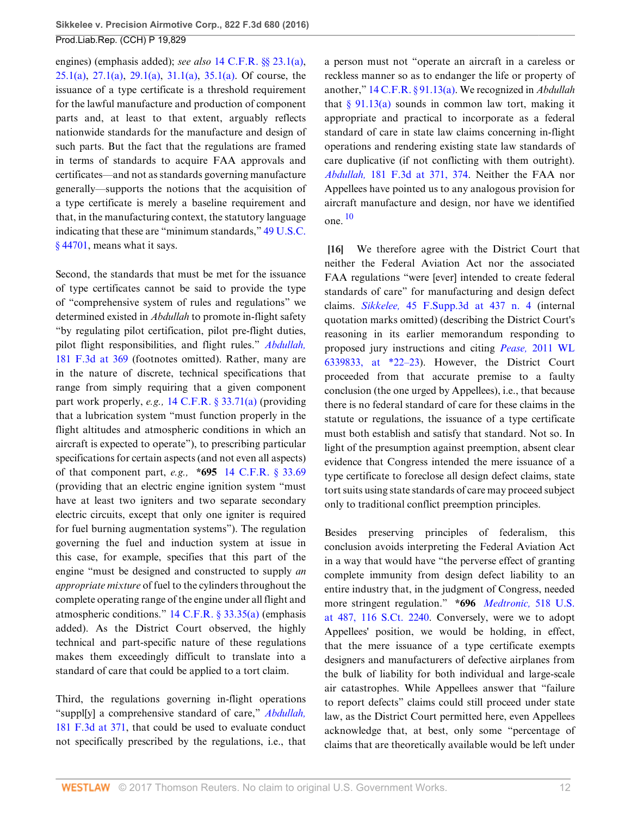engines) (emphasis added); *see also* [14 C.F.R. §§ 23.1\(a\)](http://www.westlaw.com/Link/Document/FullText?findType=L&pubNum=1000547&cite=14CFRS23.1&originatingDoc=I3ec47967064211e6b4bafa136b480ad2&refType=RB&originationContext=document&vr=3.0&rs=cblt1.0&transitionType=DocumentItem&contextData=(sc.Search)#co_pp_8b3b0000958a4), [25.1\(a\)](http://www.westlaw.com/Link/Document/FullText?findType=L&pubNum=1000547&cite=14CFRS25.1&originatingDoc=I3ec47967064211e6b4bafa136b480ad2&refType=RB&originationContext=document&vr=3.0&rs=cblt1.0&transitionType=DocumentItem&contextData=(sc.Search)#co_pp_8b3b0000958a4), [27.1\(a\)](http://www.westlaw.com/Link/Document/FullText?findType=L&pubNum=1000547&cite=14CFRS27.1&originatingDoc=I3ec47967064211e6b4bafa136b480ad2&refType=RB&originationContext=document&vr=3.0&rs=cblt1.0&transitionType=DocumentItem&contextData=(sc.Search)#co_pp_8b3b0000958a4), [29.1\(a\),](http://www.westlaw.com/Link/Document/FullText?findType=L&pubNum=1000547&cite=14CFRS29.1&originatingDoc=I3ec47967064211e6b4bafa136b480ad2&refType=RB&originationContext=document&vr=3.0&rs=cblt1.0&transitionType=DocumentItem&contextData=(sc.Search)#co_pp_8b3b0000958a4) [31.1\(a\),](http://www.westlaw.com/Link/Document/FullText?findType=L&pubNum=1000547&cite=14CFRS31.1&originatingDoc=I3ec47967064211e6b4bafa136b480ad2&refType=RB&originationContext=document&vr=3.0&rs=cblt1.0&transitionType=DocumentItem&contextData=(sc.Search)#co_pp_8b3b0000958a4) [35.1\(a\).](http://www.westlaw.com/Link/Document/FullText?findType=L&pubNum=1000547&cite=14CFRS35.1&originatingDoc=I3ec47967064211e6b4bafa136b480ad2&refType=RB&originationContext=document&vr=3.0&rs=cblt1.0&transitionType=DocumentItem&contextData=(sc.Search)#co_pp_8b3b0000958a4) Of course, the issuance of a type certificate is a threshold requirement for the lawful manufacture and production of component parts and, at least to that extent, arguably reflects nationwide standards for the manufacture and design of such parts. But the fact that the regulations are framed in terms of standards to acquire FAA approvals and certificates—and not as standards governing manufacture generally—supports the notions that the acquisition of a type certificate is merely a baseline requirement and that, in the manufacturing context, the statutory language indicating that these are "minimum standards," [49 U.S.C.](http://www.westlaw.com/Link/Document/FullText?findType=L&pubNum=1000546&cite=49USCAS44701&originatingDoc=I3ec47967064211e6b4bafa136b480ad2&refType=LQ&originationContext=document&vr=3.0&rs=cblt1.0&transitionType=DocumentItem&contextData=(sc.Search)) [§ 44701](http://www.westlaw.com/Link/Document/FullText?findType=L&pubNum=1000546&cite=49USCAS44701&originatingDoc=I3ec47967064211e6b4bafa136b480ad2&refType=LQ&originationContext=document&vr=3.0&rs=cblt1.0&transitionType=DocumentItem&contextData=(sc.Search)), means what it says.

Second, the standards that must be met for the issuance of type certificates cannot be said to provide the type of "comprehensive system of rules and regulations" we determined existed in *Abdullah* to promote in-flight safety "by regulating pilot certification, pilot pre-flight duties, pilot flight responsibilities, and flight rules." *[Abdullah,](http://www.westlaw.com/Link/Document/FullText?findType=Y&serNum=1999148854&pubNum=0000506&originatingDoc=I3ec47967064211e6b4bafa136b480ad2&refType=RP&fi=co_pp_sp_506_369&originationContext=document&vr=3.0&rs=cblt1.0&transitionType=DocumentItem&contextData=(sc.Search)#co_pp_sp_506_369)* [181 F.3d at 369](http://www.westlaw.com/Link/Document/FullText?findType=Y&serNum=1999148854&pubNum=0000506&originatingDoc=I3ec47967064211e6b4bafa136b480ad2&refType=RP&fi=co_pp_sp_506_369&originationContext=document&vr=3.0&rs=cblt1.0&transitionType=DocumentItem&contextData=(sc.Search)#co_pp_sp_506_369) (footnotes omitted). Rather, many are in the nature of discrete, technical specifications that range from simply requiring that a given component part work properly, *e.g.,* [14 C.F.R. § 33.71\(a\)](http://www.westlaw.com/Link/Document/FullText?findType=L&pubNum=1000547&cite=14CFRS33.71&originatingDoc=I3ec47967064211e6b4bafa136b480ad2&refType=RB&originationContext=document&vr=3.0&rs=cblt1.0&transitionType=DocumentItem&contextData=(sc.Search)#co_pp_8b3b0000958a4) (providing that a lubrication system "must function properly in the flight altitudes and atmospheric conditions in which an aircraft is expected to operate"), to prescribing particular specifications for certain aspects (and not even all aspects) of that component part, *e.g.,* **\*695** [14 C.F.R. § 33.69](http://www.westlaw.com/Link/Document/FullText?findType=L&pubNum=1000547&cite=14CFRS33.69&originatingDoc=I3ec47967064211e6b4bafa136b480ad2&refType=LQ&originationContext=document&vr=3.0&rs=cblt1.0&transitionType=DocumentItem&contextData=(sc.Search)) (providing that an electric engine ignition system "must have at least two igniters and two separate secondary electric circuits, except that only one igniter is required for fuel burning augmentation systems"). The regulation governing the fuel and induction system at issue in this case, for example, specifies that this part of the engine "must be designed and constructed to supply *an appropriate mixture* of fuel to the cylinders throughout the complete operating range of the engine under all flight and atmospheric conditions." [14 C.F.R. § 33.35\(a\)](http://www.westlaw.com/Link/Document/FullText?findType=L&pubNum=1000547&cite=14CFRS33.35&originatingDoc=I3ec47967064211e6b4bafa136b480ad2&refType=RB&originationContext=document&vr=3.0&rs=cblt1.0&transitionType=DocumentItem&contextData=(sc.Search)#co_pp_8b3b0000958a4) (emphasis added). As the District Court observed, the highly technical and part-specific nature of these regulations makes them exceedingly difficult to translate into a standard of care that could be applied to a tort claim.

Third, the regulations governing in-flight operations "suppl[y] a comprehensive standard of care," *[Abdullah,](http://www.westlaw.com/Link/Document/FullText?findType=Y&serNum=1999148854&pubNum=0000506&originatingDoc=I3ec47967064211e6b4bafa136b480ad2&refType=RP&fi=co_pp_sp_506_371&originationContext=document&vr=3.0&rs=cblt1.0&transitionType=DocumentItem&contextData=(sc.Search)#co_pp_sp_506_371)* [181 F.3d at 371](http://www.westlaw.com/Link/Document/FullText?findType=Y&serNum=1999148854&pubNum=0000506&originatingDoc=I3ec47967064211e6b4bafa136b480ad2&refType=RP&fi=co_pp_sp_506_371&originationContext=document&vr=3.0&rs=cblt1.0&transitionType=DocumentItem&contextData=(sc.Search)#co_pp_sp_506_371), that could be used to evaluate conduct not specifically prescribed by the regulations, i.e., that a person must not "operate an aircraft in a careless or reckless manner so as to endanger the life or property of another," [14 C.F.R. § 91.13\(a\).](http://www.westlaw.com/Link/Document/FullText?findType=L&pubNum=1000547&cite=14CFRS91.13&originatingDoc=I3ec47967064211e6b4bafa136b480ad2&refType=RB&originationContext=document&vr=3.0&rs=cblt1.0&transitionType=DocumentItem&contextData=(sc.Search)#co_pp_8b3b0000958a4) We recognized in *Abdullah* that  $\S$  91.13(a) sounds in common law tort, making it appropriate and practical to incorporate as a federal standard of care in state law claims concerning in-flight operations and rendering existing state law standards of care duplicative (if not conflicting with them outright). *Abdullah,* [181 F.3d at 371, 374](http://www.westlaw.com/Link/Document/FullText?findType=Y&serNum=1999148854&pubNum=0000506&originatingDoc=I3ec47967064211e6b4bafa136b480ad2&refType=RP&fi=co_pp_sp_506_371&originationContext=document&vr=3.0&rs=cblt1.0&transitionType=DocumentItem&contextData=(sc.Search)#co_pp_sp_506_371). Neither the FAA nor Appellees have pointed us to any analogous provision for aircraft manufacture and design, nor have we identified  $one$ <sup>[10](#page-20-9)</sup>

<span id="page-11-1"></span><span id="page-11-0"></span>**[\[16](#page-2-3)]** We therefore agree with the District Court that neither the Federal Aviation Act nor the associated FAA regulations "were [ever] intended to create federal standards of care" for manufacturing and design defect claims. *Sikkelee,* [45 F.Supp.3d at 437 n. 4](http://www.westlaw.com/Link/Document/FullText?findType=Y&serNum=2034316153&pubNum=0007903&originatingDoc=I3ec47967064211e6b4bafa136b480ad2&refType=RP&fi=co_pp_sp_7903_437&originationContext=document&vr=3.0&rs=cblt1.0&transitionType=DocumentItem&contextData=(sc.Search)#co_pp_sp_7903_437) (internal quotation marks omitted) (describing the District Court's reasoning in its earlier memorandum responding to proposed jury instructions and citing *Pease,* [2011 WL](http://www.westlaw.com/Link/Document/FullText?findType=Y&serNum=2026709812&pubNum=0000999&originatingDoc=I3ec47967064211e6b4bafa136b480ad2&refType=RP&originationContext=document&vr=3.0&rs=cblt1.0&transitionType=DocumentItem&contextData=(sc.Search)) [6339833, at \\*22–23](http://www.westlaw.com/Link/Document/FullText?findType=Y&serNum=2026709812&pubNum=0000999&originatingDoc=I3ec47967064211e6b4bafa136b480ad2&refType=RP&originationContext=document&vr=3.0&rs=cblt1.0&transitionType=DocumentItem&contextData=(sc.Search))). However, the District Court proceeded from that accurate premise to a faulty conclusion (the one urged by Appellees), i.e., that because there is no federal standard of care for these claims in the statute or regulations, the issuance of a type certificate must both establish and satisfy that standard. Not so. In light of the presumption against preemption, absent clear evidence that Congress intended the mere issuance of a type certificate to foreclose all design defect claims, state tort suits using state standards of care may proceed subject only to traditional conflict preemption principles.

Besides preserving principles of federalism, this conclusion avoids interpreting the Federal Aviation Act in a way that would have "the perverse effect of granting complete immunity from design defect liability to an entire industry that, in the judgment of Congress, needed more stringent regulation." **\*696** *[Medtronic,](http://www.westlaw.com/Link/Document/FullText?findType=Y&serNum=1996141769&pubNum=0000708&originatingDoc=I3ec47967064211e6b4bafa136b480ad2&refType=RP&originationContext=document&vr=3.0&rs=cblt1.0&transitionType=DocumentItem&contextData=(sc.Search))* 518 U.S. [at 487, 116 S.Ct. 2240](http://www.westlaw.com/Link/Document/FullText?findType=Y&serNum=1996141769&pubNum=0000708&originatingDoc=I3ec47967064211e6b4bafa136b480ad2&refType=RP&originationContext=document&vr=3.0&rs=cblt1.0&transitionType=DocumentItem&contextData=(sc.Search)). Conversely, were we to adopt Appellees' position, we would be holding, in effect, that the mere issuance of a type certificate exempts designers and manufacturers of defective airplanes from the bulk of liability for both individual and large-scale air catastrophes. While Appellees answer that "failure to report defects" claims could still proceed under state law, as the District Court permitted here, even Appellees acknowledge that, at best, only some "percentage of claims that are theoretically available would be left under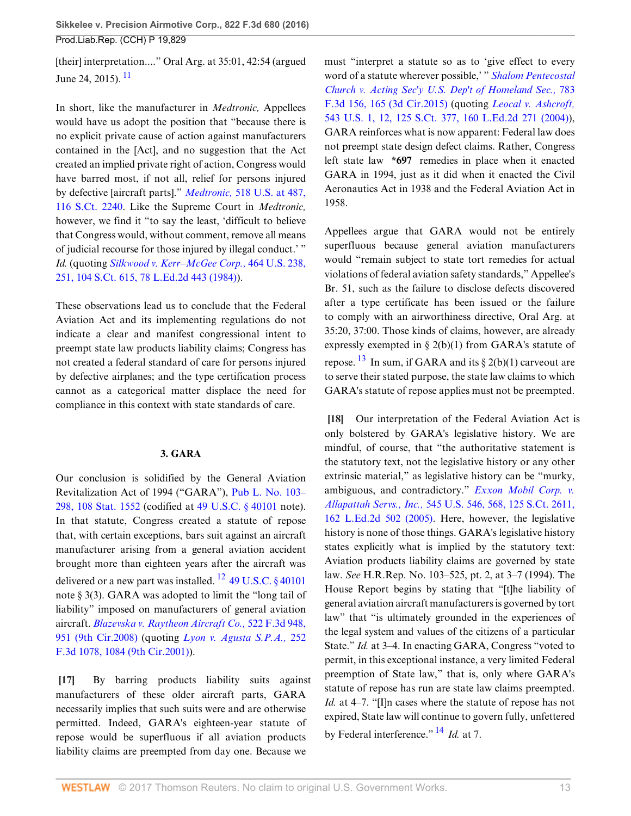<span id="page-12-2"></span>[their] interpretation...." Oral Arg. at 35:01, 42:54 (argued June 24, 2015).  $11$ 

In short, like the manufacturer in *Medtronic,* Appellees would have us adopt the position that "because there is no explicit private cause of action against manufacturers contained in the [Act], and no suggestion that the Act created an implied private right of action, Congress would have barred most, if not all, relief for persons injured by defective [aircraft parts]." *Medtronic,* [518 U.S. at 487,](http://www.westlaw.com/Link/Document/FullText?findType=Y&serNum=1996141769&pubNum=0000708&originatingDoc=I3ec47967064211e6b4bafa136b480ad2&refType=RP&originationContext=document&vr=3.0&rs=cblt1.0&transitionType=DocumentItem&contextData=(sc.Search)) [116 S.Ct. 2240.](http://www.westlaw.com/Link/Document/FullText?findType=Y&serNum=1996141769&pubNum=0000708&originatingDoc=I3ec47967064211e6b4bafa136b480ad2&refType=RP&originationContext=document&vr=3.0&rs=cblt1.0&transitionType=DocumentItem&contextData=(sc.Search)) Like the Supreme Court in *Medtronic,* however, we find it "to say the least, 'difficult to believe that Congress would, without comment, remove all means of judicial recourse for those injured by illegal conduct.' " *Id.* (quoting *[Silkwood v. Kerr–McGee Corp.,](http://www.westlaw.com/Link/Document/FullText?findType=Y&serNum=1984101854&pubNum=0000708&originatingDoc=I3ec47967064211e6b4bafa136b480ad2&refType=RP&originationContext=document&vr=3.0&rs=cblt1.0&transitionType=DocumentItem&contextData=(sc.Search))* 464 U.S. 238, [251, 104 S.Ct. 615, 78 L.Ed.2d 443 \(1984\)\)](http://www.westlaw.com/Link/Document/FullText?findType=Y&serNum=1984101854&pubNum=0000708&originatingDoc=I3ec47967064211e6b4bafa136b480ad2&refType=RP&originationContext=document&vr=3.0&rs=cblt1.0&transitionType=DocumentItem&contextData=(sc.Search)).

These observations lead us to conclude that the Federal Aviation Act and its implementing regulations do not indicate a clear and manifest congressional intent to preempt state law products liability claims; Congress has not created a federal standard of care for persons injured by defective airplanes; and the type certification process cannot as a categorical matter displace the need for compliance in this context with state standards of care.

## <span id="page-12-3"></span>**3. GARA**

Our conclusion is solidified by the General Aviation Revitalization Act of 1994 ("GARA"), [Pub L. No. 103–](http://www.westlaw.com/Link/Document/FullText?findType=l&pubNum=1077005&cite=UUID(I46ABD87DA3-B6491DBF164-1A38ABEAF43)&originatingDoc=I3ec47967064211e6b4bafa136b480ad2&refType=SL&originationContext=document&vr=3.0&rs=cblt1.0&transitionType=DocumentItem&contextData=(sc.Search)) [298, 108 Stat. 1552](http://www.westlaw.com/Link/Document/FullText?findType=l&pubNum=1077005&cite=UUID(I46ABD87DA3-B6491DBF164-1A38ABEAF43)&originatingDoc=I3ec47967064211e6b4bafa136b480ad2&refType=SL&originationContext=document&vr=3.0&rs=cblt1.0&transitionType=DocumentItem&contextData=(sc.Search)) (codified at [49 U.S.C. § 40101](http://www.westlaw.com/Link/Document/FullText?findType=L&pubNum=1000546&cite=49USCAS40101&originatingDoc=I3ec47967064211e6b4bafa136b480ad2&refType=LQ&originationContext=document&vr=3.0&rs=cblt1.0&transitionType=DocumentItem&contextData=(sc.Search)) note). In that statute, Congress created a statute of repose that, with certain exceptions, bars suit against an aircraft manufacturer arising from a general aviation accident brought more than eighteen years after the aircraft was delivered or a new part was installed.  $^{12}$  $^{12}$  $^{12}$  [49 U.S.C. § 40101](http://www.westlaw.com/Link/Document/FullText?findType=L&pubNum=1000546&cite=49USCAS40101&originatingDoc=I3ec47967064211e6b4bafa136b480ad2&refType=LQ&originationContext=document&vr=3.0&rs=cblt1.0&transitionType=DocumentItem&contextData=(sc.Search)) note § 3(3). GARA was adopted to limit the "long tail of liability" imposed on manufacturers of general aviation aircraft. *[Blazevska v. Raytheon Aircraft Co.,](http://www.westlaw.com/Link/Document/FullText?findType=Y&serNum=2015753168&pubNum=0000506&originatingDoc=I3ec47967064211e6b4bafa136b480ad2&refType=RP&fi=co_pp_sp_506_951&originationContext=document&vr=3.0&rs=cblt1.0&transitionType=DocumentItem&contextData=(sc.Search)#co_pp_sp_506_951)* 522 F.3d 948, [951 \(9th Cir.2008\)](http://www.westlaw.com/Link/Document/FullText?findType=Y&serNum=2015753168&pubNum=0000506&originatingDoc=I3ec47967064211e6b4bafa136b480ad2&refType=RP&fi=co_pp_sp_506_951&originationContext=document&vr=3.0&rs=cblt1.0&transitionType=DocumentItem&contextData=(sc.Search)#co_pp_sp_506_951) (quoting *[Lyon v. Agusta S.P.A.,](http://www.westlaw.com/Link/Document/FullText?findType=Y&serNum=2001486850&pubNum=0000506&originatingDoc=I3ec47967064211e6b4bafa136b480ad2&refType=RP&fi=co_pp_sp_506_1084&originationContext=document&vr=3.0&rs=cblt1.0&transitionType=DocumentItem&contextData=(sc.Search)#co_pp_sp_506_1084)* 252 [F.3d 1078, 1084 \(9th Cir.2001\)\)](http://www.westlaw.com/Link/Document/FullText?findType=Y&serNum=2001486850&pubNum=0000506&originatingDoc=I3ec47967064211e6b4bafa136b480ad2&refType=RP&fi=co_pp_sp_506_1084&originationContext=document&vr=3.0&rs=cblt1.0&transitionType=DocumentItem&contextData=(sc.Search)#co_pp_sp_506_1084).

<span id="page-12-0"></span>**[\[17](#page-2-4)]** By barring products liability suits against manufacturers of these older aircraft parts, GARA necessarily implies that such suits were and are otherwise permitted. Indeed, GARA's eighteen-year statute of repose would be superfluous if all aviation products liability claims are preempted from day one. Because we

must "interpret a statute so as to 'give effect to every word of a statute wherever possible,' " *[Shalom Pentecostal](http://www.westlaw.com/Link/Document/FullText?findType=Y&serNum=2035761556&pubNum=0000506&originatingDoc=I3ec47967064211e6b4bafa136b480ad2&refType=RP&fi=co_pp_sp_506_165&originationContext=document&vr=3.0&rs=cblt1.0&transitionType=DocumentItem&contextData=(sc.Search)#co_pp_sp_506_165) [Church v. Acting Sec'y U.S. Dep't of Homeland Sec.,](http://www.westlaw.com/Link/Document/FullText?findType=Y&serNum=2035761556&pubNum=0000506&originatingDoc=I3ec47967064211e6b4bafa136b480ad2&refType=RP&fi=co_pp_sp_506_165&originationContext=document&vr=3.0&rs=cblt1.0&transitionType=DocumentItem&contextData=(sc.Search)#co_pp_sp_506_165)* 783 [F.3d 156, 165 \(3d Cir.2015\)](http://www.westlaw.com/Link/Document/FullText?findType=Y&serNum=2035761556&pubNum=0000506&originatingDoc=I3ec47967064211e6b4bafa136b480ad2&refType=RP&fi=co_pp_sp_506_165&originationContext=document&vr=3.0&rs=cblt1.0&transitionType=DocumentItem&contextData=(sc.Search)#co_pp_sp_506_165) (quoting *[Leocal v. Ashcroft,](http://www.westlaw.com/Link/Document/FullText?findType=Y&serNum=2005465553&pubNum=0000708&originatingDoc=I3ec47967064211e6b4bafa136b480ad2&refType=RP&originationContext=document&vr=3.0&rs=cblt1.0&transitionType=DocumentItem&contextData=(sc.Search))* [543 U.S. 1, 12, 125 S.Ct. 377, 160 L.Ed.2d 271 \(2004\)\)](http://www.westlaw.com/Link/Document/FullText?findType=Y&serNum=2005465553&pubNum=0000708&originatingDoc=I3ec47967064211e6b4bafa136b480ad2&refType=RP&originationContext=document&vr=3.0&rs=cblt1.0&transitionType=DocumentItem&contextData=(sc.Search)), GARA reinforces what is now apparent: Federal law does not preempt state design defect claims. Rather, Congress left state law **\*697** remedies in place when it enacted GARA in 1994, just as it did when it enacted the Civil Aeronautics Act in 1938 and the Federal Aviation Act in 1958.

Appellees argue that GARA would not be entirely superfluous because general aviation manufacturers would "remain subject to state tort remedies for actual violations of federal aviation safety standards," Appellee's Br. 51, such as the failure to disclose defects discovered after a type certificate has been issued or the failure to comply with an airworthiness directive, Oral Arg. at 35:20, 37:00. Those kinds of claims, however, are already expressly exempted in § 2(b)(1) from GARA's statute of repose.  $^{13}$  $^{13}$  $^{13}$  In sum, if GARA and its § 2(b)(1) carveout are to serve their stated purpose, the state law claims to which GARA's statute of repose applies must not be preempted.

<span id="page-12-5"></span><span id="page-12-4"></span><span id="page-12-1"></span>**[\[18](#page-2-5)]** Our interpretation of the Federal Aviation Act is only bolstered by GARA's legislative history. We are mindful, of course, that "the authoritative statement is the statutory text, not the legislative history or any other extrinsic material," as legislative history can be "murky, ambiguous, and contradictory." *[Exxon Mobil Corp. v.](http://www.westlaw.com/Link/Document/FullText?findType=Y&serNum=2006844939&pubNum=0000708&originatingDoc=I3ec47967064211e6b4bafa136b480ad2&refType=RP&originationContext=document&vr=3.0&rs=cblt1.0&transitionType=DocumentItem&contextData=(sc.Search)) Allapattah Servs., Inc.,* [545 U.S. 546, 568, 125 S.Ct. 2611,](http://www.westlaw.com/Link/Document/FullText?findType=Y&serNum=2006844939&pubNum=0000708&originatingDoc=I3ec47967064211e6b4bafa136b480ad2&refType=RP&originationContext=document&vr=3.0&rs=cblt1.0&transitionType=DocumentItem&contextData=(sc.Search)) [162 L.Ed.2d 502 \(2005\)](http://www.westlaw.com/Link/Document/FullText?findType=Y&serNum=2006844939&pubNum=0000708&originatingDoc=I3ec47967064211e6b4bafa136b480ad2&refType=RP&originationContext=document&vr=3.0&rs=cblt1.0&transitionType=DocumentItem&contextData=(sc.Search)). Here, however, the legislative history is none of those things. GARA's legislative history states explicitly what is implied by the statutory text: Aviation products liability claims are governed by state law. *See* H.R.Rep. No. 103–525, pt. 2, at 3–7 (1994). The House Report begins by stating that "[t]he liability of general aviation aircraft manufacturers is governed by tort law" that "is ultimately grounded in the experiences of the legal system and values of the citizens of a particular State." *Id.* at 3–4. In enacting GARA, Congress "voted to permit, in this exceptional instance, a very limited Federal preemption of State law," that is, only where GARA's statute of repose has run are state law claims preempted. *Id.* at 4–7. "[I]n cases where the statute of repose has not expired, State law will continue to govern fully, unfettered by Federal interference." [14](#page-21-0) *Id.* at 7.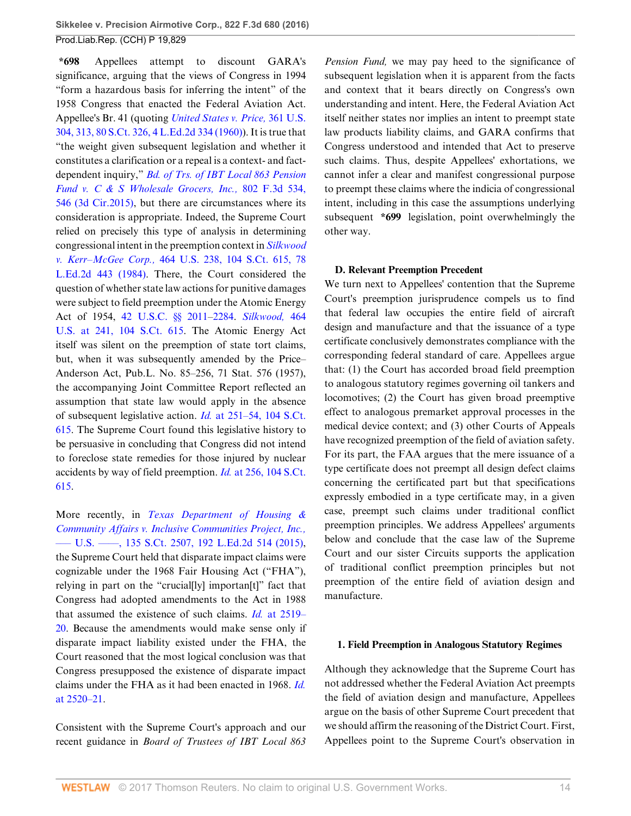**\*698** Appellees attempt to discount GARA's significance, arguing that the views of Congress in 1994 "form a hazardous basis for inferring the intent" of the 1958 Congress that enacted the Federal Aviation Act. Appellee's Br. 41 (quoting *[United States v. Price,](http://www.westlaw.com/Link/Document/FullText?findType=Y&serNum=1960122464&pubNum=0000708&originatingDoc=I3ec47967064211e6b4bafa136b480ad2&refType=RP&originationContext=document&vr=3.0&rs=cblt1.0&transitionType=DocumentItem&contextData=(sc.Search))* 361 U.S. [304, 313, 80 S.Ct. 326, 4 L.Ed.2d 334 \(1960\)](http://www.westlaw.com/Link/Document/FullText?findType=Y&serNum=1960122464&pubNum=0000708&originatingDoc=I3ec47967064211e6b4bafa136b480ad2&refType=RP&originationContext=document&vr=3.0&rs=cblt1.0&transitionType=DocumentItem&contextData=(sc.Search))). It is true that "the weight given subsequent legislation and whether it constitutes a clarification or a repeal is a context- and factdependent inquiry," *[Bd. of Trs. of IBT Local 863 Pension](http://www.westlaw.com/Link/Document/FullText?findType=Y&serNum=2037173372&pubNum=0000506&originatingDoc=I3ec47967064211e6b4bafa136b480ad2&refType=RP&fi=co_pp_sp_506_546&originationContext=document&vr=3.0&rs=cblt1.0&transitionType=DocumentItem&contextData=(sc.Search)#co_pp_sp_506_546) [Fund v. C & S Wholesale Grocers, Inc.,](http://www.westlaw.com/Link/Document/FullText?findType=Y&serNum=2037173372&pubNum=0000506&originatingDoc=I3ec47967064211e6b4bafa136b480ad2&refType=RP&fi=co_pp_sp_506_546&originationContext=document&vr=3.0&rs=cblt1.0&transitionType=DocumentItem&contextData=(sc.Search)#co_pp_sp_506_546)* 802 F.3d 534, [546 \(3d Cir.2015\),](http://www.westlaw.com/Link/Document/FullText?findType=Y&serNum=2037173372&pubNum=0000506&originatingDoc=I3ec47967064211e6b4bafa136b480ad2&refType=RP&fi=co_pp_sp_506_546&originationContext=document&vr=3.0&rs=cblt1.0&transitionType=DocumentItem&contextData=(sc.Search)#co_pp_sp_506_546) but there are circumstances where its consideration is appropriate. Indeed, the Supreme Court relied on precisely this type of analysis in determining congressional intent in the preemption context in *[Silkwood](http://www.westlaw.com/Link/Document/FullText?findType=Y&serNum=1984101854&pubNum=0000708&originatingDoc=I3ec47967064211e6b4bafa136b480ad2&refType=RP&originationContext=document&vr=3.0&rs=cblt1.0&transitionType=DocumentItem&contextData=(sc.Search)) v. Kerr–McGee Corp.,* [464 U.S. 238, 104 S.Ct. 615, 78](http://www.westlaw.com/Link/Document/FullText?findType=Y&serNum=1984101854&pubNum=0000708&originatingDoc=I3ec47967064211e6b4bafa136b480ad2&refType=RP&originationContext=document&vr=3.0&rs=cblt1.0&transitionType=DocumentItem&contextData=(sc.Search)) [L.Ed.2d 443 \(1984\).](http://www.westlaw.com/Link/Document/FullText?findType=Y&serNum=1984101854&pubNum=0000708&originatingDoc=I3ec47967064211e6b4bafa136b480ad2&refType=RP&originationContext=document&vr=3.0&rs=cblt1.0&transitionType=DocumentItem&contextData=(sc.Search)) There, the Court considered the question of whether state law actions for punitive damages were subject to field preemption under the Atomic Energy Act of 1954, [42 U.S.C. §§ 2011–](http://www.westlaw.com/Link/Document/FullText?findType=L&pubNum=1000546&cite=42USCAS2011&originatingDoc=I3ec47967064211e6b4bafa136b480ad2&refType=LQ&originationContext=document&vr=3.0&rs=cblt1.0&transitionType=DocumentItem&contextData=(sc.Search))[2284.](http://www.westlaw.com/Link/Document/FullText?findType=L&pubNum=1000546&cite=42USCAS2284&originatingDoc=I3ec47967064211e6b4bafa136b480ad2&refType=LQ&originationContext=document&vr=3.0&rs=cblt1.0&transitionType=DocumentItem&contextData=(sc.Search)) *[Silkwood,](http://www.westlaw.com/Link/Document/FullText?findType=Y&serNum=1984101854&pubNum=0000708&originatingDoc=I3ec47967064211e6b4bafa136b480ad2&refType=RP&originationContext=document&vr=3.0&rs=cblt1.0&transitionType=DocumentItem&contextData=(sc.Search))* 464 [U.S. at 241, 104 S.Ct. 615](http://www.westlaw.com/Link/Document/FullText?findType=Y&serNum=1984101854&pubNum=0000708&originatingDoc=I3ec47967064211e6b4bafa136b480ad2&refType=RP&originationContext=document&vr=3.0&rs=cblt1.0&transitionType=DocumentItem&contextData=(sc.Search)). The Atomic Energy Act itself was silent on the preemption of state tort claims, but, when it was subsequently amended by the Price– Anderson Act, Pub.L. No. 85–256, 71 Stat. 576 (1957), the accompanying Joint Committee Report reflected an assumption that state law would apply in the absence of subsequent legislative action. *Id.* [at 251–54, 104 S.Ct.](http://www.westlaw.com/Link/Document/FullText?findType=Y&serNum=1984101854&pubNum=0000708&originatingDoc=I3ec47967064211e6b4bafa136b480ad2&refType=RP&originationContext=document&vr=3.0&rs=cblt1.0&transitionType=DocumentItem&contextData=(sc.Search)) [615](http://www.westlaw.com/Link/Document/FullText?findType=Y&serNum=1984101854&pubNum=0000708&originatingDoc=I3ec47967064211e6b4bafa136b480ad2&refType=RP&originationContext=document&vr=3.0&rs=cblt1.0&transitionType=DocumentItem&contextData=(sc.Search)). The Supreme Court found this legislative history to be persuasive in concluding that Congress did not intend to foreclose state remedies for those injured by nuclear accidents by way of field preemption. *Id.* [at 256, 104 S.Ct.](http://www.westlaw.com/Link/Document/FullText?findType=Y&serNum=1984101854&pubNum=0000708&originatingDoc=I3ec47967064211e6b4bafa136b480ad2&refType=RP&originationContext=document&vr=3.0&rs=cblt1.0&transitionType=DocumentItem&contextData=(sc.Search)) [615](http://www.westlaw.com/Link/Document/FullText?findType=Y&serNum=1984101854&pubNum=0000708&originatingDoc=I3ec47967064211e6b4bafa136b480ad2&refType=RP&originationContext=document&vr=3.0&rs=cblt1.0&transitionType=DocumentItem&contextData=(sc.Search)).

More recently, in *[Texas Department of Housing &](http://www.westlaw.com/Link/Document/FullText?findType=Y&serNum=2036534912&pubNum=0000708&originatingDoc=I3ec47967064211e6b4bafa136b480ad2&refType=RP&originationContext=document&vr=3.0&rs=cblt1.0&transitionType=DocumentItem&contextData=(sc.Search)) [Community Affairs v. Inclusive Communities Project, Inc.,](http://www.westlaw.com/Link/Document/FullText?findType=Y&serNum=2036534912&pubNum=0000708&originatingDoc=I3ec47967064211e6b4bafa136b480ad2&refType=RP&originationContext=document&vr=3.0&rs=cblt1.0&transitionType=DocumentItem&contextData=(sc.Search))* [––– U.S. ––––, 135 S.Ct. 2507, 192 L.Ed.2d 514 \(2015\)](http://www.westlaw.com/Link/Document/FullText?findType=Y&serNum=2036534912&pubNum=0000708&originatingDoc=I3ec47967064211e6b4bafa136b480ad2&refType=RP&originationContext=document&vr=3.0&rs=cblt1.0&transitionType=DocumentItem&contextData=(sc.Search)), the Supreme Court held that disparate impact claims were cognizable under the 1968 Fair Housing Act ("FHA"), relying in part on the "crucial[ly] importan[t]" fact that Congress had adopted amendments to the Act in 1988 that assumed the existence of such claims. *Id.* [at 2519–](http://www.westlaw.com/Link/Document/FullText?findType=Y&serNum=2036534912&pubNum=0000708&originatingDoc=I3ec47967064211e6b4bafa136b480ad2&refType=RP&fi=co_pp_sp_708_2519&originationContext=document&vr=3.0&rs=cblt1.0&transitionType=DocumentItem&contextData=(sc.Search)#co_pp_sp_708_2519) [20](http://www.westlaw.com/Link/Document/FullText?findType=Y&serNum=2036534912&pubNum=0000708&originatingDoc=I3ec47967064211e6b4bafa136b480ad2&refType=RP&fi=co_pp_sp_708_2519&originationContext=document&vr=3.0&rs=cblt1.0&transitionType=DocumentItem&contextData=(sc.Search)#co_pp_sp_708_2519). Because the amendments would make sense only if disparate impact liability existed under the FHA, the Court reasoned that the most logical conclusion was that Congress presupposed the existence of disparate impact claims under the FHA as it had been enacted in 1968. *[Id.](http://www.westlaw.com/Link/Document/FullText?findType=Y&serNum=2036534912&pubNum=0000708&originatingDoc=I3ec47967064211e6b4bafa136b480ad2&refType=RP&fi=co_pp_sp_708_2520&originationContext=document&vr=3.0&rs=cblt1.0&transitionType=DocumentItem&contextData=(sc.Search)#co_pp_sp_708_2520)* [at 2520–21.](http://www.westlaw.com/Link/Document/FullText?findType=Y&serNum=2036534912&pubNum=0000708&originatingDoc=I3ec47967064211e6b4bafa136b480ad2&refType=RP&fi=co_pp_sp_708_2520&originationContext=document&vr=3.0&rs=cblt1.0&transitionType=DocumentItem&contextData=(sc.Search)#co_pp_sp_708_2520)

Consistent with the Supreme Court's approach and our recent guidance in *Board of Trustees of IBT Local 863*

*Pension Fund,* we may pay heed to the significance of subsequent legislation when it is apparent from the facts and context that it bears directly on Congress's own understanding and intent. Here, the Federal Aviation Act itself neither states nor implies an intent to preempt state law products liability claims, and GARA confirms that Congress understood and intended that Act to preserve such claims. Thus, despite Appellees' exhortations, we cannot infer a clear and manifest congressional purpose to preempt these claims where the indicia of congressional intent, including in this case the assumptions underlying subsequent **\*699** legislation, point overwhelmingly the other way.

### **D. Relevant Preemption Precedent**

We turn next to Appellees' contention that the Supreme Court's preemption jurisprudence compels us to find that federal law occupies the entire field of aircraft design and manufacture and that the issuance of a type certificate conclusively demonstrates compliance with the corresponding federal standard of care. Appellees argue that: (1) the Court has accorded broad field preemption to analogous statutory regimes governing oil tankers and locomotives; (2) the Court has given broad preemptive effect to analogous premarket approval processes in the medical device context; and (3) other Courts of Appeals have recognized preemption of the field of aviation safety. For its part, the FAA argues that the mere issuance of a type certificate does not preempt all design defect claims concerning the certificated part but that specifications expressly embodied in a type certificate may, in a given case, preempt such claims under traditional conflict preemption principles. We address Appellees' arguments below and conclude that the case law of the Supreme Court and our sister Circuits supports the application of traditional conflict preemption principles but not preemption of the entire field of aviation design and manufacture.

#### **1. Field Preemption in Analogous Statutory Regimes**

Although they acknowledge that the Supreme Court has not addressed whether the Federal Aviation Act preempts the field of aviation design and manufacture, Appellees argue on the basis of other Supreme Court precedent that we should affirm the reasoning of the District Court. First, Appellees point to the Supreme Court's observation in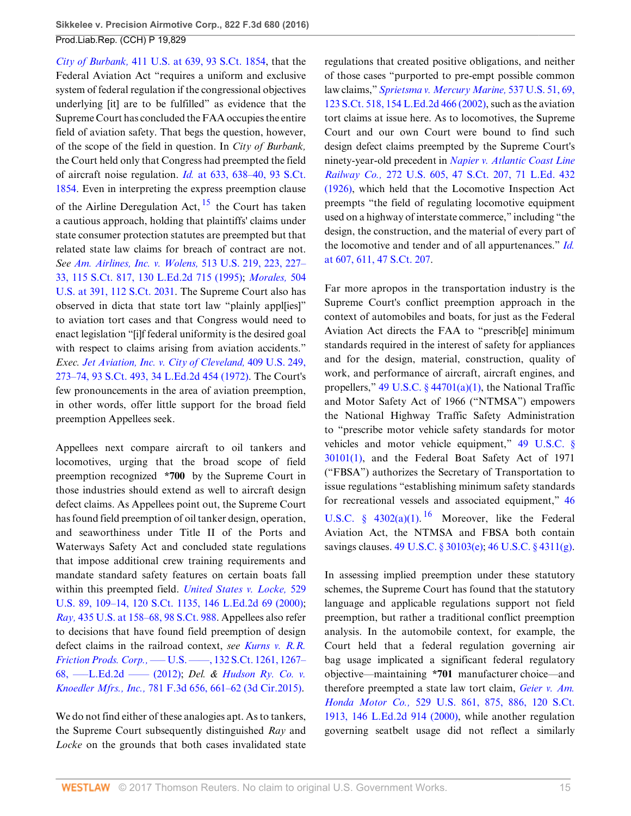*City of Burbank,* [411 U.S. at 639, 93 S.Ct. 1854,](http://www.westlaw.com/Link/Document/FullText?findType=Y&serNum=1973126394&pubNum=0000708&originatingDoc=I3ec47967064211e6b4bafa136b480ad2&refType=RP&originationContext=document&vr=3.0&rs=cblt1.0&transitionType=DocumentItem&contextData=(sc.Search)) that the Federal Aviation Act "requires a uniform and exclusive system of federal regulation if the congressional objectives underlying [it] are to be fulfilled" as evidence that the Supreme Court has concluded the FAA occupies the entire field of aviation safety. That begs the question, however, of the scope of the field in question. In *City of Burbank,* the Court held only that Congress had preempted the field of aircraft noise regulation. *Id.* [at 633, 638–40, 93 S.Ct.](http://www.westlaw.com/Link/Document/FullText?findType=Y&serNum=1973126394&pubNum=0000708&originatingDoc=I3ec47967064211e6b4bafa136b480ad2&refType=RP&originationContext=document&vr=3.0&rs=cblt1.0&transitionType=DocumentItem&contextData=(sc.Search)) [1854](http://www.westlaw.com/Link/Document/FullText?findType=Y&serNum=1973126394&pubNum=0000708&originatingDoc=I3ec47967064211e6b4bafa136b480ad2&refType=RP&originationContext=document&vr=3.0&rs=cblt1.0&transitionType=DocumentItem&contextData=(sc.Search)). Even in interpreting the express preemption clause of the Airline Deregulation Act,  $15$  the Court has taken a cautious approach, holding that plaintiffs' claims under state consumer protection statutes are preempted but that related state law claims for breach of contract are not. *See [Am. Airlines, Inc. v. Wolens,](http://www.westlaw.com/Link/Document/FullText?findType=Y&serNum=1995030819&pubNum=0000708&originatingDoc=I3ec47967064211e6b4bafa136b480ad2&refType=RP&originationContext=document&vr=3.0&rs=cblt1.0&transitionType=DocumentItem&contextData=(sc.Search))* 513 U.S. 219, 223, 227– [33, 115 S.Ct. 817, 130 L.Ed.2d 715 \(1995\)](http://www.westlaw.com/Link/Document/FullText?findType=Y&serNum=1995030819&pubNum=0000708&originatingDoc=I3ec47967064211e6b4bafa136b480ad2&refType=RP&originationContext=document&vr=3.0&rs=cblt1.0&transitionType=DocumentItem&contextData=(sc.Search)); *[Morales,](http://www.westlaw.com/Link/Document/FullText?findType=Y&serNum=1992098589&pubNum=0000708&originatingDoc=I3ec47967064211e6b4bafa136b480ad2&refType=RP&originationContext=document&vr=3.0&rs=cblt1.0&transitionType=DocumentItem&contextData=(sc.Search))* 504 [U.S. at 391, 112 S.Ct. 2031.](http://www.westlaw.com/Link/Document/FullText?findType=Y&serNum=1992098589&pubNum=0000708&originatingDoc=I3ec47967064211e6b4bafa136b480ad2&refType=RP&originationContext=document&vr=3.0&rs=cblt1.0&transitionType=DocumentItem&contextData=(sc.Search)) The Supreme Court also has observed in dicta that state tort law "plainly appl[ies]" to aviation tort cases and that Congress would need to enact legislation "[i]f federal uniformity is the desired goal with respect to claims arising from aviation accidents." *Exec. [Jet Aviation, Inc. v. City of Cleveland,](http://www.westlaw.com/Link/Document/FullText?findType=Y&serNum=1972127225&pubNum=0000708&originatingDoc=I3ec47967064211e6b4bafa136b480ad2&refType=RP&originationContext=document&vr=3.0&rs=cblt1.0&transitionType=DocumentItem&contextData=(sc.Search))* 409 U.S. 249, [273–74, 93 S.Ct. 493, 34 L.Ed.2d 454 \(1972\)](http://www.westlaw.com/Link/Document/FullText?findType=Y&serNum=1972127225&pubNum=0000708&originatingDoc=I3ec47967064211e6b4bafa136b480ad2&refType=RP&originationContext=document&vr=3.0&rs=cblt1.0&transitionType=DocumentItem&contextData=(sc.Search)). The Court's few pronouncements in the area of aviation preemption, in other words, offer little support for the broad field preemption Appellees seek.

Appellees next compare aircraft to oil tankers and locomotives, urging that the broad scope of field preemption recognized **\*700** by the Supreme Court in those industries should extend as well to aircraft design defect claims. As Appellees point out, the Supreme Court has found field preemption of oil tanker design, operation, and seaworthiness under Title II of the Ports and Waterways Safety Act and concluded state regulations that impose additional crew training requirements and mandate standard safety features on certain boats fall within this preempted field. *[United States v. Locke,](http://www.westlaw.com/Link/Document/FullText?findType=Y&serNum=2000067271&pubNum=0000708&originatingDoc=I3ec47967064211e6b4bafa136b480ad2&refType=RP&originationContext=document&vr=3.0&rs=cblt1.0&transitionType=DocumentItem&contextData=(sc.Search))* 529 [U.S. 89, 109–14, 120 S.Ct. 1135, 146 L.Ed.2d 69 \(2000\)](http://www.westlaw.com/Link/Document/FullText?findType=Y&serNum=2000067271&pubNum=0000708&originatingDoc=I3ec47967064211e6b4bafa136b480ad2&refType=RP&originationContext=document&vr=3.0&rs=cblt1.0&transitionType=DocumentItem&contextData=(sc.Search)); *Ray,* [435 U.S. at 158–68, 98 S.Ct. 988](http://www.westlaw.com/Link/Document/FullText?findType=Y&serNum=1978114197&pubNum=0000708&originatingDoc=I3ec47967064211e6b4bafa136b480ad2&refType=RP&originationContext=document&vr=3.0&rs=cblt1.0&transitionType=DocumentItem&contextData=(sc.Search)). Appellees also refer to decisions that have found field preemption of design defect claims in the railroad context, *see [Kurns v. R.R.](http://www.westlaw.com/Link/Document/FullText?findType=Y&serNum=2027223708&pubNum=0000708&originatingDoc=I3ec47967064211e6b4bafa136b480ad2&refType=RP&fi=co_pp_sp_708_1267&originationContext=document&vr=3.0&rs=cblt1.0&transitionType=DocumentItem&contextData=(sc.Search)#co_pp_sp_708_1267) Friction Prods. Corp.,* [––– U.S. ––––, 132 S.Ct. 1261, 1267–](http://www.westlaw.com/Link/Document/FullText?findType=Y&serNum=2027223708&pubNum=0000708&originatingDoc=I3ec47967064211e6b4bafa136b480ad2&refType=RP&fi=co_pp_sp_708_1267&originationContext=document&vr=3.0&rs=cblt1.0&transitionType=DocumentItem&contextData=(sc.Search)#co_pp_sp_708_1267) [68, –––L.Ed.2d –––– \(2012\);](http://www.westlaw.com/Link/Document/FullText?findType=Y&serNum=2027223708&pubNum=0000708&originatingDoc=I3ec47967064211e6b4bafa136b480ad2&refType=RP&fi=co_pp_sp_708_1267&originationContext=document&vr=3.0&rs=cblt1.0&transitionType=DocumentItem&contextData=(sc.Search)#co_pp_sp_708_1267) *Del. & [Hudson Ry. Co. v.](http://www.westlaw.com/Link/Document/FullText?findType=Y&serNum=2035246461&pubNum=0000506&originatingDoc=I3ec47967064211e6b4bafa136b480ad2&refType=RP&fi=co_pp_sp_506_661&originationContext=document&vr=3.0&rs=cblt1.0&transitionType=DocumentItem&contextData=(sc.Search)#co_pp_sp_506_661) Knoedler Mfrs., Inc.,* [781 F.3d 656, 661–62 \(3d Cir.2015\).](http://www.westlaw.com/Link/Document/FullText?findType=Y&serNum=2035246461&pubNum=0000506&originatingDoc=I3ec47967064211e6b4bafa136b480ad2&refType=RP&fi=co_pp_sp_506_661&originationContext=document&vr=3.0&rs=cblt1.0&transitionType=DocumentItem&contextData=(sc.Search)#co_pp_sp_506_661)

We do not find either of these analogies apt. As to tankers, the Supreme Court subsequently distinguished *Ray* and *Locke* on the grounds that both cases invalidated state regulations that created positive obligations, and neither of those cases "purported to pre-empt possible common law claims," *[Sprietsma v. Mercury Marine,](http://www.westlaw.com/Link/Document/FullText?findType=Y&serNum=2002754784&pubNum=0000708&originatingDoc=I3ec47967064211e6b4bafa136b480ad2&refType=RP&originationContext=document&vr=3.0&rs=cblt1.0&transitionType=DocumentItem&contextData=(sc.Search))* 537 U.S. 51, 69, [123 S.Ct. 518, 154 L.Ed.2d 466 \(2002\),](http://www.westlaw.com/Link/Document/FullText?findType=Y&serNum=2002754784&pubNum=0000708&originatingDoc=I3ec47967064211e6b4bafa136b480ad2&refType=RP&originationContext=document&vr=3.0&rs=cblt1.0&transitionType=DocumentItem&contextData=(sc.Search)) such as the aviation tort claims at issue here. As to locomotives, the Supreme Court and our own Court were bound to find such design defect claims preempted by the Supreme Court's ninety-year-old precedent in *[Napier v. Atlantic Coast Line](http://www.westlaw.com/Link/Document/FullText?findType=Y&serNum=1926121495&pubNum=0000708&originatingDoc=I3ec47967064211e6b4bafa136b480ad2&refType=RP&originationContext=document&vr=3.0&rs=cblt1.0&transitionType=DocumentItem&contextData=(sc.Search)) Railway Co.,* [272 U.S. 605, 47 S.Ct. 207, 71 L.Ed. 432](http://www.westlaw.com/Link/Document/FullText?findType=Y&serNum=1926121495&pubNum=0000708&originatingDoc=I3ec47967064211e6b4bafa136b480ad2&refType=RP&originationContext=document&vr=3.0&rs=cblt1.0&transitionType=DocumentItem&contextData=(sc.Search)) [\(1926\),](http://www.westlaw.com/Link/Document/FullText?findType=Y&serNum=1926121495&pubNum=0000708&originatingDoc=I3ec47967064211e6b4bafa136b480ad2&refType=RP&originationContext=document&vr=3.0&rs=cblt1.0&transitionType=DocumentItem&contextData=(sc.Search)) which held that the Locomotive Inspection Act preempts "the field of regulating locomotive equipment used on a highway of interstate commerce," including "the design, the construction, and the material of every part of the locomotive and tender and of all appurtenances." *[Id.](http://www.westlaw.com/Link/Document/FullText?findType=Y&serNum=1926121495&pubNum=0000708&originatingDoc=I3ec47967064211e6b4bafa136b480ad2&refType=RP&originationContext=document&vr=3.0&rs=cblt1.0&transitionType=DocumentItem&contextData=(sc.Search))* [at 607, 611, 47 S.Ct. 207.](http://www.westlaw.com/Link/Document/FullText?findType=Y&serNum=1926121495&pubNum=0000708&originatingDoc=I3ec47967064211e6b4bafa136b480ad2&refType=RP&originationContext=document&vr=3.0&rs=cblt1.0&transitionType=DocumentItem&contextData=(sc.Search))

<span id="page-14-0"></span>Far more apropos in the transportation industry is the Supreme Court's conflict preemption approach in the context of automobiles and boats, for just as the Federal Aviation Act directs the FAA to "prescrib[e] minimum standards required in the interest of safety for appliances and for the design, material, construction, quality of work, and performance of aircraft, aircraft engines, and propellers," [49 U.S.C. § 44701\(a\)\(1\),](http://www.westlaw.com/Link/Document/FullText?findType=L&pubNum=1000546&cite=49USCAS44701&originatingDoc=I3ec47967064211e6b4bafa136b480ad2&refType=RB&originationContext=document&vr=3.0&rs=cblt1.0&transitionType=DocumentItem&contextData=(sc.Search)#co_pp_7b9b000044381) the National Traffic and Motor Safety Act of 1966 ("NTMSA") empowers the National Highway Traffic Safety Administration to "prescribe motor vehicle safety standards for motor vehicles and motor vehicle equipment," [49 U.S.C. §](http://www.westlaw.com/Link/Document/FullText?findType=L&pubNum=1000546&cite=49USCAS30101&originatingDoc=I3ec47967064211e6b4bafa136b480ad2&refType=RB&originationContext=document&vr=3.0&rs=cblt1.0&transitionType=DocumentItem&contextData=(sc.Search)#co_pp_f1c50000821b0) [30101\(1\),](http://www.westlaw.com/Link/Document/FullText?findType=L&pubNum=1000546&cite=49USCAS30101&originatingDoc=I3ec47967064211e6b4bafa136b480ad2&refType=RB&originationContext=document&vr=3.0&rs=cblt1.0&transitionType=DocumentItem&contextData=(sc.Search)#co_pp_f1c50000821b0) and the Federal Boat Safety Act of 1971 ("FBSA") authorizes the Secretary of Transportation to issue regulations "establishing minimum safety standards for recreational vessels and associated equipment," [46](http://www.westlaw.com/Link/Document/FullText?findType=L&pubNum=1000546&cite=46USCAS4302&originatingDoc=I3ec47967064211e6b4bafa136b480ad2&refType=RB&originationContext=document&vr=3.0&rs=cblt1.0&transitionType=DocumentItem&contextData=(sc.Search)#co_pp_7b9b000044381) U.S.C. §  $4302(a)(1)$ . <sup>[16](#page-21-2)</sup> Moreover, like the Federal Aviation Act, the NTMSA and FBSA both contain savings clauses. [49 U.S.C. § 30103\(e\);](http://www.westlaw.com/Link/Document/FullText?findType=L&pubNum=1000546&cite=49USCAS30103&originatingDoc=I3ec47967064211e6b4bafa136b480ad2&refType=RB&originationContext=document&vr=3.0&rs=cblt1.0&transitionType=DocumentItem&contextData=(sc.Search)#co_pp_7fdd00001ca15) [46 U.S.C. § 4311\(g\)](http://www.westlaw.com/Link/Document/FullText?findType=L&pubNum=1000546&cite=46USCAS4311&originatingDoc=I3ec47967064211e6b4bafa136b480ad2&refType=RB&originationContext=document&vr=3.0&rs=cblt1.0&transitionType=DocumentItem&contextData=(sc.Search)#co_pp_16f4000091d86).

<span id="page-14-1"></span>In assessing implied preemption under these statutory schemes, the Supreme Court has found that the statutory language and applicable regulations support not field preemption, but rather a traditional conflict preemption analysis. In the automobile context, for example, the Court held that a federal regulation governing air bag usage implicated a significant federal regulatory objective—maintaining **\*701** manufacturer choice—and therefore preempted a state law tort claim, *[Geier v. Am.](http://www.westlaw.com/Link/Document/FullText?findType=Y&serNum=2000358257&pubNum=0000708&originatingDoc=I3ec47967064211e6b4bafa136b480ad2&refType=RP&originationContext=document&vr=3.0&rs=cblt1.0&transitionType=DocumentItem&contextData=(sc.Search)) Honda Motor Co.,* [529 U.S. 861, 875, 886, 120 S.Ct.](http://www.westlaw.com/Link/Document/FullText?findType=Y&serNum=2000358257&pubNum=0000708&originatingDoc=I3ec47967064211e6b4bafa136b480ad2&refType=RP&originationContext=document&vr=3.0&rs=cblt1.0&transitionType=DocumentItem&contextData=(sc.Search)) [1913, 146 L.Ed.2d 914 \(2000\),](http://www.westlaw.com/Link/Document/FullText?findType=Y&serNum=2000358257&pubNum=0000708&originatingDoc=I3ec47967064211e6b4bafa136b480ad2&refType=RP&originationContext=document&vr=3.0&rs=cblt1.0&transitionType=DocumentItem&contextData=(sc.Search)) while another regulation governing seatbelt usage did not reflect a similarly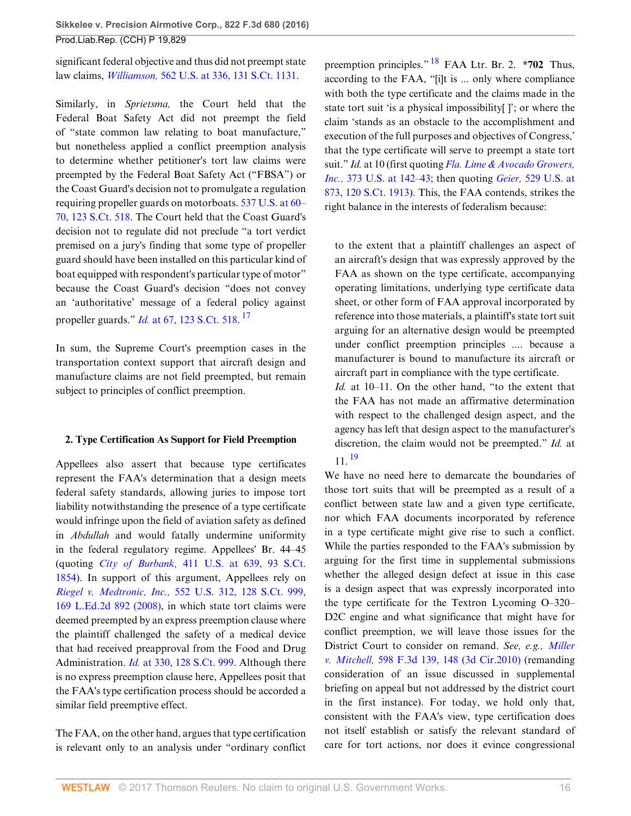significant federal objective and thus did not preempt state law claims, *Williamson,* [562 U.S. at 336, 131 S.Ct. 1131.](http://www.westlaw.com/Link/Document/FullText?findType=Y&serNum=2024648878&pubNum=0000708&originatingDoc=I3ec47967064211e6b4bafa136b480ad2&refType=RP&originationContext=document&vr=3.0&rs=cblt1.0&transitionType=DocumentItem&contextData=(sc.Search))

Similarly, in *Sprietsma,* the Court held that the Federal Boat Safety Act did not preempt the field of "state common law relating to boat manufacture," but nonetheless applied a conflict preemption analysis to determine whether petitioner's tort law claims were preempted by the Federal Boat Safety Act ("FBSA") or the Coast Guard's decision not to promulgate a regulation requiring propeller guards on motorboats. [537 U.S. at 60–](http://www.westlaw.com/Link/Document/FullText?findType=Y&serNum=2002754784&pubNum=0000708&originatingDoc=I3ec47967064211e6b4bafa136b480ad2&refType=RP&originationContext=document&vr=3.0&rs=cblt1.0&transitionType=DocumentItem&contextData=(sc.Search)) [70, 123 S.Ct. 518](http://www.westlaw.com/Link/Document/FullText?findType=Y&serNum=2002754784&pubNum=0000708&originatingDoc=I3ec47967064211e6b4bafa136b480ad2&refType=RP&originationContext=document&vr=3.0&rs=cblt1.0&transitionType=DocumentItem&contextData=(sc.Search)). The Court held that the Coast Guard's decision not to regulate did not preclude "a tort verdict premised on a jury's finding that some type of propeller guard should have been installed on this particular kind of boat equipped with respondent's particular type of motor" because the Coast Guard's decision "does not convey an 'authoritative' message of a federal policy against propeller guards." *Id.* [at 67, 123 S.Ct. 518](http://www.westlaw.com/Link/Document/FullText?findType=Y&serNum=2002754784&pubNum=0000708&originatingDoc=I3ec47967064211e6b4bafa136b480ad2&refType=RP&originationContext=document&vr=3.0&rs=cblt1.0&transitionType=DocumentItem&contextData=(sc.Search)). [17](#page-21-3)

In sum, the Supreme Court's preemption cases in the transportation context support that aircraft design and manufacture claims are not field preempted, but remain subject to principles of conflict preemption.

### **2. Type Certification As Support for Field Preemption**

Appellees also assert that because type certificates represent the FAA's determination that a design meets federal safety standards, allowing juries to impose tort liability notwithstanding the presence of a type certificate would infringe upon the field of aviation safety as defined in *Abdullah* and would fatally undermine uniformity in the federal regulatory regime. Appellees' Br. 44–45 (quoting *City of Burbank,* [411 U.S. at 639, 93 S.Ct.](http://www.westlaw.com/Link/Document/FullText?findType=Y&serNum=1973126394&pubNum=0000708&originatingDoc=I3ec47967064211e6b4bafa136b480ad2&refType=RP&originationContext=document&vr=3.0&rs=cblt1.0&transitionType=DocumentItem&contextData=(sc.Search)) [1854](http://www.westlaw.com/Link/Document/FullText?findType=Y&serNum=1973126394&pubNum=0000708&originatingDoc=I3ec47967064211e6b4bafa136b480ad2&refType=RP&originationContext=document&vr=3.0&rs=cblt1.0&transitionType=DocumentItem&contextData=(sc.Search))). In support of this argument, Appellees rely on *Riegel v. Medtronic, Inc.,* [552 U.S. 312, 128 S.Ct. 999,](http://www.westlaw.com/Link/Document/FullText?findType=Y&serNum=2015291136&pubNum=0000708&originatingDoc=I3ec47967064211e6b4bafa136b480ad2&refType=RP&originationContext=document&vr=3.0&rs=cblt1.0&transitionType=DocumentItem&contextData=(sc.Search)) [169 L.Ed.2d 892 \(2008\)](http://www.westlaw.com/Link/Document/FullText?findType=Y&serNum=2015291136&pubNum=0000708&originatingDoc=I3ec47967064211e6b4bafa136b480ad2&refType=RP&originationContext=document&vr=3.0&rs=cblt1.0&transitionType=DocumentItem&contextData=(sc.Search)), in which state tort claims were deemed preempted by an express preemption clause where the plaintiff challenged the safety of a medical device that had received preapproval from the Food and Drug Administration. *Id.* [at 330, 128 S.Ct. 999.](http://www.westlaw.com/Link/Document/FullText?findType=Y&serNum=2015291136&pubNum=0000708&originatingDoc=I3ec47967064211e6b4bafa136b480ad2&refType=RP&originationContext=document&vr=3.0&rs=cblt1.0&transitionType=DocumentItem&contextData=(sc.Search)) Although there is no express preemption clause here, Appellees posit that the FAA's type certification process should be accorded a similar field preemptive effect.

The FAA, on the other hand, argues that type certification is relevant only to an analysis under "ordinary conflict <span id="page-15-1"></span>preemption principles." [18](#page-21-4) FAA Ltr. Br. 2. **\*702** Thus, according to the FAA, "[i]t is ... only where compliance with both the type certificate and the claims made in the state tort suit 'is a physical impossibility[ ]'; or where the claim 'stands as an obstacle to the accomplishment and execution of the full purposes and objectives of Congress,' that the type certificate will serve to preempt a state tort suit." *Id.* at 10 (first quoting *[Fla. Lime & Avocado Growers,](http://www.westlaw.com/Link/Document/FullText?findType=Y&serNum=1963125355&pubNum=0000780&originatingDoc=I3ec47967064211e6b4bafa136b480ad2&refType=RP&fi=co_pp_sp_780_142&originationContext=document&vr=3.0&rs=cblt1.0&transitionType=DocumentItem&contextData=(sc.Search)#co_pp_sp_780_142) Inc.,* [373 U.S. at 142–43;](http://www.westlaw.com/Link/Document/FullText?findType=Y&serNum=1963125355&pubNum=0000780&originatingDoc=I3ec47967064211e6b4bafa136b480ad2&refType=RP&fi=co_pp_sp_780_142&originationContext=document&vr=3.0&rs=cblt1.0&transitionType=DocumentItem&contextData=(sc.Search)#co_pp_sp_780_142) then quoting *Geier,* [529 U.S. at](http://www.westlaw.com/Link/Document/FullText?findType=Y&serNum=2000358257&pubNum=0000708&originatingDoc=I3ec47967064211e6b4bafa136b480ad2&refType=RP&originationContext=document&vr=3.0&rs=cblt1.0&transitionType=DocumentItem&contextData=(sc.Search)) [873, 120 S.Ct. 1913](http://www.westlaw.com/Link/Document/FullText?findType=Y&serNum=2000358257&pubNum=0000708&originatingDoc=I3ec47967064211e6b4bafa136b480ad2&refType=RP&originationContext=document&vr=3.0&rs=cblt1.0&transitionType=DocumentItem&contextData=(sc.Search))). This, the FAA contends, strikes the right balance in the interests of federalism because:

<span id="page-15-0"></span>to the extent that a plaintiff challenges an aspect of an aircraft's design that was expressly approved by the FAA as shown on the type certificate, accompanying operating limitations, underlying type certificate data sheet, or other form of FAA approval incorporated by reference into those materials, a plaintiff's state tort suit arguing for an alternative design would be preempted under conflict preemption principles .... because a manufacturer is bound to manufacture its aircraft or aircraft part in compliance with the type certificate.

*Id.* at 10–11. On the other hand, "to the extent that the FAA has not made an affirmative determination with respect to the challenged design aspect, and the agency has left that design aspect to the manufacturer's discretion, the claim would not be preempted." *Id.* at 11. [19](#page-21-5)

<span id="page-15-2"></span>We have no need here to demarcate the boundaries of those tort suits that will be preempted as a result of a conflict between state law and a given type certificate, nor which FAA documents incorporated by reference in a type certificate might give rise to such a conflict. While the parties responded to the FAA's submission by arguing for the first time in supplemental submissions whether the alleged design defect at issue in this case is a design aspect that was expressly incorporated into the type certificate for the Textron Lycoming O–320– D<sub>2</sub>C engine and what significance that might have for conflict preemption, we will leave those issues for the District Court to consider on remand. *See, e.g., [Miller](http://www.westlaw.com/Link/Document/FullText?findType=Y&serNum=2021560347&pubNum=0000506&originatingDoc=I3ec47967064211e6b4bafa136b480ad2&refType=RP&fi=co_pp_sp_506_148&originationContext=document&vr=3.0&rs=cblt1.0&transitionType=DocumentItem&contextData=(sc.Search)#co_pp_sp_506_148) v. Mitchell,* [598 F.3d 139, 148 \(3d Cir.2010\)](http://www.westlaw.com/Link/Document/FullText?findType=Y&serNum=2021560347&pubNum=0000506&originatingDoc=I3ec47967064211e6b4bafa136b480ad2&refType=RP&fi=co_pp_sp_506_148&originationContext=document&vr=3.0&rs=cblt1.0&transitionType=DocumentItem&contextData=(sc.Search)#co_pp_sp_506_148) (remanding consideration of an issue discussed in supplemental briefing on appeal but not addressed by the district court in the first instance). For today, we hold only that, consistent with the FAA's view, type certification does not itself establish or satisfy the relevant standard of care for tort actions, nor does it evince congressional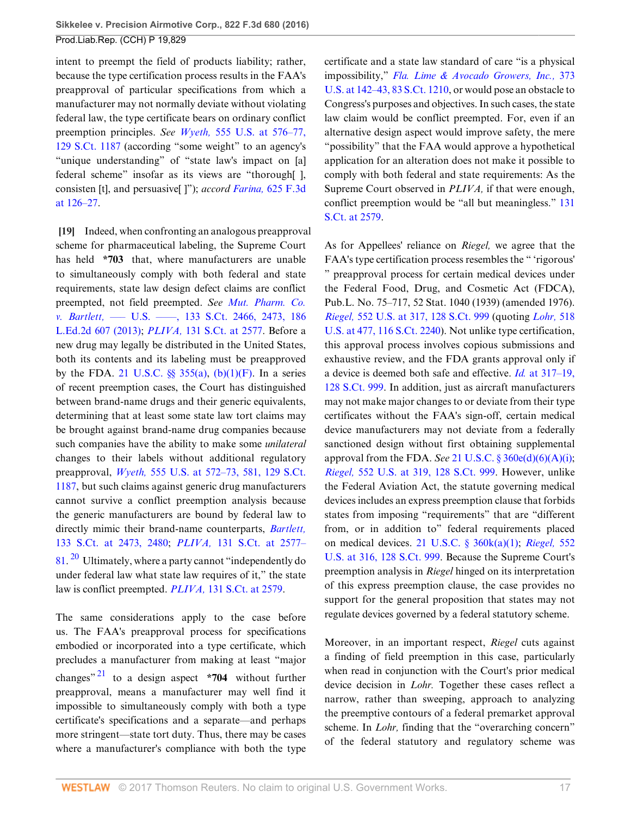intent to preempt the field of products liability; rather, because the type certification process results in the FAA's preapproval of particular specifications from which a manufacturer may not normally deviate without violating federal law, the type certificate bears on ordinary conflict preemption principles. *See Wyeth,* [555 U.S. at 576–77,](http://www.westlaw.com/Link/Document/FullText?findType=Y&serNum=2018265400&pubNum=0000708&originatingDoc=I3ec47967064211e6b4bafa136b480ad2&refType=RP&originationContext=document&vr=3.0&rs=cblt1.0&transitionType=DocumentItem&contextData=(sc.Search)) [129 S.Ct. 1187](http://www.westlaw.com/Link/Document/FullText?findType=Y&serNum=2018265400&pubNum=0000708&originatingDoc=I3ec47967064211e6b4bafa136b480ad2&refType=RP&originationContext=document&vr=3.0&rs=cblt1.0&transitionType=DocumentItem&contextData=(sc.Search)) (according "some weight" to an agency's "unique understanding" of "state law's impact on [a] federal scheme" insofar as its views are "thorough[ ], consisten [t], and persuasive[ ]"); *accord Farina,* [625 F.3d](http://www.westlaw.com/Link/Document/FullText?findType=Y&serNum=2023448865&pubNum=0000506&originatingDoc=I3ec47967064211e6b4bafa136b480ad2&refType=RP&fi=co_pp_sp_506_126&originationContext=document&vr=3.0&rs=cblt1.0&transitionType=DocumentItem&contextData=(sc.Search)#co_pp_sp_506_126) [at 126–27.](http://www.westlaw.com/Link/Document/FullText?findType=Y&serNum=2023448865&pubNum=0000506&originatingDoc=I3ec47967064211e6b4bafa136b480ad2&refType=RP&fi=co_pp_sp_506_126&originationContext=document&vr=3.0&rs=cblt1.0&transitionType=DocumentItem&contextData=(sc.Search)#co_pp_sp_506_126)

<span id="page-16-0"></span>**[\[19](#page-2-6)]** Indeed, when confronting an analogous preapproval scheme for pharmaceutical labeling, the Supreme Court has held **\*703** that, where manufacturers are unable to simultaneously comply with both federal and state requirements, state law design defect claims are conflict preempted, not field preempted. *See [Mut. Pharm. Co.](http://www.westlaw.com/Link/Document/FullText?findType=Y&serNum=2030847318&pubNum=0000708&originatingDoc=I3ec47967064211e6b4bafa136b480ad2&refType=RP&fi=co_pp_sp_708_2473&originationContext=document&vr=3.0&rs=cblt1.0&transitionType=DocumentItem&contextData=(sc.Search)#co_pp_sp_708_2473) v. Bartlett,* [––– U.S. ––––, 133 S.Ct. 2466, 2473, 186](http://www.westlaw.com/Link/Document/FullText?findType=Y&serNum=2030847318&pubNum=0000708&originatingDoc=I3ec47967064211e6b4bafa136b480ad2&refType=RP&fi=co_pp_sp_708_2473&originationContext=document&vr=3.0&rs=cblt1.0&transitionType=DocumentItem&contextData=(sc.Search)#co_pp_sp_708_2473) [L.Ed.2d 607 \(2013\);](http://www.westlaw.com/Link/Document/FullText?findType=Y&serNum=2030847318&pubNum=0000708&originatingDoc=I3ec47967064211e6b4bafa136b480ad2&refType=RP&fi=co_pp_sp_708_2473&originationContext=document&vr=3.0&rs=cblt1.0&transitionType=DocumentItem&contextData=(sc.Search)#co_pp_sp_708_2473) *PLIVA,* [131 S.Ct. at 2577.](http://www.westlaw.com/Link/Document/FullText?findType=Y&serNum=2025536613&pubNum=0000708&originatingDoc=I3ec47967064211e6b4bafa136b480ad2&refType=RP&fi=co_pp_sp_708_2577&originationContext=document&vr=3.0&rs=cblt1.0&transitionType=DocumentItem&contextData=(sc.Search)#co_pp_sp_708_2577) Before a new drug may legally be distributed in the United States, both its contents and its labeling must be preapproved by the FDA. 21 U.S.C.  $\S$   $355(a)$ ,  $(b)(1)(F)$ . In a series of recent preemption cases, the Court has distinguished between brand-name drugs and their generic equivalents, determining that at least some state law tort claims may be brought against brand-name drug companies because such companies have the ability to make some *unilateral* changes to their labels without additional regulatory preapproval, *Wyeth,* [555 U.S. at 572–73, 581, 129 S.Ct.](http://www.westlaw.com/Link/Document/FullText?findType=Y&serNum=2018265400&pubNum=0000708&originatingDoc=I3ec47967064211e6b4bafa136b480ad2&refType=RP&originationContext=document&vr=3.0&rs=cblt1.0&transitionType=DocumentItem&contextData=(sc.Search)) [1187](http://www.westlaw.com/Link/Document/FullText?findType=Y&serNum=2018265400&pubNum=0000708&originatingDoc=I3ec47967064211e6b4bafa136b480ad2&refType=RP&originationContext=document&vr=3.0&rs=cblt1.0&transitionType=DocumentItem&contextData=(sc.Search)), but such claims against generic drug manufacturers cannot survive a conflict preemption analysis because the generic manufacturers are bound by federal law to directly mimic their brand-name counterparts, *[Bartlett,](http://www.westlaw.com/Link/Document/FullText?findType=Y&serNum=2030847318&pubNum=0000708&originatingDoc=I3ec47967064211e6b4bafa136b480ad2&refType=RP&fi=co_pp_sp_708_2473&originationContext=document&vr=3.0&rs=cblt1.0&transitionType=DocumentItem&contextData=(sc.Search)#co_pp_sp_708_2473)* [133 S.Ct. at 2473, 2480](http://www.westlaw.com/Link/Document/FullText?findType=Y&serNum=2030847318&pubNum=0000708&originatingDoc=I3ec47967064211e6b4bafa136b480ad2&refType=RP&fi=co_pp_sp_708_2473&originationContext=document&vr=3.0&rs=cblt1.0&transitionType=DocumentItem&contextData=(sc.Search)#co_pp_sp_708_2473); *PLIVA,* [131 S.Ct. at 2577–](http://www.westlaw.com/Link/Document/FullText?findType=Y&serNum=2025536613&pubNum=0000708&originatingDoc=I3ec47967064211e6b4bafa136b480ad2&refType=RP&fi=co_pp_sp_708_2577&originationContext=document&vr=3.0&rs=cblt1.0&transitionType=DocumentItem&contextData=(sc.Search)#co_pp_sp_708_2577)  $81.$  $81.$  <sup>[20](#page-21-6)</sup> Ultimately, where a party cannot "independently do under federal law what state law requires of it," the state law is conflict preempted. *PLIVA,* [131 S.Ct. at 2579](http://www.westlaw.com/Link/Document/FullText?findType=Y&serNum=2025536613&pubNum=0000708&originatingDoc=I3ec47967064211e6b4bafa136b480ad2&refType=RP&fi=co_pp_sp_708_2579&originationContext=document&vr=3.0&rs=cblt1.0&transitionType=DocumentItem&contextData=(sc.Search)#co_pp_sp_708_2579).

<span id="page-16-2"></span><span id="page-16-1"></span>The same considerations apply to the case before us. The FAA's preapproval process for specifications embodied or incorporated into a type certificate, which precludes a manufacturer from making at least "major changes" [21](#page-22-0) to a design aspect **\*704** without further preapproval, means a manufacturer may well find it impossible to simultaneously comply with both a type certificate's specifications and a separate—and perhaps more stringent—state tort duty. Thus, there may be cases where a manufacturer's compliance with both the type certificate and a state law standard of care "is a physical impossibility," *[Fla. Lime & Avocado Growers, Inc.,](http://www.westlaw.com/Link/Document/FullText?findType=Y&serNum=1963125355&pubNum=0000708&originatingDoc=I3ec47967064211e6b4bafa136b480ad2&refType=RP&originationContext=document&vr=3.0&rs=cblt1.0&transitionType=DocumentItem&contextData=(sc.Search))* 373 [U.S. at 142–43, 83 S.Ct. 1210,](http://www.westlaw.com/Link/Document/FullText?findType=Y&serNum=1963125355&pubNum=0000708&originatingDoc=I3ec47967064211e6b4bafa136b480ad2&refType=RP&originationContext=document&vr=3.0&rs=cblt1.0&transitionType=DocumentItem&contextData=(sc.Search)) or would pose an obstacle to Congress's purposes and objectives. In such cases, the state law claim would be conflict preempted. For, even if an alternative design aspect would improve safety, the mere "possibility" that the FAA would approve a hypothetical application for an alteration does not make it possible to comply with both federal and state requirements: As the Supreme Court observed in *PLIVA,* if that were enough, conflict preemption would be "all but meaningless." [131](http://www.westlaw.com/Link/Document/FullText?findType=Y&serNum=2025536613&pubNum=0000708&originatingDoc=I3ec47967064211e6b4bafa136b480ad2&refType=RP&fi=co_pp_sp_708_2579&originationContext=document&vr=3.0&rs=cblt1.0&transitionType=DocumentItem&contextData=(sc.Search)#co_pp_sp_708_2579) [S.Ct. at 2579.](http://www.westlaw.com/Link/Document/FullText?findType=Y&serNum=2025536613&pubNum=0000708&originatingDoc=I3ec47967064211e6b4bafa136b480ad2&refType=RP&fi=co_pp_sp_708_2579&originationContext=document&vr=3.0&rs=cblt1.0&transitionType=DocumentItem&contextData=(sc.Search)#co_pp_sp_708_2579)

As for Appellees' reliance on *Riegel,* we agree that the FAA's type certification process resembles the " 'rigorous' " preapproval process for certain medical devices under the Federal Food, Drug, and Cosmetic Act (FDCA), Pub.L. No. 75–717, 52 Stat. 1040 (1939) (amended 1976). *Riegel,* [552 U.S. at 317, 128 S.Ct. 999](http://www.westlaw.com/Link/Document/FullText?findType=Y&serNum=2015291136&pubNum=0000708&originatingDoc=I3ec47967064211e6b4bafa136b480ad2&refType=RP&originationContext=document&vr=3.0&rs=cblt1.0&transitionType=DocumentItem&contextData=(sc.Search)) (quoting *[Lohr,](http://www.westlaw.com/Link/Document/FullText?findType=Y&serNum=1996141769&pubNum=0000708&originatingDoc=I3ec47967064211e6b4bafa136b480ad2&refType=RP&originationContext=document&vr=3.0&rs=cblt1.0&transitionType=DocumentItem&contextData=(sc.Search))* 518 [U.S. at 477, 116 S.Ct. 2240\)](http://www.westlaw.com/Link/Document/FullText?findType=Y&serNum=1996141769&pubNum=0000708&originatingDoc=I3ec47967064211e6b4bafa136b480ad2&refType=RP&originationContext=document&vr=3.0&rs=cblt1.0&transitionType=DocumentItem&contextData=(sc.Search)). Not unlike type certification, this approval process involves copious submissions and exhaustive review, and the FDA grants approval only if a device is deemed both safe and effective. *Id.* [at 317–19,](http://www.westlaw.com/Link/Document/FullText?findType=Y&serNum=2015291136&pubNum=0000708&originatingDoc=I3ec47967064211e6b4bafa136b480ad2&refType=RP&originationContext=document&vr=3.0&rs=cblt1.0&transitionType=DocumentItem&contextData=(sc.Search)) [128 S.Ct. 999](http://www.westlaw.com/Link/Document/FullText?findType=Y&serNum=2015291136&pubNum=0000708&originatingDoc=I3ec47967064211e6b4bafa136b480ad2&refType=RP&originationContext=document&vr=3.0&rs=cblt1.0&transitionType=DocumentItem&contextData=(sc.Search)). In addition, just as aircraft manufacturers may not make major changes to or deviate from their type certificates without the FAA's sign-off, certain medical device manufacturers may not deviate from a federally sanctioned design without first obtaining supplemental approval from the FDA. *See* [21 U.S.C. § 360e\(d\)\(6\)\(A\)\(i\)](http://www.westlaw.com/Link/Document/FullText?findType=L&pubNum=1000546&cite=21USCAS360E&originatingDoc=I3ec47967064211e6b4bafa136b480ad2&refType=RB&originationContext=document&vr=3.0&rs=cblt1.0&transitionType=DocumentItem&contextData=(sc.Search)#co_pp_0201000005ae5); *Riegel,* [552 U.S. at 319, 128 S.Ct. 999.](http://www.westlaw.com/Link/Document/FullText?findType=Y&serNum=2015291136&pubNum=0000708&originatingDoc=I3ec47967064211e6b4bafa136b480ad2&refType=RP&originationContext=document&vr=3.0&rs=cblt1.0&transitionType=DocumentItem&contextData=(sc.Search)) However, unlike the Federal Aviation Act, the statute governing medical devices includes an express preemption clause that forbids states from imposing "requirements" that are "different from, or in addition to" federal requirements placed on medical devices. [21 U.S.C. § 360k\(a\)\(1\)](http://www.westlaw.com/Link/Document/FullText?findType=L&pubNum=1000546&cite=21USCAS360K&originatingDoc=I3ec47967064211e6b4bafa136b480ad2&refType=RB&originationContext=document&vr=3.0&rs=cblt1.0&transitionType=DocumentItem&contextData=(sc.Search)#co_pp_7b9b000044381); *[Riegel,](http://www.westlaw.com/Link/Document/FullText?findType=Y&serNum=2015291136&pubNum=0000708&originatingDoc=I3ec47967064211e6b4bafa136b480ad2&refType=RP&originationContext=document&vr=3.0&rs=cblt1.0&transitionType=DocumentItem&contextData=(sc.Search))* 552 [U.S. at 316, 128 S.Ct. 999](http://www.westlaw.com/Link/Document/FullText?findType=Y&serNum=2015291136&pubNum=0000708&originatingDoc=I3ec47967064211e6b4bafa136b480ad2&refType=RP&originationContext=document&vr=3.0&rs=cblt1.0&transitionType=DocumentItem&contextData=(sc.Search)). Because the Supreme Court's preemption analysis in *Riegel* hinged on its interpretation of this express preemption clause, the case provides no support for the general proposition that states may not regulate devices governed by a federal statutory scheme.

Moreover, in an important respect, *Riegel* cuts against a finding of field preemption in this case, particularly when read in conjunction with the Court's prior medical device decision in *Lohr.* Together these cases reflect a narrow, rather than sweeping, approach to analyzing the preemptive contours of a federal premarket approval scheme. In *Lohr*, finding that the "overarching concern" of the federal statutory and regulatory scheme was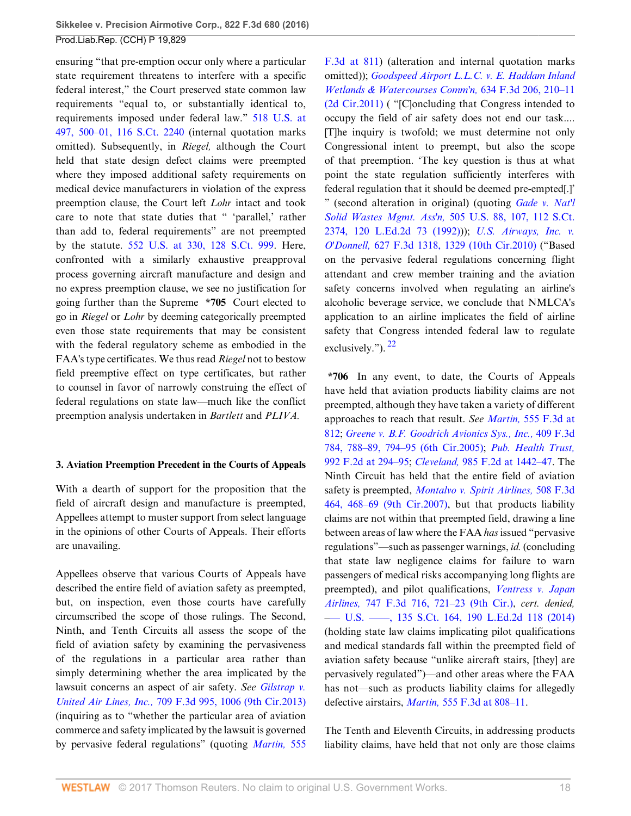ensuring "that pre-emption occur only where a particular state requirement threatens to interfere with a specific federal interest," the Court preserved state common law requirements "equal to, or substantially identical to, requirements imposed under federal law." [518 U.S. at](http://www.westlaw.com/Link/Document/FullText?findType=Y&serNum=1996141769&pubNum=0000708&originatingDoc=I3ec47967064211e6b4bafa136b480ad2&refType=RP&originationContext=document&vr=3.0&rs=cblt1.0&transitionType=DocumentItem&contextData=(sc.Search)) [497, 500–01, 116 S.Ct. 2240](http://www.westlaw.com/Link/Document/FullText?findType=Y&serNum=1996141769&pubNum=0000708&originatingDoc=I3ec47967064211e6b4bafa136b480ad2&refType=RP&originationContext=document&vr=3.0&rs=cblt1.0&transitionType=DocumentItem&contextData=(sc.Search)) (internal quotation marks omitted). Subsequently, in *Riegel,* although the Court held that state design defect claims were preempted where they imposed additional safety requirements on medical device manufacturers in violation of the express preemption clause, the Court left *Lohr* intact and took care to note that state duties that " 'parallel,' rather than add to, federal requirements" are not preempted by the statute. [552 U.S. at 330, 128 S.Ct. 999.](http://www.westlaw.com/Link/Document/FullText?findType=Y&serNum=2015291136&pubNum=0000708&originatingDoc=I3ec47967064211e6b4bafa136b480ad2&refType=RP&originationContext=document&vr=3.0&rs=cblt1.0&transitionType=DocumentItem&contextData=(sc.Search)) Here, confronted with a similarly exhaustive preapproval process governing aircraft manufacture and design and no express preemption clause, we see no justification for going further than the Supreme **\*705** Court elected to go in *Riegel* or *Lohr* by deeming categorically preempted even those state requirements that may be consistent with the federal regulatory scheme as embodied in the FAA's type certificates. We thus read *Riegel* not to bestow field preemptive effect on type certificates, but rather to counsel in favor of narrowly construing the effect of federal regulations on state law—much like the conflict preemption analysis undertaken in *Bartlett* and *PLIVA.*

### **3. Aviation Preemption Precedent in the Courts of Appeals**

With a dearth of support for the proposition that the field of aircraft design and manufacture is preempted, Appellees attempt to muster support from select language in the opinions of other Courts of Appeals. Their efforts are unavailing.

Appellees observe that various Courts of Appeals have described the entire field of aviation safety as preempted, but, on inspection, even those courts have carefully circumscribed the scope of those rulings. The Second, Ninth, and Tenth Circuits all assess the scope of the field of aviation safety by examining the pervasiveness of the regulations in a particular area rather than simply determining whether the area implicated by the lawsuit concerns an aspect of air safety. *See [Gilstrap v.](http://www.westlaw.com/Link/Document/FullText?findType=Y&serNum=2030091236&pubNum=0000506&originatingDoc=I3ec47967064211e6b4bafa136b480ad2&refType=RP&fi=co_pp_sp_506_1006&originationContext=document&vr=3.0&rs=cblt1.0&transitionType=DocumentItem&contextData=(sc.Search)#co_pp_sp_506_1006) United Air Lines, Inc.,* [709 F.3d 995, 1006 \(9th Cir.2013\)](http://www.westlaw.com/Link/Document/FullText?findType=Y&serNum=2030091236&pubNum=0000506&originatingDoc=I3ec47967064211e6b4bafa136b480ad2&refType=RP&fi=co_pp_sp_506_1006&originationContext=document&vr=3.0&rs=cblt1.0&transitionType=DocumentItem&contextData=(sc.Search)#co_pp_sp_506_1006) (inquiring as to "whether the particular area of aviation commerce and safety implicated by the lawsuit is governed by pervasive federal regulations" (quoting *[Martin,](http://www.westlaw.com/Link/Document/FullText?findType=Y&serNum=2018104653&pubNum=0000506&originatingDoc=I3ec47967064211e6b4bafa136b480ad2&refType=RP&fi=co_pp_sp_506_811&originationContext=document&vr=3.0&rs=cblt1.0&transitionType=DocumentItem&contextData=(sc.Search)#co_pp_sp_506_811)* 555

[F.3d at 811](http://www.westlaw.com/Link/Document/FullText?findType=Y&serNum=2018104653&pubNum=0000506&originatingDoc=I3ec47967064211e6b4bafa136b480ad2&refType=RP&fi=co_pp_sp_506_811&originationContext=document&vr=3.0&rs=cblt1.0&transitionType=DocumentItem&contextData=(sc.Search)#co_pp_sp_506_811)) (alteration and internal quotation marks omitted)); *[Goodspeed Airport L.L.C. v. E. Haddam Inland](http://www.westlaw.com/Link/Document/FullText?findType=Y&serNum=2024561001&pubNum=0000506&originatingDoc=I3ec47967064211e6b4bafa136b480ad2&refType=RP&fi=co_pp_sp_506_210&originationContext=document&vr=3.0&rs=cblt1.0&transitionType=DocumentItem&contextData=(sc.Search)#co_pp_sp_506_210) [Wetlands & Watercourses Comm'n,](http://www.westlaw.com/Link/Document/FullText?findType=Y&serNum=2024561001&pubNum=0000506&originatingDoc=I3ec47967064211e6b4bafa136b480ad2&refType=RP&fi=co_pp_sp_506_210&originationContext=document&vr=3.0&rs=cblt1.0&transitionType=DocumentItem&contextData=(sc.Search)#co_pp_sp_506_210)* 634 F.3d 206, 210–11 [\(2d Cir.2011\)](http://www.westlaw.com/Link/Document/FullText?findType=Y&serNum=2024561001&pubNum=0000506&originatingDoc=I3ec47967064211e6b4bafa136b480ad2&refType=RP&fi=co_pp_sp_506_210&originationContext=document&vr=3.0&rs=cblt1.0&transitionType=DocumentItem&contextData=(sc.Search)#co_pp_sp_506_210) ( "[C]oncluding that Congress intended to occupy the field of air safety does not end our task.... [T]he inquiry is twofold; we must determine not only Congressional intent to preempt, but also the scope of that preemption. 'The key question is thus at what point the state regulation sufficiently interferes with federal regulation that it should be deemed pre-empted[.]' " (second alteration in original) (quoting *[Gade v. Nat'l](http://www.westlaw.com/Link/Document/FullText?findType=Y&serNum=1992110097&pubNum=0000708&originatingDoc=I3ec47967064211e6b4bafa136b480ad2&refType=RP&originationContext=document&vr=3.0&rs=cblt1.0&transitionType=DocumentItem&contextData=(sc.Search)) Solid Wastes Mgmt. Ass'n,* [505 U.S. 88, 107, 112 S.Ct.](http://www.westlaw.com/Link/Document/FullText?findType=Y&serNum=1992110097&pubNum=0000708&originatingDoc=I3ec47967064211e6b4bafa136b480ad2&refType=RP&originationContext=document&vr=3.0&rs=cblt1.0&transitionType=DocumentItem&contextData=(sc.Search)) [2374, 120 L.Ed.2d 73 \(1992\)\)](http://www.westlaw.com/Link/Document/FullText?findType=Y&serNum=1992110097&pubNum=0000708&originatingDoc=I3ec47967064211e6b4bafa136b480ad2&refType=RP&originationContext=document&vr=3.0&rs=cblt1.0&transitionType=DocumentItem&contextData=(sc.Search))); *[U.S. Airways, Inc. v.](http://www.westlaw.com/Link/Document/FullText?findType=Y&serNum=2023939877&pubNum=0000506&originatingDoc=I3ec47967064211e6b4bafa136b480ad2&refType=RP&fi=co_pp_sp_506_1329&originationContext=document&vr=3.0&rs=cblt1.0&transitionType=DocumentItem&contextData=(sc.Search)#co_pp_sp_506_1329) O'Donnell,* [627 F.3d 1318, 1329 \(10th Cir.2010\)](http://www.westlaw.com/Link/Document/FullText?findType=Y&serNum=2023939877&pubNum=0000506&originatingDoc=I3ec47967064211e6b4bafa136b480ad2&refType=RP&fi=co_pp_sp_506_1329&originationContext=document&vr=3.0&rs=cblt1.0&transitionType=DocumentItem&contextData=(sc.Search)#co_pp_sp_506_1329) ("Based on the pervasive federal regulations concerning flight attendant and crew member training and the aviation safety concerns involved when regulating an airline's alcoholic beverage service, we conclude that NMLCA's application to an airline implicates the field of airline safety that Congress intended federal law to regulate exclusively.").  $^{22}$  $^{22}$  $^{22}$ 

<span id="page-17-0"></span>**\*706** In any event, to date, the Courts of Appeals have held that aviation products liability claims are not preempted, although they have taken a variety of different approaches to reach that result. *See Martin,* [555 F.3d at](http://www.westlaw.com/Link/Document/FullText?findType=Y&serNum=2018104653&pubNum=0000506&originatingDoc=I3ec47967064211e6b4bafa136b480ad2&refType=RP&fi=co_pp_sp_506_812&originationContext=document&vr=3.0&rs=cblt1.0&transitionType=DocumentItem&contextData=(sc.Search)#co_pp_sp_506_812) [812](http://www.westlaw.com/Link/Document/FullText?findType=Y&serNum=2018104653&pubNum=0000506&originatingDoc=I3ec47967064211e6b4bafa136b480ad2&refType=RP&fi=co_pp_sp_506_812&originationContext=document&vr=3.0&rs=cblt1.0&transitionType=DocumentItem&contextData=(sc.Search)#co_pp_sp_506_812); *[Greene v. B.F. Goodrich Avionics Sys., Inc.,](http://www.westlaw.com/Link/Document/FullText?findType=Y&serNum=2006717418&pubNum=0000506&originatingDoc=I3ec47967064211e6b4bafa136b480ad2&refType=RP&fi=co_pp_sp_506_788&originationContext=document&vr=3.0&rs=cblt1.0&transitionType=DocumentItem&contextData=(sc.Search)#co_pp_sp_506_788)* 409 F.3d [784, 788–89, 794–95 \(6th Cir.2005\)](http://www.westlaw.com/Link/Document/FullText?findType=Y&serNum=2006717418&pubNum=0000506&originatingDoc=I3ec47967064211e6b4bafa136b480ad2&refType=RP&fi=co_pp_sp_506_788&originationContext=document&vr=3.0&rs=cblt1.0&transitionType=DocumentItem&contextData=(sc.Search)#co_pp_sp_506_788); *[Pub. Health Trust,](http://www.westlaw.com/Link/Document/FullText?findType=Y&serNum=1993104649&pubNum=0000350&originatingDoc=I3ec47967064211e6b4bafa136b480ad2&refType=RP&fi=co_pp_sp_350_294&originationContext=document&vr=3.0&rs=cblt1.0&transitionType=DocumentItem&contextData=(sc.Search)#co_pp_sp_350_294)* [992 F.2d at 294–95;](http://www.westlaw.com/Link/Document/FullText?findType=Y&serNum=1993104649&pubNum=0000350&originatingDoc=I3ec47967064211e6b4bafa136b480ad2&refType=RP&fi=co_pp_sp_350_294&originationContext=document&vr=3.0&rs=cblt1.0&transitionType=DocumentItem&contextData=(sc.Search)#co_pp_sp_350_294) *Cleveland,* [985 F.2d at 1442–47.](http://www.westlaw.com/Link/Document/FullText?findType=Y&serNum=1993050954&pubNum=0000350&originatingDoc=I3ec47967064211e6b4bafa136b480ad2&refType=RP&fi=co_pp_sp_350_1442&originationContext=document&vr=3.0&rs=cblt1.0&transitionType=DocumentItem&contextData=(sc.Search)#co_pp_sp_350_1442) The Ninth Circuit has held that the entire field of aviation safety is preempted, *[Montalvo v. Spirit Airlines,](http://www.westlaw.com/Link/Document/FullText?findType=Y&serNum=2013967137&pubNum=0000506&originatingDoc=I3ec47967064211e6b4bafa136b480ad2&refType=RP&fi=co_pp_sp_506_468&originationContext=document&vr=3.0&rs=cblt1.0&transitionType=DocumentItem&contextData=(sc.Search)#co_pp_sp_506_468)* 508 F.3d [464, 468–69 \(9th Cir.2007\)](http://www.westlaw.com/Link/Document/FullText?findType=Y&serNum=2013967137&pubNum=0000506&originatingDoc=I3ec47967064211e6b4bafa136b480ad2&refType=RP&fi=co_pp_sp_506_468&originationContext=document&vr=3.0&rs=cblt1.0&transitionType=DocumentItem&contextData=(sc.Search)#co_pp_sp_506_468), but that products liability claims are not within that preempted field, drawing a line between areas of law where the FAA *has* issued "pervasive regulations"—such as passenger warnings, *id.* (concluding that state law negligence claims for failure to warn passengers of medical risks accompanying long flights are preempted), and pilot qualifications, *[Ventress v. Japan](http://www.westlaw.com/Link/Document/FullText?findType=Y&serNum=2032982844&pubNum=0000506&originatingDoc=I3ec47967064211e6b4bafa136b480ad2&refType=RP&fi=co_pp_sp_506_721&originationContext=document&vr=3.0&rs=cblt1.0&transitionType=DocumentItem&contextData=(sc.Search)#co_pp_sp_506_721) Airlines,* [747 F.3d 716, 721–23 \(9th Cir.\)](http://www.westlaw.com/Link/Document/FullText?findType=Y&serNum=2032982844&pubNum=0000506&originatingDoc=I3ec47967064211e6b4bafa136b480ad2&refType=RP&fi=co_pp_sp_506_721&originationContext=document&vr=3.0&rs=cblt1.0&transitionType=DocumentItem&contextData=(sc.Search)#co_pp_sp_506_721), *cert. denied,* –[–– U.S. ––––, 135 S.Ct. 164, 190 L.Ed.2d 118 \(2014\)](http://www.westlaw.com/Link/Document/FullText?findType=Y&serNum=2033682667&pubNum=0000708&originatingDoc=I3ec47967064211e6b4bafa136b480ad2&refType=RP&originationContext=document&vr=3.0&rs=cblt1.0&transitionType=DocumentItem&contextData=(sc.Search)) (holding state law claims implicating pilot qualifications and medical standards fall within the preempted field of aviation safety because "unlike aircraft stairs, [they] are pervasively regulated")—and other areas where the FAA has not—such as products liability claims for allegedly defective airstairs, *Martin,* [555 F.3d at 808–11](http://www.westlaw.com/Link/Document/FullText?findType=Y&serNum=2018104653&pubNum=0000506&originatingDoc=I3ec47967064211e6b4bafa136b480ad2&refType=RP&fi=co_pp_sp_506_808&originationContext=document&vr=3.0&rs=cblt1.0&transitionType=DocumentItem&contextData=(sc.Search)#co_pp_sp_506_808).

The Tenth and Eleventh Circuits, in addressing products liability claims, have held that not only are those claims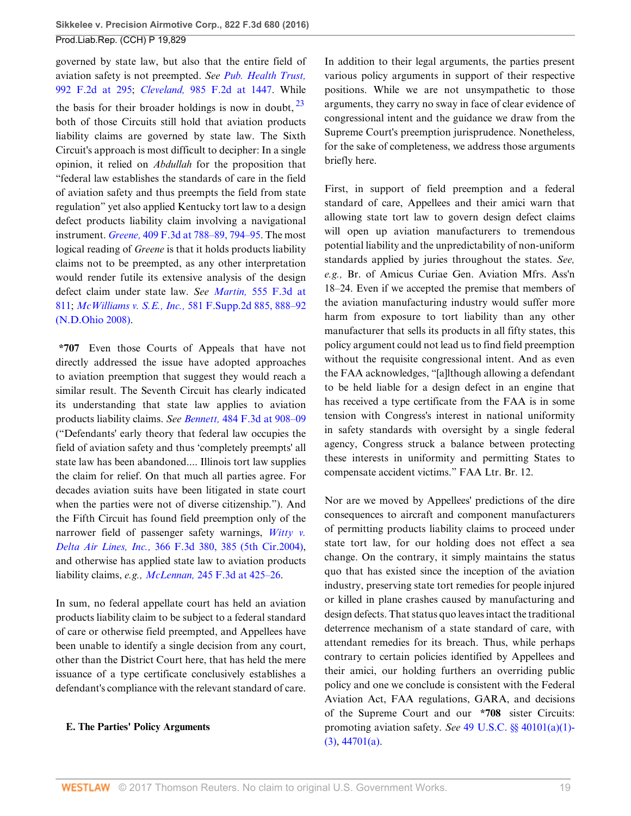governed by state law, but also that the entire field of aviation safety is not preempted. *See [Pub. Health Trust,](http://www.westlaw.com/Link/Document/FullText?findType=Y&serNum=1993104649&pubNum=0000350&originatingDoc=I3ec47967064211e6b4bafa136b480ad2&refType=RP&fi=co_pp_sp_350_295&originationContext=document&vr=3.0&rs=cblt1.0&transitionType=DocumentItem&contextData=(sc.Search)#co_pp_sp_350_295)* [992 F.2d at 295](http://www.westlaw.com/Link/Document/FullText?findType=Y&serNum=1993104649&pubNum=0000350&originatingDoc=I3ec47967064211e6b4bafa136b480ad2&refType=RP&fi=co_pp_sp_350_295&originationContext=document&vr=3.0&rs=cblt1.0&transitionType=DocumentItem&contextData=(sc.Search)#co_pp_sp_350_295); *Cleveland,* [985 F.2d at 1447.](http://www.westlaw.com/Link/Document/FullText?findType=Y&serNum=1993050954&pubNum=0000350&originatingDoc=I3ec47967064211e6b4bafa136b480ad2&refType=RP&fi=co_pp_sp_350_1447&originationContext=document&vr=3.0&rs=cblt1.0&transitionType=DocumentItem&contextData=(sc.Search)#co_pp_sp_350_1447) While the basis for their broader holdings is now in doubt,  $2^3$ both of those Circuits still hold that aviation products liability claims are governed by state law. The Sixth Circuit's approach is most difficult to decipher: In a single opinion, it relied on *Abdullah* for the proposition that "federal law establishes the standards of care in the field of aviation safety and thus preempts the field from state regulation" yet also applied Kentucky tort law to a design defect products liability claim involving a navigational instrument. *Greene,* [409 F.3d at 788–89, 794–95.](http://www.westlaw.com/Link/Document/FullText?findType=Y&serNum=2006717418&pubNum=0000506&originatingDoc=I3ec47967064211e6b4bafa136b480ad2&refType=RP&fi=co_pp_sp_506_788&originationContext=document&vr=3.0&rs=cblt1.0&transitionType=DocumentItem&contextData=(sc.Search)#co_pp_sp_506_788) The most logical reading of *Greene* is that it holds products liability claims not to be preempted, as any other interpretation would render futile its extensive analysis of the design defect claim under state law. *See Martin,* [555 F.3d at](http://www.westlaw.com/Link/Document/FullText?findType=Y&serNum=2018104653&pubNum=0000506&originatingDoc=I3ec47967064211e6b4bafa136b480ad2&refType=RP&fi=co_pp_sp_506_811&originationContext=document&vr=3.0&rs=cblt1.0&transitionType=DocumentItem&contextData=(sc.Search)#co_pp_sp_506_811) [811](http://www.westlaw.com/Link/Document/FullText?findType=Y&serNum=2018104653&pubNum=0000506&originatingDoc=I3ec47967064211e6b4bafa136b480ad2&refType=RP&fi=co_pp_sp_506_811&originationContext=document&vr=3.0&rs=cblt1.0&transitionType=DocumentItem&contextData=(sc.Search)#co_pp_sp_506_811); *McWilliams v. S.E., Inc.,* [581 F.Supp.2d 885, 888–92](http://www.westlaw.com/Link/Document/FullText?findType=Y&serNum=2016890603&pubNum=0004637&originatingDoc=I3ec47967064211e6b4bafa136b480ad2&refType=RP&fi=co_pp_sp_4637_888&originationContext=document&vr=3.0&rs=cblt1.0&transitionType=DocumentItem&contextData=(sc.Search)#co_pp_sp_4637_888) [\(N.D.Ohio 2008\)](http://www.westlaw.com/Link/Document/FullText?findType=Y&serNum=2016890603&pubNum=0004637&originatingDoc=I3ec47967064211e6b4bafa136b480ad2&refType=RP&fi=co_pp_sp_4637_888&originationContext=document&vr=3.0&rs=cblt1.0&transitionType=DocumentItem&contextData=(sc.Search)#co_pp_sp_4637_888).

**\*707** Even those Courts of Appeals that have not directly addressed the issue have adopted approaches to aviation preemption that suggest they would reach a similar result. The Seventh Circuit has clearly indicated its understanding that state law applies to aviation products liability claims. *See Bennett,* [484 F.3d at 908–09](http://www.westlaw.com/Link/Document/FullText?findType=Y&serNum=2012108150&pubNum=0000506&originatingDoc=I3ec47967064211e6b4bafa136b480ad2&refType=RP&fi=co_pp_sp_506_908&originationContext=document&vr=3.0&rs=cblt1.0&transitionType=DocumentItem&contextData=(sc.Search)#co_pp_sp_506_908) ("Defendants' early theory that federal law occupies the field of aviation safety and thus 'completely preempts' all state law has been abandoned.... Illinois tort law supplies the claim for relief. On that much all parties agree. For decades aviation suits have been litigated in state court when the parties were not of diverse citizenship."). And the Fifth Circuit has found field preemption only of the narrower field of passenger safety warnings, *[Witty v.](http://www.westlaw.com/Link/Document/FullText?findType=Y&serNum=2004317063&pubNum=0000506&originatingDoc=I3ec47967064211e6b4bafa136b480ad2&refType=RP&fi=co_pp_sp_506_385&originationContext=document&vr=3.0&rs=cblt1.0&transitionType=DocumentItem&contextData=(sc.Search)#co_pp_sp_506_385) Delta Air Lines, Inc.,* [366 F.3d 380, 385 \(5th Cir.2004\)](http://www.westlaw.com/Link/Document/FullText?findType=Y&serNum=2004317063&pubNum=0000506&originatingDoc=I3ec47967064211e6b4bafa136b480ad2&refType=RP&fi=co_pp_sp_506_385&originationContext=document&vr=3.0&rs=cblt1.0&transitionType=DocumentItem&contextData=(sc.Search)#co_pp_sp_506_385), and otherwise has applied state law to aviation products liability claims, *e.g., McLennan,* [245 F.3d at 425–26](http://www.westlaw.com/Link/Document/FullText?findType=Y&serNum=2001224510&pubNum=0000506&originatingDoc=I3ec47967064211e6b4bafa136b480ad2&refType=RP&fi=co_pp_sp_506_425&originationContext=document&vr=3.0&rs=cblt1.0&transitionType=DocumentItem&contextData=(sc.Search)#co_pp_sp_506_425).

In sum, no federal appellate court has held an aviation products liability claim to be subject to a federal standard of care or otherwise field preempted, and Appellees have been unable to identify a single decision from any court, other than the District Court here, that has held the mere issuance of a type certificate conclusively establishes a defendant's compliance with the relevant standard of care.

### **E. The Parties' Policy Arguments**

<span id="page-18-0"></span>In addition to their legal arguments, the parties present various policy arguments in support of their respective positions. While we are not unsympathetic to those arguments, they carry no sway in face of clear evidence of congressional intent and the guidance we draw from the Supreme Court's preemption jurisprudence. Nonetheless, for the sake of completeness, we address those arguments briefly here.

First, in support of field preemption and a federal standard of care, Appellees and their amici warn that allowing state tort law to govern design defect claims will open up aviation manufacturers to tremendous potential liability and the unpredictability of non-uniform standards applied by juries throughout the states. *See, e.g.,* Br. of Amicus Curiae Gen. Aviation Mfrs. Ass'n 18–24. Even if we accepted the premise that members of the aviation manufacturing industry would suffer more harm from exposure to tort liability than any other manufacturer that sells its products in all fifty states, this policy argument could not lead us to find field preemption without the requisite congressional intent. And as even the FAA acknowledges, "[a]lthough allowing a defendant to be held liable for a design defect in an engine that has received a type certificate from the FAA is in some tension with Congress's interest in national uniformity in safety standards with oversight by a single federal agency, Congress struck a balance between protecting these interests in uniformity and permitting States to compensate accident victims." FAA Ltr. Br. 12.

Nor are we moved by Appellees' predictions of the dire consequences to aircraft and component manufacturers of permitting products liability claims to proceed under state tort law, for our holding does not effect a sea change. On the contrary, it simply maintains the status quo that has existed since the inception of the aviation industry, preserving state tort remedies for people injured or killed in plane crashes caused by manufacturing and design defects. That status quo leaves intact the traditional deterrence mechanism of a state standard of care, with attendant remedies for its breach. Thus, while perhaps contrary to certain policies identified by Appellees and their amici, our holding furthers an overriding public policy and one we conclude is consistent with the Federal Aviation Act, FAA regulations, GARA, and decisions of the Supreme Court and our **\*708** sister Circuits: promoting aviation safety. *See* [49 U.S.C. §§ 40101\(a\)\(1\)-](http://www.westlaw.com/Link/Document/FullText?findType=L&pubNum=1000546&cite=49USCAS40101&originatingDoc=I3ec47967064211e6b4bafa136b480ad2&refType=RB&originationContext=document&vr=3.0&rs=cblt1.0&transitionType=DocumentItem&contextData=(sc.Search)#co_pp_7b9b000044381) [\(3\),](http://www.westlaw.com/Link/Document/FullText?findType=L&pubNum=1000546&cite=49USCAS40101&originatingDoc=I3ec47967064211e6b4bafa136b480ad2&refType=RB&originationContext=document&vr=3.0&rs=cblt1.0&transitionType=DocumentItem&contextData=(sc.Search)#co_pp_7b9b000044381) [44701\(a\).](http://www.westlaw.com/Link/Document/FullText?findType=L&pubNum=1000546&cite=49USCAS44701&originatingDoc=I3ec47967064211e6b4bafa136b480ad2&refType=RB&originationContext=document&vr=3.0&rs=cblt1.0&transitionType=DocumentItem&contextData=(sc.Search)#co_pp_8b3b0000958a4)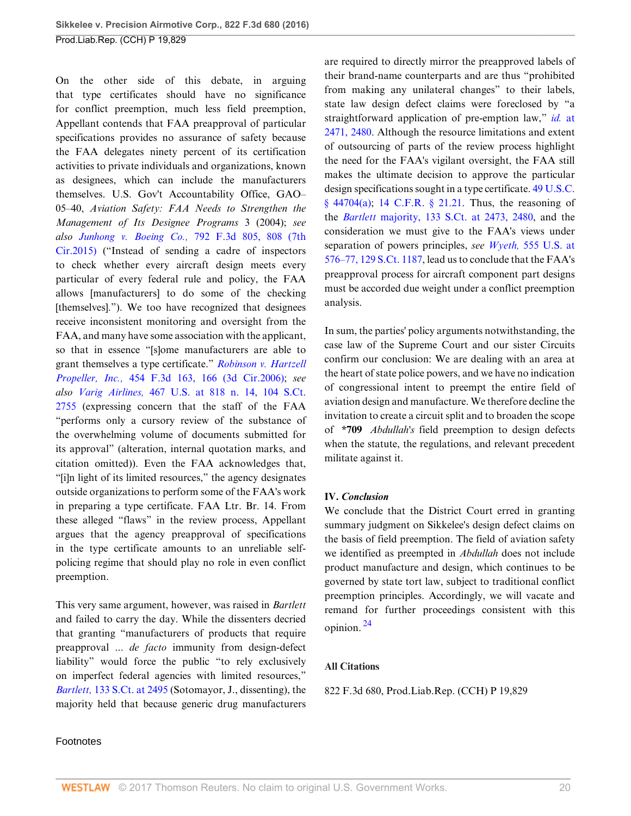On the other side of this debate, in arguing that type certificates should have no significance for conflict preemption, much less field preemption, Appellant contends that FAA preapproval of particular specifications provides no assurance of safety because the FAA delegates ninety percent of its certification activities to private individuals and organizations, known as designees, which can include the manufacturers themselves. U.S. Gov't Accountability Office, GAO– 05–40, *Aviation Safety: FAA Needs to Strengthen the Management of Its Designee Programs* 3 (2004); *see also Junhong v. Boeing Co.,* [792 F.3d 805, 808 \(7th](http://www.westlaw.com/Link/Document/FullText?findType=Y&serNum=2036640778&pubNum=0000506&originatingDoc=I3ec47967064211e6b4bafa136b480ad2&refType=RP&fi=co_pp_sp_506_808&originationContext=document&vr=3.0&rs=cblt1.0&transitionType=DocumentItem&contextData=(sc.Search)#co_pp_sp_506_808) [Cir.2015\)](http://www.westlaw.com/Link/Document/FullText?findType=Y&serNum=2036640778&pubNum=0000506&originatingDoc=I3ec47967064211e6b4bafa136b480ad2&refType=RP&fi=co_pp_sp_506_808&originationContext=document&vr=3.0&rs=cblt1.0&transitionType=DocumentItem&contextData=(sc.Search)#co_pp_sp_506_808) ("Instead of sending a cadre of inspectors to check whether every aircraft design meets every particular of every federal rule and policy, the FAA allows [manufacturers] to do some of the checking [themselves]."). We too have recognized that designees receive inconsistent monitoring and oversight from the FAA, and many have some association with the applicant, so that in essence "[s]ome manufacturers are able to grant themselves a type certificate." *[Robinson v. Hartzell](http://www.westlaw.com/Link/Document/FullText?findType=Y&serNum=2009498658&pubNum=0000506&originatingDoc=I3ec47967064211e6b4bafa136b480ad2&refType=RP&fi=co_pp_sp_506_166&originationContext=document&vr=3.0&rs=cblt1.0&transitionType=DocumentItem&contextData=(sc.Search)#co_pp_sp_506_166) Propeller, Inc.,* [454 F.3d 163, 166 \(3d Cir.2006\);](http://www.westlaw.com/Link/Document/FullText?findType=Y&serNum=2009498658&pubNum=0000506&originatingDoc=I3ec47967064211e6b4bafa136b480ad2&refType=RP&fi=co_pp_sp_506_166&originationContext=document&vr=3.0&rs=cblt1.0&transitionType=DocumentItem&contextData=(sc.Search)#co_pp_sp_506_166) *see also Varig Airlines,* [467 U.S. at 818 n. 14, 104 S.Ct.](http://www.westlaw.com/Link/Document/FullText?findType=Y&serNum=1984129788&pubNum=0000708&originatingDoc=I3ec47967064211e6b4bafa136b480ad2&refType=RP&originationContext=document&vr=3.0&rs=cblt1.0&transitionType=DocumentItem&contextData=(sc.Search)) [2755](http://www.westlaw.com/Link/Document/FullText?findType=Y&serNum=1984129788&pubNum=0000708&originatingDoc=I3ec47967064211e6b4bafa136b480ad2&refType=RP&originationContext=document&vr=3.0&rs=cblt1.0&transitionType=DocumentItem&contextData=(sc.Search)) (expressing concern that the staff of the FAA "performs only a cursory review of the substance of the overwhelming volume of documents submitted for its approval" (alteration, internal quotation marks, and citation omitted)). Even the FAA acknowledges that, "[i]n light of its limited resources," the agency designates outside organizations to perform some of the FAA's work in preparing a type certificate. FAA Ltr. Br. 14. From these alleged "flaws" in the review process, Appellant argues that the agency preapproval of specifications in the type certificate amounts to an unreliable selfpolicing regime that should play no role in even conflict preemption.

This very same argument, however, was raised in *Bartlett* and failed to carry the day. While the dissenters decried that granting "manufacturers of products that require preapproval ... *de facto* immunity from design-defect liability" would force the public "to rely exclusively on imperfect federal agencies with limited resources," *Bartlett,* [133 S.Ct. at 2495](http://www.westlaw.com/Link/Document/FullText?findType=Y&serNum=2030847318&pubNum=0000708&originatingDoc=I3ec47967064211e6b4bafa136b480ad2&refType=RP&fi=co_pp_sp_708_2495&originationContext=document&vr=3.0&rs=cblt1.0&transitionType=DocumentItem&contextData=(sc.Search)#co_pp_sp_708_2495) (Sotomayor, J., dissenting), the majority held that because generic drug manufacturers

are required to directly mirror the preapproved labels of their brand-name counterparts and are thus "prohibited from making any unilateral changes" to their labels, state law design defect claims were foreclosed by "a straightforward application of pre-emption law," *id.* [at](http://www.westlaw.com/Link/Document/FullText?findType=Y&serNum=2030847318&pubNum=0000708&originatingDoc=I3ec47967064211e6b4bafa136b480ad2&refType=RP&fi=co_pp_sp_708_2471&originationContext=document&vr=3.0&rs=cblt1.0&transitionType=DocumentItem&contextData=(sc.Search)#co_pp_sp_708_2471) [2471, 2480.](http://www.westlaw.com/Link/Document/FullText?findType=Y&serNum=2030847318&pubNum=0000708&originatingDoc=I3ec47967064211e6b4bafa136b480ad2&refType=RP&fi=co_pp_sp_708_2471&originationContext=document&vr=3.0&rs=cblt1.0&transitionType=DocumentItem&contextData=(sc.Search)#co_pp_sp_708_2471) Although the resource limitations and extent of outsourcing of parts of the review process highlight the need for the FAA's vigilant oversight, the FAA still makes the ultimate decision to approve the particular design specifications sought in a type certificate. [49 U.S.C.](http://www.westlaw.com/Link/Document/FullText?findType=L&pubNum=1000546&cite=49USCAS44704&originatingDoc=I3ec47967064211e6b4bafa136b480ad2&refType=RB&originationContext=document&vr=3.0&rs=cblt1.0&transitionType=DocumentItem&contextData=(sc.Search)#co_pp_8b3b0000958a4) [§ 44704\(a\)](http://www.westlaw.com/Link/Document/FullText?findType=L&pubNum=1000546&cite=49USCAS44704&originatingDoc=I3ec47967064211e6b4bafa136b480ad2&refType=RB&originationContext=document&vr=3.0&rs=cblt1.0&transitionType=DocumentItem&contextData=(sc.Search)#co_pp_8b3b0000958a4); [14 C.F.R. § 21.21](http://www.westlaw.com/Link/Document/FullText?findType=L&pubNum=1000547&cite=14CFRS21.21&originatingDoc=I3ec47967064211e6b4bafa136b480ad2&refType=LQ&originationContext=document&vr=3.0&rs=cblt1.0&transitionType=DocumentItem&contextData=(sc.Search)). Thus, the reasoning of the *Bartlett* [majority, 133 S.Ct. at 2473, 2480](http://www.westlaw.com/Link/Document/FullText?findType=Y&serNum=2030847318&pubNum=0000708&originatingDoc=I3ec47967064211e6b4bafa136b480ad2&refType=RP&fi=co_pp_sp_708_2473&originationContext=document&vr=3.0&rs=cblt1.0&transitionType=DocumentItem&contextData=(sc.Search)#co_pp_sp_708_2473), and the consideration we must give to the FAA's views under separation of powers principles, *see Wyeth,* [555 U.S. at](http://www.westlaw.com/Link/Document/FullText?findType=Y&serNum=2018265400&pubNum=0000708&originatingDoc=I3ec47967064211e6b4bafa136b480ad2&refType=RP&originationContext=document&vr=3.0&rs=cblt1.0&transitionType=DocumentItem&contextData=(sc.Search)) [576–77, 129 S.Ct. 1187,](http://www.westlaw.com/Link/Document/FullText?findType=Y&serNum=2018265400&pubNum=0000708&originatingDoc=I3ec47967064211e6b4bafa136b480ad2&refType=RP&originationContext=document&vr=3.0&rs=cblt1.0&transitionType=DocumentItem&contextData=(sc.Search)) lead us to conclude that the FAA's preapproval process for aircraft component part designs must be accorded due weight under a conflict preemption analysis.

In sum, the parties' policy arguments notwithstanding, the case law of the Supreme Court and our sister Circuits confirm our conclusion: We are dealing with an area at the heart of state police powers, and we have no indication of congressional intent to preempt the entire field of aviation design and manufacture. We therefore decline the invitation to create a circuit split and to broaden the scope of **\*709** *Abdullah's* field preemption to design defects when the statute, the regulations, and relevant precedent militate against it.

### **IV.** *Conclusion*

We conclude that the District Court erred in granting summary judgment on Sikkelee's design defect claims on the basis of field preemption. The field of aviation safety we identified as preempted in *Abdullah* does not include product manufacture and design, which continues to be governed by state tort law, subject to traditional conflict preemption principles. Accordingly, we will vacate and remand for further proceedings consistent with this opinion. [24](#page-22-3)

#### <span id="page-19-0"></span>**All Citations**

822 F.3d 680, Prod.Liab.Rep. (CCH) P 19,829

## Footnotes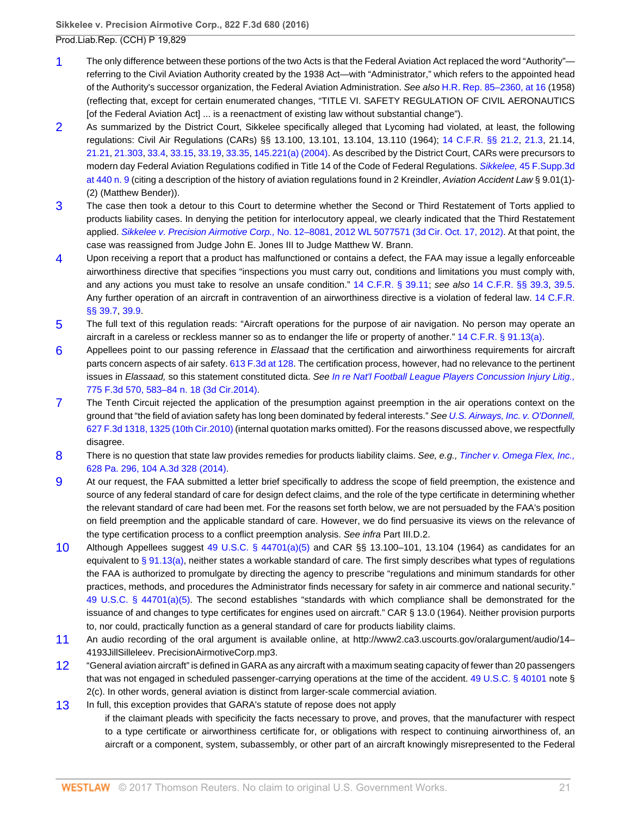- <span id="page-20-0"></span>[1](#page-4-0) The only difference between these portions of the two Acts is that the Federal Aviation Act replaced the word "Authority" referring to the Civil Aviation Authority created by the 1938 Act—with "Administrator," which refers to the appointed head of the Authority's successor organization, the Federal Aviation Administration. See also [H.R. Rep. 85–2360, at 16](http://www.westlaw.com/Link/Document/FullText?findType=Y&serNum=0100972534&pubNum=0100014&originatingDoc=I3ec47967064211e6b4bafa136b480ad2&refType=TV&originationContext=document&vr=3.0&rs=cblt1.0&transitionType=DocumentItem&contextData=(sc.Search)) (1958) (reflecting that, except for certain enumerated changes, "TITLE VI. SAFETY REGULATION OF CIVIL AERONAUTICS [of the Federal Aviation Act] ... is a reenactment of existing law without substantial change").
- <span id="page-20-1"></span>[2](#page-5-7) As summarized by the District Court, Sikkelee specifically alleged that Lycoming had violated, at least, the following regulations: Civil Air Regulations (CARs) §§ 13.100, 13.101, 13.104, 13.110 (1964); [14 C.F.R. §§ 21.2,](http://www.westlaw.com/Link/Document/FullText?findType=L&pubNum=1000547&cite=14CFRS21.2&originatingDoc=I3ec47967064211e6b4bafa136b480ad2&refType=LQ&originationContext=document&vr=3.0&rs=cblt1.0&transitionType=DocumentItem&contextData=(sc.Search)) [21.3](http://www.westlaw.com/Link/Document/FullText?findType=L&pubNum=1000547&cite=14CFRS21.3&originatingDoc=I3ec47967064211e6b4bafa136b480ad2&refType=LQ&originationContext=document&vr=3.0&rs=cblt1.0&transitionType=DocumentItem&contextData=(sc.Search)), 21.14, [21.21,](http://www.westlaw.com/Link/Document/FullText?findType=L&pubNum=1000547&cite=14CFRS21.21&originatingDoc=I3ec47967064211e6b4bafa136b480ad2&refType=LQ&originationContext=document&vr=3.0&rs=cblt1.0&transitionType=DocumentItem&contextData=(sc.Search)) [21.303,](http://www.westlaw.com/Link/Document/FullText?findType=L&pubNum=1000547&cite=14CFRS21.303&originatingDoc=I3ec47967064211e6b4bafa136b480ad2&refType=LQ&originationContext=document&vr=3.0&rs=cblt1.0&transitionType=DocumentItem&contextData=(sc.Search)) [33.4,](http://www.westlaw.com/Link/Document/FullText?findType=L&pubNum=1000547&cite=14CFRS33.4&originatingDoc=I3ec47967064211e6b4bafa136b480ad2&refType=LQ&originationContext=document&vr=3.0&rs=cblt1.0&transitionType=DocumentItem&contextData=(sc.Search)) [33.15,](http://www.westlaw.com/Link/Document/FullText?findType=L&pubNum=1000547&cite=14CFRS33.15&originatingDoc=I3ec47967064211e6b4bafa136b480ad2&refType=LQ&originationContext=document&vr=3.0&rs=cblt1.0&transitionType=DocumentItem&contextData=(sc.Search)) [33.19,](http://www.westlaw.com/Link/Document/FullText?findType=L&pubNum=1000547&cite=14CFRS33.19&originatingDoc=I3ec47967064211e6b4bafa136b480ad2&refType=LQ&originationContext=document&vr=3.0&rs=cblt1.0&transitionType=DocumentItem&contextData=(sc.Search)) [33.35](http://www.westlaw.com/Link/Document/FullText?findType=L&pubNum=1000547&cite=14CFRS33.35&originatingDoc=I3ec47967064211e6b4bafa136b480ad2&refType=LQ&originationContext=document&vr=3.0&rs=cblt1.0&transitionType=DocumentItem&contextData=(sc.Search)), [145.221\(a\) \(2004\)](http://www.westlaw.com/Link/Document/FullText?findType=L&pubNum=1000547&cite=14CFRS145.221&originatingDoc=I3ec47967064211e6b4bafa136b480ad2&refType=RB&originationContext=document&vr=3.0&rs=cblt1.0&transitionType=DocumentItem&contextData=(sc.Search)#co_pp_8b3b0000958a4). As described by the District Court, CARs were precursors to modern day Federal Aviation Regulations codified in Title 14 of the Code of Federal Regulations. Sikkelee, [45 F.Supp.3d](http://www.westlaw.com/Link/Document/FullText?findType=Y&serNum=2034316153&pubNum=0007903&originatingDoc=I3ec47967064211e6b4bafa136b480ad2&refType=RP&fi=co_pp_sp_7903_440&originationContext=document&vr=3.0&rs=cblt1.0&transitionType=DocumentItem&contextData=(sc.Search)#co_pp_sp_7903_440) [at 440 n. 9](http://www.westlaw.com/Link/Document/FullText?findType=Y&serNum=2034316153&pubNum=0007903&originatingDoc=I3ec47967064211e6b4bafa136b480ad2&refType=RP&fi=co_pp_sp_7903_440&originationContext=document&vr=3.0&rs=cblt1.0&transitionType=DocumentItem&contextData=(sc.Search)#co_pp_sp_7903_440) (citing a description of the history of aviation regulations found in 2 Kreindler, Aviation Accident Law § 9.01(1)- (2) (Matthew Bender)).
- <span id="page-20-2"></span>[3](#page-5-8) The case then took a detour to this Court to determine whether the Second or Third Restatement of Torts applied to products liability cases. In denying the petition for interlocutory appeal, we clearly indicated that the Third Restatement applied. Sikkelee v. Precision Airmotive Corp., [No. 12–8081, 2012 WL 5077571 \(3d Cir. Oct. 17, 2012\)](http://www.westlaw.com/Link/Document/FullText?findType=Y&serNum=2028920279&pubNum=0000999&originatingDoc=I3ec47967064211e6b4bafa136b480ad2&refType=RP&originationContext=document&vr=3.0&rs=cblt1.0&transitionType=DocumentItem&contextData=(sc.Search)). At that point, the case was reassigned from Judge John E. Jones III to Judge Matthew W. Brann.
- <span id="page-20-3"></span>[4](#page-5-9) Upon receiving a report that a product has malfunctioned or contains a defect, the FAA may issue a legally enforceable airworthiness directive that specifies "inspections you must carry out, conditions and limitations you must comply with, and any actions you must take to resolve an unsafe condition." [14 C.F.R. § 39.11](http://www.westlaw.com/Link/Document/FullText?findType=L&pubNum=1000547&cite=14CFRS39.11&originatingDoc=I3ec47967064211e6b4bafa136b480ad2&refType=LQ&originationContext=document&vr=3.0&rs=cblt1.0&transitionType=DocumentItem&contextData=(sc.Search)); see also [14 C.F.R. §§ 39.3](http://www.westlaw.com/Link/Document/FullText?findType=L&pubNum=1000547&cite=14CFRS39.3&originatingDoc=I3ec47967064211e6b4bafa136b480ad2&refType=LQ&originationContext=document&vr=3.0&rs=cblt1.0&transitionType=DocumentItem&contextData=(sc.Search)), [39.5](http://www.westlaw.com/Link/Document/FullText?findType=L&pubNum=1000547&cite=14CFRS39.5&originatingDoc=I3ec47967064211e6b4bafa136b480ad2&refType=LQ&originationContext=document&vr=3.0&rs=cblt1.0&transitionType=DocumentItem&contextData=(sc.Search)). Any further operation of an aircraft in contravention of an airworthiness directive is a violation of federal law. [14 C.F.R.](http://www.westlaw.com/Link/Document/FullText?findType=L&pubNum=1000547&cite=14CFRS39.7&originatingDoc=I3ec47967064211e6b4bafa136b480ad2&refType=LQ&originationContext=document&vr=3.0&rs=cblt1.0&transitionType=DocumentItem&contextData=(sc.Search)) [§§ 39.7](http://www.westlaw.com/Link/Document/FullText?findType=L&pubNum=1000547&cite=14CFRS39.7&originatingDoc=I3ec47967064211e6b4bafa136b480ad2&refType=LQ&originationContext=document&vr=3.0&rs=cblt1.0&transitionType=DocumentItem&contextData=(sc.Search)), [39.9.](http://www.westlaw.com/Link/Document/FullText?findType=L&pubNum=1000547&cite=14CFRS39.9&originatingDoc=I3ec47967064211e6b4bafa136b480ad2&refType=LQ&originationContext=document&vr=3.0&rs=cblt1.0&transitionType=DocumentItem&contextData=(sc.Search))
- <span id="page-20-4"></span>[5](#page-7-0) The full text of this regulation reads: "Aircraft operations for the purpose of air navigation. No person may operate an aircraft in a careless or reckless manner so as to endanger the life or property of another." [14 C.F.R. § 91.13\(a\)](http://www.westlaw.com/Link/Document/FullText?findType=L&pubNum=1000547&cite=14CFRS91.13&originatingDoc=I3ec47967064211e6b4bafa136b480ad2&refType=RB&originationContext=document&vr=3.0&rs=cblt1.0&transitionType=DocumentItem&contextData=(sc.Search)#co_pp_8b3b0000958a4).
- <span id="page-20-5"></span>[6](#page-7-1) Appellees point to our passing reference in Elassaad that the certification and airworthiness requirements for aircraft parts concern aspects of air safety. [613 F.3d at 128.](http://www.westlaw.com/Link/Document/FullText?findType=Y&serNum=2022462912&pubNum=0000506&originatingDoc=I3ec47967064211e6b4bafa136b480ad2&refType=RP&fi=co_pp_sp_506_128&originationContext=document&vr=3.0&rs=cblt1.0&transitionType=DocumentItem&contextData=(sc.Search)#co_pp_sp_506_128) The certification process, however, had no relevance to the pertinent issues in Elassaad, so this statement constituted dicta. See [In re Nat'l Football League Players Concussion Injury Litig.,](http://www.westlaw.com/Link/Document/FullText?findType=Y&serNum=2035146933&pubNum=0000506&originatingDoc=I3ec47967064211e6b4bafa136b480ad2&refType=RP&fi=co_pp_sp_506_583&originationContext=document&vr=3.0&rs=cblt1.0&transitionType=DocumentItem&contextData=(sc.Search)#co_pp_sp_506_583) [775 F.3d 570, 583–84 n. 18 \(3d Cir.2014\).](http://www.westlaw.com/Link/Document/FullText?findType=Y&serNum=2035146933&pubNum=0000506&originatingDoc=I3ec47967064211e6b4bafa136b480ad2&refType=RP&fi=co_pp_sp_506_583&originationContext=document&vr=3.0&rs=cblt1.0&transitionType=DocumentItem&contextData=(sc.Search)#co_pp_sp_506_583)
- <span id="page-20-6"></span>[7](#page-9-2) The Tenth Circuit rejected the application of the presumption against preemption in the air operations context on the ground that "the field of aviation safety has long been dominated by federal interests." See [U.S. Airways, Inc. v. O'Donnell,](http://www.westlaw.com/Link/Document/FullText?findType=Y&serNum=2023939877&pubNum=0000506&originatingDoc=I3ec47967064211e6b4bafa136b480ad2&refType=RP&fi=co_pp_sp_506_1325&originationContext=document&vr=3.0&rs=cblt1.0&transitionType=DocumentItem&contextData=(sc.Search)#co_pp_sp_506_1325) [627 F.3d 1318, 1325 \(10th Cir.2010\)](http://www.westlaw.com/Link/Document/FullText?findType=Y&serNum=2023939877&pubNum=0000506&originatingDoc=I3ec47967064211e6b4bafa136b480ad2&refType=RP&fi=co_pp_sp_506_1325&originationContext=document&vr=3.0&rs=cblt1.0&transitionType=DocumentItem&contextData=(sc.Search)#co_pp_sp_506_1325) (internal quotation marks omitted). For the reasons discussed above, we respectfully disagree.
- <span id="page-20-7"></span>[8](#page-9-3) There is no question that state law provides remedies for products liability claims. See, e.g., [Tincher v. Omega Flex, Inc.,](http://www.westlaw.com/Link/Document/FullText?findType=Y&serNum=2034827250&pubNum=0007691&originatingDoc=I3ec47967064211e6b4bafa136b480ad2&refType=RP&originationContext=document&vr=3.0&rs=cblt1.0&transitionType=DocumentItem&contextData=(sc.Search)) [628 Pa. 296, 104 A.3d 328 \(2014\).](http://www.westlaw.com/Link/Document/FullText?findType=Y&serNum=2034827250&pubNum=0007691&originatingDoc=I3ec47967064211e6b4bafa136b480ad2&refType=RP&originationContext=document&vr=3.0&rs=cblt1.0&transitionType=DocumentItem&contextData=(sc.Search))
- <span id="page-20-8"></span>[9](#page-10-1) At our request, the FAA submitted a letter brief specifically to address the scope of field preemption, the existence and source of any federal standard of care for design defect claims, and the role of the type certificate in determining whether the relevant standard of care had been met. For the reasons set forth below, we are not persuaded by the FAA's position on field preemption and the applicable standard of care. However, we do find persuasive its views on the relevance of the type certification process to a conflict preemption analysis. See infra Part III.D.2.
- <span id="page-20-9"></span>[10](#page-11-1) Although Appellees suggest [49 U.S.C. § 44701\(a\)\(5\)](http://www.westlaw.com/Link/Document/FullText?findType=L&pubNum=1000546&cite=49USCAS44701&originatingDoc=I3ec47967064211e6b4bafa136b480ad2&refType=RB&originationContext=document&vr=3.0&rs=cblt1.0&transitionType=DocumentItem&contextData=(sc.Search)#co_pp_488b0000d05e2) and CAR §§ 13.100–101, 13.104 (1964) as candidates for an equivalent to [§ 91.13\(a\)](http://www.westlaw.com/Link/Document/FullText?findType=L&pubNum=1000547&cite=14CFRS91.13&originatingDoc=I3ec47967064211e6b4bafa136b480ad2&refType=RB&originationContext=document&vr=3.0&rs=cblt1.0&transitionType=DocumentItem&contextData=(sc.Search)#co_pp_8b3b0000958a4), neither states a workable standard of care. The first simply describes what types of regulations the FAA is authorized to promulgate by directing the agency to prescribe "regulations and minimum standards for other practices, methods, and procedures the Administrator finds necessary for safety in air commerce and national security." [49 U.S.C. § 44701\(a\)\(5\)](http://www.westlaw.com/Link/Document/FullText?findType=L&pubNum=1000546&cite=49USCAS44701&originatingDoc=I3ec47967064211e6b4bafa136b480ad2&refType=RB&originationContext=document&vr=3.0&rs=cblt1.0&transitionType=DocumentItem&contextData=(sc.Search)#co_pp_488b0000d05e2). The second establishes "standards with which compliance shall be demonstrated for the issuance of and changes to type certificates for engines used on aircraft." CAR § 13.0 (1964). Neither provision purports to, nor could, practically function as a general standard of care for products liability claims.
- <span id="page-20-10"></span>[11](#page-12-2) An audio recording of the oral argument is available online, at http://www2.ca3.uscourts.gov/oralargument/audio/14– 4193JillSilleleev. PrecisionAirmotiveCorp.mp3.
- <span id="page-20-11"></span>[12](#page-12-3) "General aviation aircraft" is defined in GARA as any aircraft with a maximum seating capacity of fewer than 20 passengers that was not engaged in scheduled passenger-carrying operations at the time of the accident. [49 U.S.C. § 40101](http://www.westlaw.com/Link/Document/FullText?findType=L&pubNum=1000546&cite=49USCAS40101&originatingDoc=I3ec47967064211e6b4bafa136b480ad2&refType=LQ&originationContext=document&vr=3.0&rs=cblt1.0&transitionType=DocumentItem&contextData=(sc.Search)) note § 2(c). In other words, general aviation is distinct from larger-scale commercial aviation.
- <span id="page-20-12"></span>[13](#page-12-4) In full, this exception provides that GARA's statute of repose does not apply

if the claimant pleads with specificity the facts necessary to prove, and proves, that the manufacturer with respect to a type certificate or airworthiness certificate for, or obligations with respect to continuing airworthiness of, an aircraft or a component, system, subassembly, or other part of an aircraft knowingly misrepresented to the Federal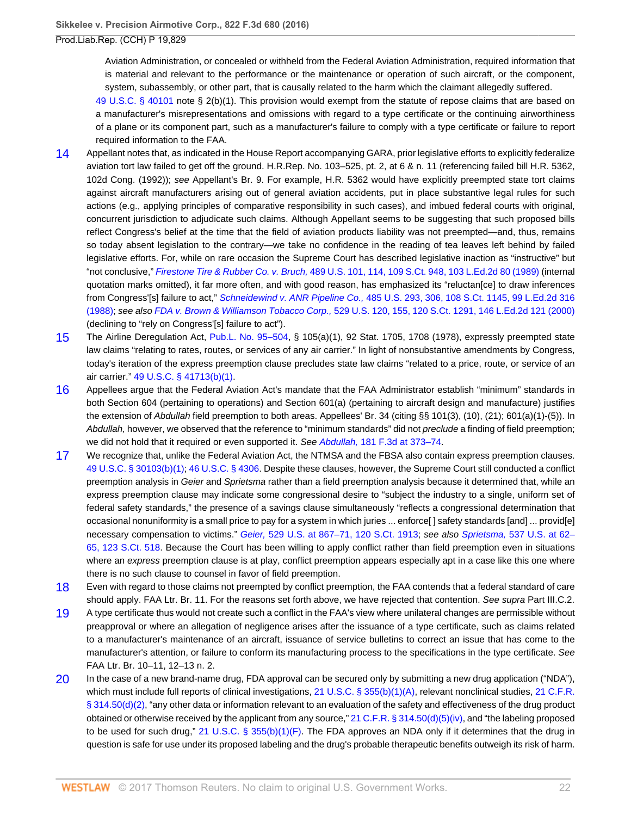Aviation Administration, or concealed or withheld from the Federal Aviation Administration, required information that is material and relevant to the performance or the maintenance or operation of such aircraft, or the component, system, subassembly, or other part, that is causally related to the harm which the claimant allegedly suffered.

[49 U.S.C. § 40101](http://www.westlaw.com/Link/Document/FullText?findType=L&pubNum=1000546&cite=49USCAS40101&originatingDoc=I3ec47967064211e6b4bafa136b480ad2&refType=LQ&originationContext=document&vr=3.0&rs=cblt1.0&transitionType=DocumentItem&contextData=(sc.Search)) note § 2(b)(1). This provision would exempt from the statute of repose claims that are based on a manufacturer's misrepresentations and omissions with regard to a type certificate or the continuing airworthiness of a plane or its component part, such as a manufacturer's failure to comply with a type certificate or failure to report required information to the FAA.

- <span id="page-21-0"></span>[14](#page-12-5) Appellant notes that, as indicated in the House Report accompanying GARA, prior legislative efforts to explicitly federalize aviation tort law failed to get off the ground. H.R.Rep. No. 103–525, pt. 2, at 6 & n. 11 (referencing failed bill H.R. 5362, 102d Cong. (1992)); see Appellant's Br. 9. For example, H.R. 5362 would have explicitly preempted state tort claims against aircraft manufacturers arising out of general aviation accidents, put in place substantive legal rules for such actions (e.g., applying principles of comparative responsibility in such cases), and imbued federal courts with original, concurrent jurisdiction to adjudicate such claims. Although Appellant seems to be suggesting that such proposed bills reflect Congress's belief at the time that the field of aviation products liability was not preempted—and, thus, remains so today absent legislation to the contrary—we take no confidence in the reading of tea leaves left behind by failed legislative efforts. For, while on rare occasion the Supreme Court has described legislative inaction as "instructive" but "not conclusive," Firestone Tire & Rubber Co. v. Bruch, [489 U.S. 101, 114, 109 S.Ct. 948, 103 L.Ed.2d 80 \(1989\)](http://www.westlaw.com/Link/Document/FullText?findType=Y&serNum=1989026578&pubNum=0000708&originatingDoc=I3ec47967064211e6b4bafa136b480ad2&refType=RP&originationContext=document&vr=3.0&rs=cblt1.0&transitionType=DocumentItem&contextData=(sc.Search)) (internal quotation marks omitted), it far more often, and with good reason, has emphasized its "reluctan[ce] to draw inferences from Congress'[s] failure to act," Schneidewind v. ANR Pipeline Co., [485 U.S. 293, 306, 108 S.Ct. 1145, 99 L.Ed.2d 316](http://www.westlaw.com/Link/Document/FullText?findType=Y&serNum=1988038611&pubNum=0000708&originatingDoc=I3ec47967064211e6b4bafa136b480ad2&refType=RP&originationContext=document&vr=3.0&rs=cblt1.0&transitionType=DocumentItem&contextData=(sc.Search)) [\(1988\)](http://www.westlaw.com/Link/Document/FullText?findType=Y&serNum=1988038611&pubNum=0000708&originatingDoc=I3ec47967064211e6b4bafa136b480ad2&refType=RP&originationContext=document&vr=3.0&rs=cblt1.0&transitionType=DocumentItem&contextData=(sc.Search)); see also FDA v. Brown & Williamson Tobacco Corp., [529 U.S. 120, 155, 120 S.Ct. 1291, 146 L.Ed.2d 121 \(2000\)](http://www.westlaw.com/Link/Document/FullText?findType=Y&serNum=2000079182&pubNum=0000708&originatingDoc=I3ec47967064211e6b4bafa136b480ad2&refType=RP&originationContext=document&vr=3.0&rs=cblt1.0&transitionType=DocumentItem&contextData=(sc.Search)) (declining to "rely on Congress'[s] failure to act").
- <span id="page-21-1"></span>[15](#page-14-0) The Airline Deregulation Act, [Pub.L. No. 95–504,](http://www.westlaw.com/Link/Document/FullText?findType=l&pubNum=1077005&cite=UUID(I258F6A20DA-524EC1ACE47-1DADC774C5F)&originatingDoc=I3ec47967064211e6b4bafa136b480ad2&refType=SL&originationContext=document&vr=3.0&rs=cblt1.0&transitionType=DocumentItem&contextData=(sc.Search)) § 105(a)(1), 92 Stat. 1705, 1708 (1978), expressly preempted state law claims "relating to rates, routes, or services of any air carrier." In light of nonsubstantive amendments by Congress, today's iteration of the express preemption clause precludes state law claims "related to a price, route, or service of an air carrier." [49 U.S.C. § 41713\(b\)\(1\)](http://www.westlaw.com/Link/Document/FullText?findType=L&pubNum=1000546&cite=49USCAS41713&originatingDoc=I3ec47967064211e6b4bafa136b480ad2&refType=RB&originationContext=document&vr=3.0&rs=cblt1.0&transitionType=DocumentItem&contextData=(sc.Search)#co_pp_3fed000053a85).
- <span id="page-21-2"></span>[16](#page-14-1) Appellees argue that the Federal Aviation Act's mandate that the FAA Administrator establish "minimum" standards in both Section 604 (pertaining to operations) and Section 601(a) (pertaining to aircraft design and manufacture) justifies the extension of Abdullah field preemption to both areas. Appellees' Br. 34 (citing §§ 101(3), (10), (21); 601(a)(1)-(5)). In Abdullah, however, we observed that the reference to "minimum standards" did not preclude a finding of field preemption; we did not hold that it required or even supported it. See Abdullah, 181 F.3d at 373-74.
- <span id="page-21-3"></span>[17](#page-15-0) We recognize that, unlike the Federal Aviation Act, the NTMSA and the FBSA also contain express preemption clauses. [49 U.S.C. § 30103\(b\)\(1\);](http://www.westlaw.com/Link/Document/FullText?findType=L&pubNum=1000546&cite=49USCAS30103&originatingDoc=I3ec47967064211e6b4bafa136b480ad2&refType=RB&originationContext=document&vr=3.0&rs=cblt1.0&transitionType=DocumentItem&contextData=(sc.Search)#co_pp_3fed000053a85) [46 U.S.C. § 4306](http://www.westlaw.com/Link/Document/FullText?findType=L&pubNum=1000546&cite=46USCAS4306&originatingDoc=I3ec47967064211e6b4bafa136b480ad2&refType=LQ&originationContext=document&vr=3.0&rs=cblt1.0&transitionType=DocumentItem&contextData=(sc.Search)). Despite these clauses, however, the Supreme Court still conducted a conflict preemption analysis in Geier and Sprietsma rather than a field preemption analysis because it determined that, while an express preemption clause may indicate some congressional desire to "subject the industry to a single, uniform set of federal safety standards," the presence of a savings clause simultaneously "reflects a congressional determination that occasional nonuniformity is a small price to pay for a system in which juries ... enforce[ ] safety standards [and] ... provid[e] necessary compensation to victims." Geier, 529 U.S. at 867-71, 120 S.Ct. 1913; see also Sprietsma, 537 U.S. at 62-[65, 123 S.Ct. 518](http://www.westlaw.com/Link/Document/FullText?findType=Y&serNum=2002754784&pubNum=0000708&originatingDoc=I3ec47967064211e6b4bafa136b480ad2&refType=RP&originationContext=document&vr=3.0&rs=cblt1.0&transitionType=DocumentItem&contextData=(sc.Search)). Because the Court has been willing to apply conflict rather than field preemption even in situations where an express preemption clause is at play, conflict preemption appears especially apt in a case like this one where there is no such clause to counsel in favor of field preemption.
- <span id="page-21-4"></span>[18](#page-15-1) Even with regard to those claims not preempted by conflict preemption, the FAA contends that a federal standard of care should apply. FAA Ltr. Br. 11. For the reasons set forth above, we have rejected that contention. See supra Part III.C.2.
- <span id="page-21-5"></span>[19](#page-15-2) A type certificate thus would not create such a conflict in the FAA's view where unilateral changes are permissible without preapproval or where an allegation of negligence arises after the issuance of a type certificate, such as claims related to a manufacturer's maintenance of an aircraft, issuance of service bulletins to correct an issue that has come to the manufacturer's attention, or failure to conform its manufacturing process to the specifications in the type certificate. See FAA Ltr. Br. 10–11, 12–13 n. 2.
- <span id="page-21-6"></span>[20](#page-16-1) In the case of a new brand-name drug, FDA approval can be secured only by submitting a new drug application ("NDA"), which must include full reports of clinical investigations, [21 U.S.C. § 355\(b\)\(1\)\(A\),](http://www.westlaw.com/Link/Document/FullText?findType=L&pubNum=1000546&cite=21USCAS355&originatingDoc=I3ec47967064211e6b4bafa136b480ad2&refType=RB&originationContext=document&vr=3.0&rs=cblt1.0&transitionType=DocumentItem&contextData=(sc.Search)#co_pp_3fed000053a85) relevant nonclinical studies, [21 C.F.R.](http://www.westlaw.com/Link/Document/FullText?findType=L&pubNum=1000547&cite=21CFRS314.50&originatingDoc=I3ec47967064211e6b4bafa136b480ad2&refType=RB&originationContext=document&vr=3.0&rs=cblt1.0&transitionType=DocumentItem&contextData=(sc.Search)#co_pp_4be3000003be5)  $\S 314.50(d)(2)$ , "any other data or information relevant to an evaluation of the safety and effectiveness of the drug product obtained or otherwise received by the applicant from any source," [21 C.F.R. § 314.50\(d\)\(5\)\(iv\)](http://www.westlaw.com/Link/Document/FullText?findType=L&pubNum=1000547&cite=21CFRS314.50&originatingDoc=I3ec47967064211e6b4bafa136b480ad2&refType=RB&originationContext=document&vr=3.0&rs=cblt1.0&transitionType=DocumentItem&contextData=(sc.Search)#co_pp_0e630000a6bb5), and "the labeling proposed to be used for such drug," [21 U.S.C. § 355\(b\)\(1\)\(F\)](http://www.westlaw.com/Link/Document/FullText?findType=L&pubNum=1000546&cite=21USCAS355&originatingDoc=I3ec47967064211e6b4bafa136b480ad2&refType=RB&originationContext=document&vr=3.0&rs=cblt1.0&transitionType=DocumentItem&contextData=(sc.Search)#co_pp_3fed000053a85). The FDA approves an NDA only if it determines that the drug in question is safe for use under its proposed labeling and the drug's probable therapeutic benefits outweigh its risk of harm.